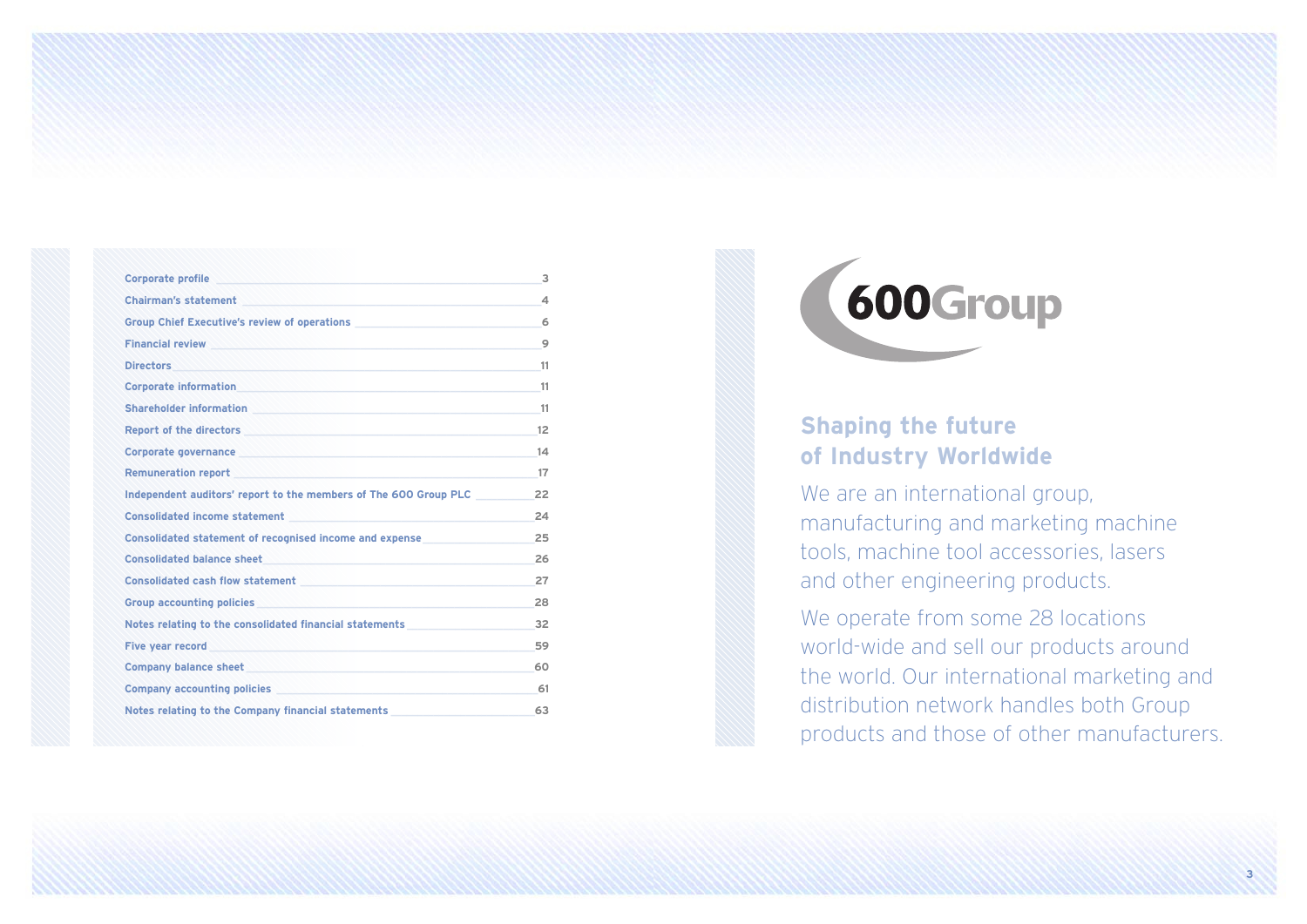

# **Shaping the future of Industry Worldwide**

We are an international group, manufacturing and marketing machine tools, machine tool accessories, lasers and other engineering products.

We operate from some 28 locations world-wide and sell our products around the world. Our international marketing and distribution network handles both Group products and those of other manufacturers.

| <b>Corporate profile</b>                                                                                                                                                                                                                 | 3  |
|------------------------------------------------------------------------------------------------------------------------------------------------------------------------------------------------------------------------------------------|----|
| <b>Chairman's statement</b>                                                                                                                                                                                                              | 4  |
| <b>Croup Chief Executive's review of operations Manual Chief Executive's review of operations</b>                                                                                                                                        | 6  |
| <b>Financial review</b>                                                                                                                                                                                                                  | 9  |
| <b>Directors</b>                                                                                                                                                                                                                         | 11 |
| Corporate information and the contract of the contract of the contract of the contract of the contract of the                                                                                                                            | 11 |
| Shareholder information and the contract of the contract of the contract of the contract of the contract of the                                                                                                                          | 11 |
| <b>Report of the directors and a series of the directors</b>                                                                                                                                                                             | 12 |
| Corporate governance and the contract of the contract of the contract of the contract of the contract of the contract of the contract of the contract of the contract of the contract of the contract of the contract of the c           | 14 |
| <b>Remuneration report</b>                                                                                                                                                                                                               | 17 |
| Independent auditors' report to the members of The 600 Group PLC                                                                                                                                                                         | 22 |
| <b>Consolidated income statement</b>                                                                                                                                                                                                     | 24 |
| <b>Consolidated statement of recognised income and expense</b>                                                                                                                                                                           | 25 |
| <b>Consolidated balance sheet</b><br><u> 1999 - Personal American American I</u>                                                                                                                                                         | 26 |
| Consolidated cash flow statement entry and the consolidated cash flow statement                                                                                                                                                          | 27 |
| <b>Croup accounting policies and all another control of the control of the control of the control of the control of the control of the control of the control of the control of the control of the control of the control of the</b>     | 28 |
| Notes relating to the consolidated financial statements                                                                                                                                                                                  | 32 |
| <b>Five year record <i>Exercise Library Advisory Advisory Advisory Advisory Advisory Advisory Advisory Advisory Advisory Advisory Advisory Advisory Advisory Advisory Advisory Advisory Advisory Advisory Advisory Advisory Advi</i></b> | 59 |
| <b>Company balance sheet</b>                                                                                                                                                                                                             | 60 |
| <b>Company accounting policies and all another company accounting policies</b>                                                                                                                                                           | 61 |
| Notes relating to the Company financial statements                                                                                                                                                                                       | 63 |

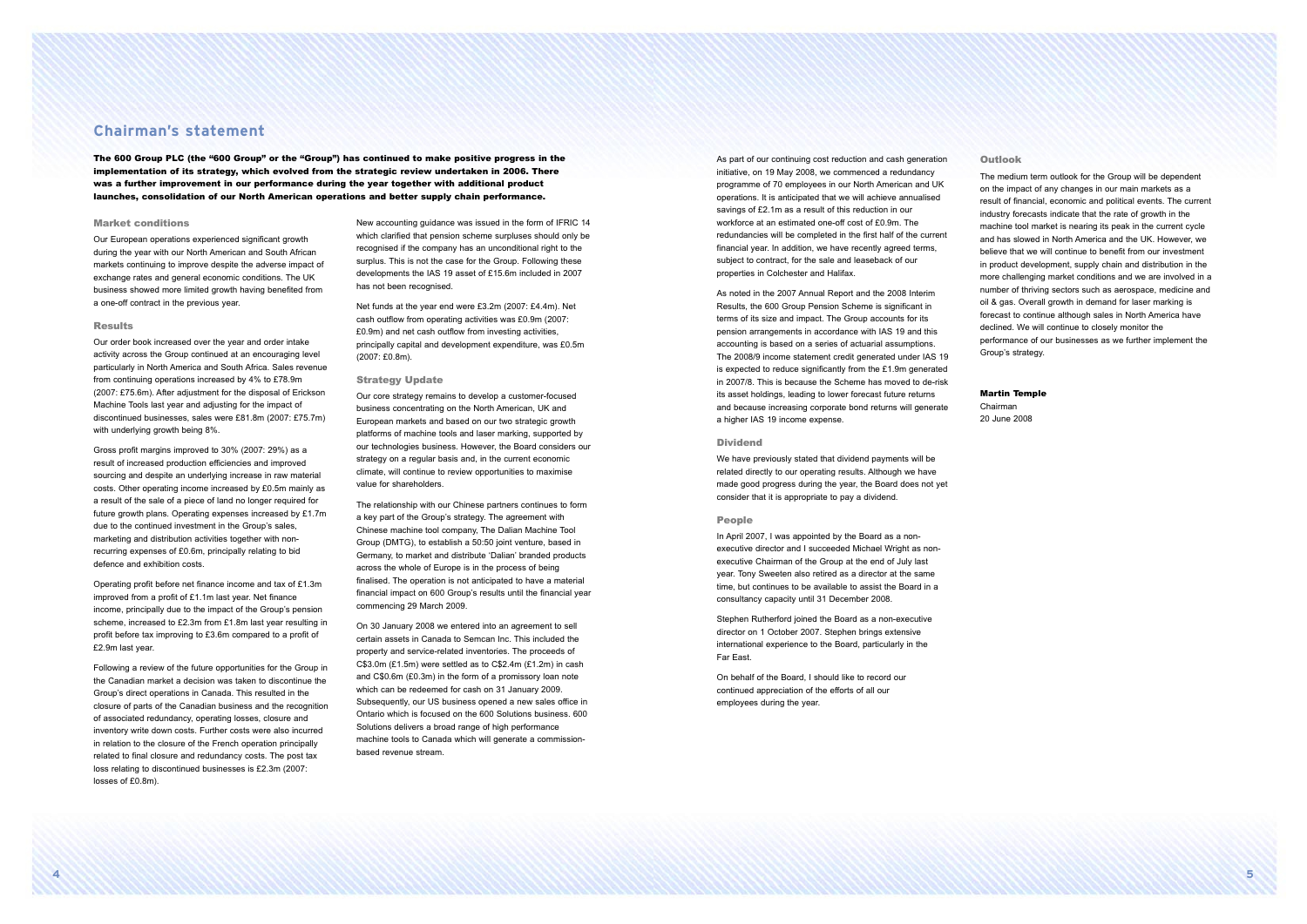

## **Chairman's statement**

The 600 Group PLC (the "600 Group" or the "Group") has continued to make positive progress in the implementation of its strategy, which evolved from the strategic review undertaken in 2006. There was a further improvement in our performance during the year together with additional product launches, consolidation of our North American operations and better supply chain performance.

#### Market conditions

Our European operations experienced significant growth during the year with our North American and South African markets continuing to improve despite the adverse impact of exchange rates and general economic conditions. The UK business showed more limited growth having benefited from a one-off contract in the previous year.

#### Results

Our order book increased over the year and order intake activity across the Group continued at an encouraging level particularly in North America and South Africa. Sales revenue from continuing operations increased by 4% to £78.9m (2007: £75.6m). After adjustment for the disposal of Erickson Machine Tools last year and adjusting for the impact of discontinued businesses, sales were £81.8m (2007: £75.7m) with underlying growth being 8%.

Gross profit margins improved to 30% (2007: 29%) as a result of increased production efficiencies and improved sourcing and despite an underlying increase in raw material costs. Other operating income increased by £0.5m mainly as a result of the sale of a piece of land no longer required for future growth plans. Operating expenses increased by £1.7m due to the continued investment in the Group's sales, marketing and distribution activities together with nonrecurring expenses of £0.6m, principally relating to bid defence and exhibition costs.

Operating profit before net finance income and tax of £1.3m improved from a profit of £1.1m last year. Net finance income, principally due to the impact of the Group's pension scheme, increased to £2.3m from £1.8m last year resulting in profit before tax improving to £3.6m compared to a profit of £2.9m last year.

Following a review of the future opportunities for the Group in the Canadian market a decision was taken to discontinue the Group's direct operations in Canada. This resulted in the closure of parts of the Canadian business and the recognition of associated redundancy, operating losses, closure and inventory write down costs. Further costs were also incurred in relation to the closure of the French operation principally related to final closure and redundancy costs. The post tax loss relating to discontinued businesses is £2.3m (2007: losses of £0.8m).

New accounting guidance was issued in the form of IFRIC 14 which clarified that pension scheme surpluses should only be recognised if the company has an unconditional right to the surplus. This is not the case for the Group. Following these developments the IAS 19 asset of £15.6m included in 2007 has not been recognised.

Net funds at the year end were £3.2m (2007: £4.4m). Net cash outflow from operating activities was £0.9m (2007: £0.9m) and net cash outflow from investing activities, principally capital and development expenditure, was £0.5m (2007: £0.8m).

### Strategy Update

Our core strategy remains to develop a customer-focused business concentrating on the North American, UK and European markets and based on our two strategic growth platforms of machine tools and laser marking, supported by our technologies business. However, the Board considers our strategy on a regular basis and, in the current economic climate, will continue to review opportunities to maximise value for shareholders.

The relationship with our Chinese partners continues to form a key part of the Group's strategy. The agreement with Chinese machine tool company, The Dalian Machine Tool Group (DMTG), to establish a 50:50 joint venture, based in Germany, to market and distribute 'Dalian' branded products across the whole of Europe is in the process of being finalised. The operation is not anticipated to have a material financial impact on 600 Group's results until the financial year commencing 29 March 2009.

On 30 January 2008 we entered into an agreement to sell certain assets in Canada to Semcan Inc. This included the property and service-related inventories. The proceeds of C\$3.0m (£1.5m) were settled as to C\$2.4m (£1.2m) in cash and C\$0.6m (£0.3m) in the form of a promissory loan note which can be redeemed for cash on 31 January 2009. Subsequently, our US business opened a new sales office in Ontario which is focused on the 600 Solutions business. 600 Solutions delivers a broad range of high performance machine tools to Canada which will generate a commissionbased revenue stream.

As part of our continuing cost reduction and cash generation initiative, on 19 May 2008, we commenced a redundancy programme of 70 employees in our North American and UK operations. It is anticipated that we will achieve annualised savings of £2.1m as a result of this reduction in our workforce at an estimated one-off cost of £0.9m. The redundancies will be completed in the first half of the current financial year. In addition, we have recently agreed terms, subject to contract, for the sale and leaseback of our properties in Colchester and Halifax.

As noted in the 2007 Annual Report and the 2008 Interim Results, the 600 Group Pension Scheme is significant in terms of its size and impact. The Group accounts for its pension arrangements in accordance with IAS 19 and this accounting is based on a series of actuarial assumptions. The 2008/9 income statement credit generated under IAS 19 is expected to reduce significantly from the £1.9m generated in 2007/8. This is because the Scheme has moved to de-risk its asset holdings, leading to lower forecast future returns and because increasing corporate bond returns will generate a higher IAS 19 income expense.

#### **Dividend**

We have previously stated that dividend payments will be related directly to our operating results. Although we have made good progress during the year, the Board does not yet consider that it is appropriate to pay a dividend.

#### People

In April 2007, I was appointed by the Board as a nonexecutive director and I succeeded Michael Wright as nonexecutive Chairman of the Group at the end of July last year. Tony Sweeten also retired as a director at the same time, but continues to be available to assist the Board in a consultancy capacity until 31 December 2008.

Stephen Rutherford joined the Board as a non-executive director on 1 October 2007. Stephen brings extensive international experience to the Board, particularly in the Far East.

On behalf of the Board, I should like to record our continued appreciation of the efforts of all our employees during the year.

#### Outlook

The medium term outlook for the Group will be dependent on the impact of any changes in our main markets as a result of financial, economic and political events. The current industry forecasts indicate that the rate of growth in the machine tool market is nearing its peak in the current cycle and has slowed in North America and the UK. However, we believe that we will continue to benefit from our investment in product development, supply chain and distribution in the more challenging market conditions and we are involved in a number of thriving sectors such as aerospace, medicine and oil & gas. Overall growth in demand for laser marking is forecast to continue although sales in North America have declined. We will continue to closely monitor the performance of our businesses as we further implement the Group's strategy.

### Martin Temple

Chairman 20 June 2008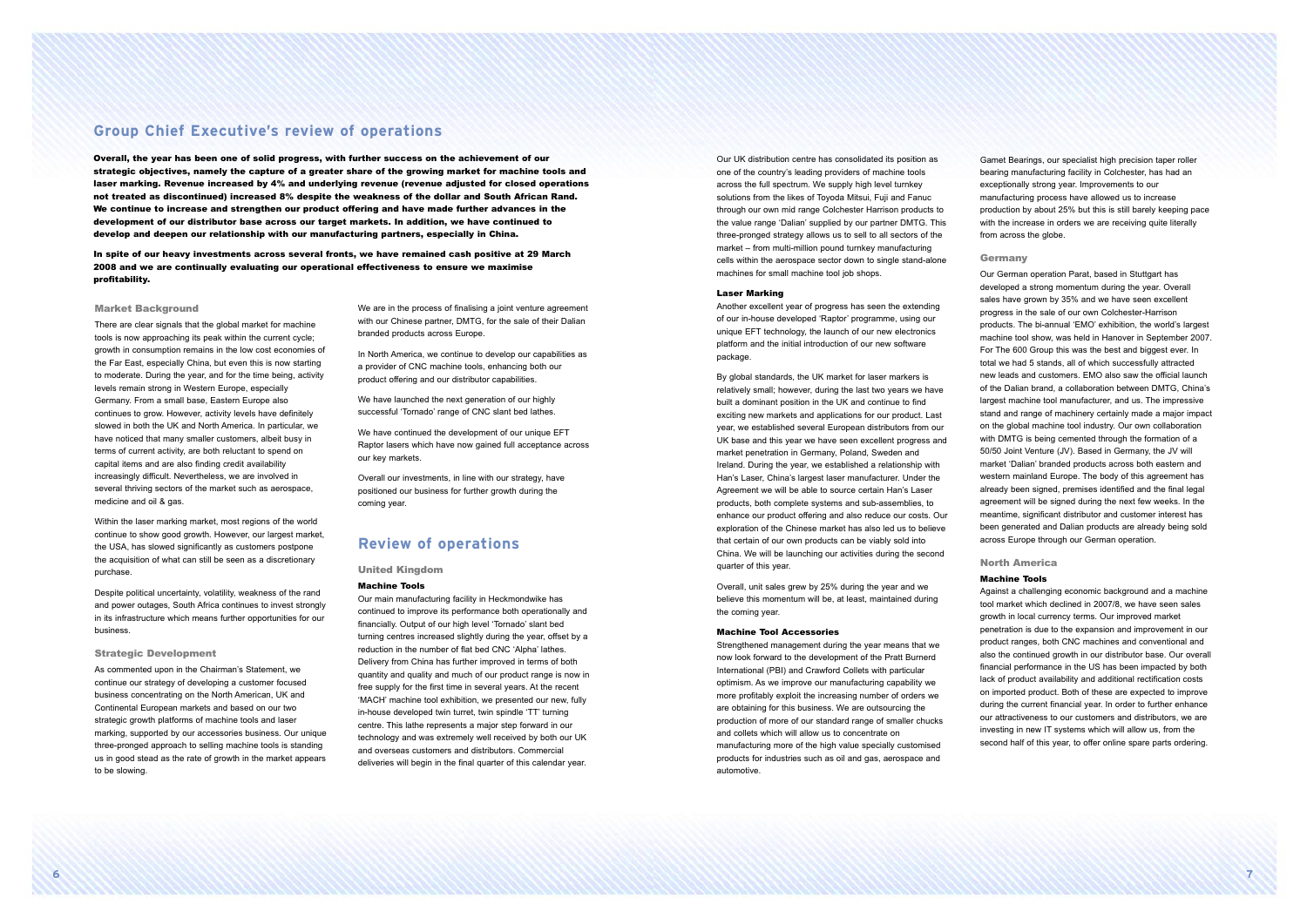### **Group Chief Executive's review of operations**

### Market Background

There are clear signals that the global market for machine tools is now approaching its peak within the current cycle; growth in consumption remains in the low cost economies of the Far East, especially China, but even this is now starting to moderate. During the year, and for the time being, activity levels remain strong in Western Europe, especially Germany. From a small base, Eastern Europe also continues to grow. However, activity levels have definitely slowed in both the UK and North America. In particular, we have noticed that many smaller customers, albeit busy in terms of current activity, are both reluctant to spend on capital items and are also finding credit availability increasingly difficult. Nevertheless, we are involved in several thriving sectors of the market such as aerospace, medicine and oil & gas.

We are in the process of finalising a joint venture agreement with our Chinese partner, DMTG, for the sale of their Dalian branded products across Europe.

Within the laser marking market, most regions of the world continue to show good growth. However, our largest market, the USA, has slowed significantly as customers postpone the acquisition of what can still be seen as a discretionary purchase.

Despite political uncertainty, volatility, weakness of the rand and power outages, South Africa continues to invest strongly in its infrastructure which means further opportunities for our business.

### Strategic Development

As commented upon in the Chairman's Statement, we continue our strategy of developing a customer focused business concentrating on the North American, UK and Continental European markets and based on our two strategic growth platforms of machine tools and laser marking, supported by our accessories business. Our unique three-pronged approach to selling machine tools is standing us in good stead as the rate of growth in the market appears to be slowing.

In North America, we continue to develop our capabilities as a provider of CNC machine tools, enhancing both our product offering and our distributor capabilities.

We have launched the next generation of our highly successful 'Tornado' range of CNC slant bed lathes.

We have continued the development of our unique EFT Raptor lasers which have now gained full acceptance across our key markets.

Overall our investments, in line with our strategy, have positioned our business for further growth during the coming year.

## **Review of operations**

### United Kingdom

### Machine Tools

Our main manufacturing facility in Heckmondwike has continued to improve its performance both operationally and financially. Output of our high level 'Tornado' slant bed turning centres increased slightly during the year, offset by a reduction in the number of flat bed CNC 'Alpha' lathes. Delivery from China has further improved in terms of both quantity and quality and much of our product range is now in free supply for the first time in several years. At the recent 'MACH' machine tool exhibition, we presented our new, fully in-house developed twin turret, twin spindle 'TT' turning centre. This lathe represents a major step forward in our technology and was extremely well received by both our UK and overseas customers and distributors. Commercial deliveries will begin in the final quarter of this calendar year.

Our UK distribution centre has consolidated its position as one of the country's leading providers of machine tools across the full spectrum. We supply high level turnkey solutions from the likes of Toyoda Mitsui, Fuji and Fanuc through our own mid range Colchester Harrison products to the value range 'Dalian' supplied by our partner DMTG. This three-pronged strategy allows us to sell to all sectors of the market – from multi-million pound turnkey manufacturing cells within the aerospace sector down to single stand-alone machines for small machine tool job shops.

#### Laser Marking

Another excellent year of progress has seen the extending of our in-house developed 'Raptor' programme, using our unique EFT technology, the launch of our new electronics platform and the initial introduction of our new software package.

By global standards, the UK market for laser markers is relatively small; however, during the last two years we have built a dominant position in the UK and continue to find exciting new markets and applications for our product. Last year, we established several European distributors from our UK base and this year we have seen excellent progress and market penetration in Germany, Poland, Sweden and Ireland. During the year, we established a relationship with Han's Laser, China's largest laser manufacturer. Under the Agreement we will be able to source certain Han's Laser products, both complete systems and sub-assemblies, to enhance our product offering and also reduce our costs. Our exploration of the Chinese market has also led us to believe that certain of our own products can be viably sold into China. We will be launching our activities during the second quarter of this year.

Overall, unit sales grew by 25% during the year and we believe this momentum will be, at least, maintained during the coming year.

#### Machine Tool Accessories

Strengthened management during the year means that we now look forward to the development of the Pratt Burnerd International (PBI) and Crawford Collets with particular optimism. As we improve our manufacturing capability we more profitably exploit the increasing number of orders we are obtaining for this business. We are outsourcing the production of more of our standard range of smaller chucks and collets which will allow us to concentrate on manufacturing more of the high value specially customised products for industries such as oil and gas, aerospace and automotive.

Gamet Bearings, our specialist high precision taper roller bearing manufacturing facility in Colchester, has had an exceptionally strong year. Improvements to our manufacturing process have allowed us to increase production by about 25% but this is still barely keeping pace with the increase in orders we are receiving quite literally from across the globe.

### Germany

Our German operation Parat, based in Stuttgart has developed a strong momentum during the year. Overall sales have grown by 35% and we have seen excellent progress in the sale of our own Colchester-Harrison products. The bi-annual 'EMO' exhibition, the world's largest machine tool show, was held in Hanover in September 2007. For The 600 Group this was the best and biggest ever. In total we had 5 stands, all of which successfully attracted new leads and customers. EMO also saw the official launch of the Dalian brand, a collaboration between DMTG, China's largest machine tool manufacturer, and us. The impressive stand and range of machinery certainly made a major impact on the global machine tool industry. Our own collaboration with DMTG is being cemented through the formation of a 50/50 Joint Venture (JV). Based in Germany, the JV will market 'Dalian' branded products across both eastern and western mainland Europe. The body of this agreement has already been signed, premises identified and the final legal agreement will be signed during the next few weeks. In the meantime, significant distributor and customer interest has been generated and Dalian products are already being sold across Europe through our German operation.

### North America

#### Machine Tools

Against a challenging economic background and a machine tool market which declined in 2007/8, we have seen sales growth in local currency terms. Our improved market penetration is due to the expansion and improvement in our product ranges, both CNC machines and conventional and also the continued growth in our distributor base. Our overall financial performance in the US has been impacted by both lack of product availability and additional rectification costs on imported product. Both of these are expected to improve during the current financial year. In order to further enhance our attractiveness to our customers and distributors, we are investing in new IT systems which will allow us, from the second half of this year, to offer online spare parts ordering.

Overall, the year has been one of solid progress, with further success on the achievement of our strategic objectives, namely the capture of a greater share of the growing market for machine tools and laser marking. Revenue increased by 4% and underlying revenue (revenue adjusted for closed operations not treated as discontinued) increased 8% despite the weakness of the dollar and South African Rand. We continue to increase and strengthen our product offering and have made further advances in the development of our distributor base across our target markets. In addition, we have continued to develop and deepen our relationship with our manufacturing partners, especially in China.

In spite of our heavy investments across several fronts, we have remained cash positive at 29 March 2008 and we are continually evaluating our operational effectiveness to ensure we maximise profitability.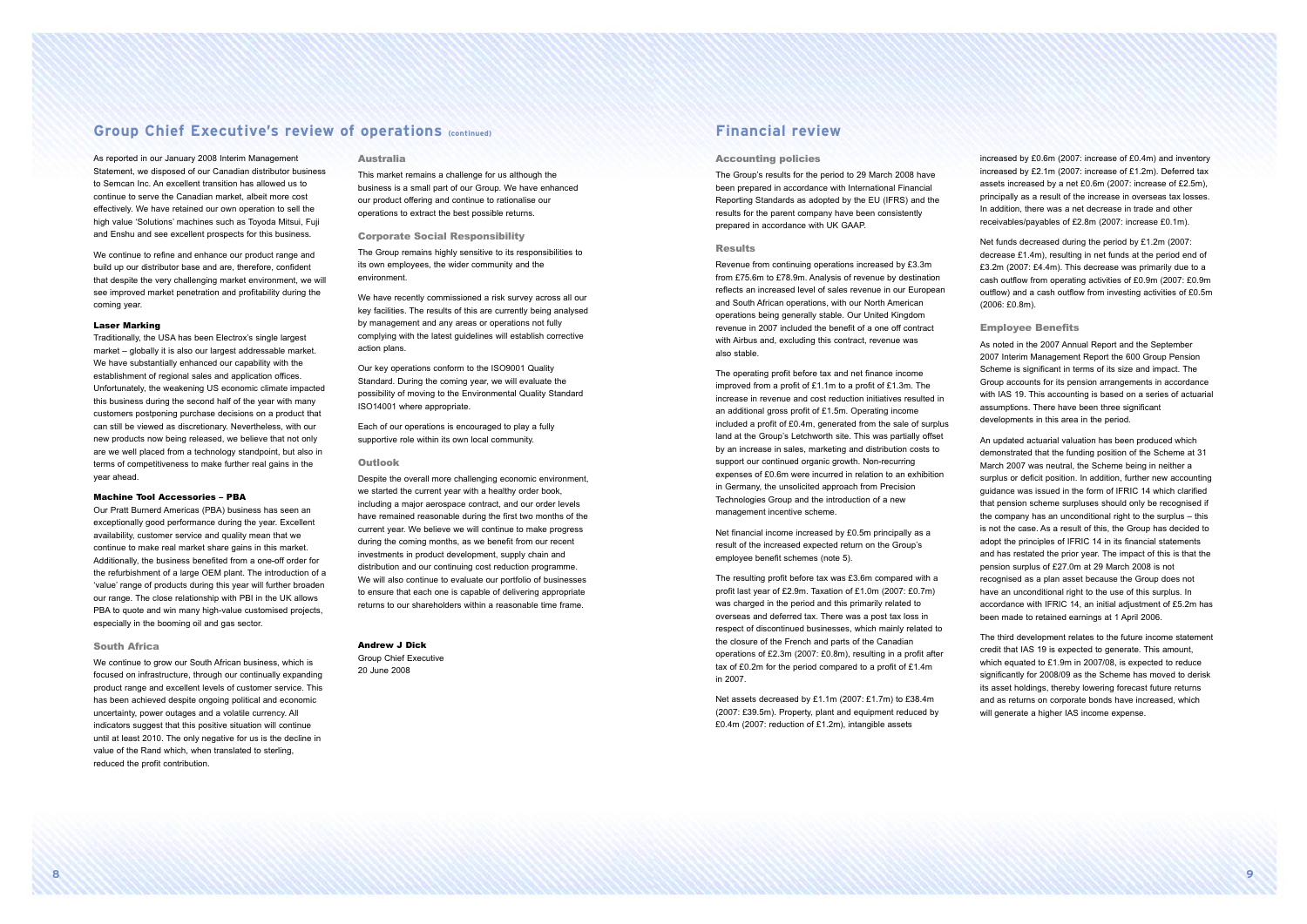### **Group Chief Executive's review of operations (continued) Financial review**

As reported in our January 2008 Interim Management Statement, we disposed of our Canadian distributor business to Semcan Inc. An excellent transition has allowed us to continue to serve the Canadian market, albeit more cost effectively. We have retained our own operation to sell the high value 'Solutions' machines such as Toyoda Mitsui, Fuji and Enshu and see excellent prospects for this business.

We continue to refine and enhance our product range and build up our distributor base and are, therefore, confident that despite the very challenging market environment, we will see improved market penetration and profitability during the coming year.

#### Laser Marking

Traditionally, the USA has been Electrox's single largest market – globally it is also our largest addressable market. We have substantially enhanced our capability with the establishment of regional sales and application offices. Unfortunately, the weakening US economic climate impacted this business during the second half of the year with many customers postponing purchase decisions on a product that can still be viewed as discretionary. Nevertheless, with our new products now being released, we believe that not only are we well placed from a technology standpoint, but also in terms of competitiveness to make further real gains in the year ahead.

We continue to grow our South African business, which is focused on infrastructure, through our continually expanding product range and excellent levels of customer service. This has been achieved despite ongoing political and economic uncertainty, power outages and a volatile currency. All indicators suggest that this positive situation will continue until at least 2010. The only negative for us is the decline in value of the Rand which, when translated to sterling, reduced the profit contribution.

### Machine Tool Accessories – PBA

Our Pratt Burnerd Americas (PBA) business has seen an exceptionally good performance during the year. Excellent availability, customer service and quality mean that we continue to make real market share gains in this market. Additionally, the business benefited from a one-off order for the refurbishment of a large OEM plant. The introduction of a 'value' range of products during this year will further broaden our range. The close relationship with PBI in the UK allows PBA to quote and win many high-value customised projects, especially in the booming oil and gas sector.

### South Africa

#### Australia

This market remains a challenge for us although the business is a small part of our Group. We have enhanced our product offering and continue to rationalise our operations to extract the best possible returns.

Corporate Social Responsibility

The Group remains highly sensitive to its responsibilities to its own employees, the wider community and the environment.

We have recently commissioned a risk survey across all our key facilities. The results of this are currently being analysed by management and any areas or operations not fully complying with the latest guidelines will establish corrective action plans.

Our key operations conform to the ISO9001 Quality Standard. During the coming year, we will evaluate the possibility of moving to the Environmental Quality Standard ISO14001 where appropriate.

Each of our operations is encouraged to play a fully supportive role within its own local community.

### Outlook

Despite the overall more challenging economic environment, we started the current year with a healthy order book, including a major aerospace contract, and our order levels have remained reasonable during the first two months of the current year. We believe we will continue to make progress during the coming months, as we benefit from our recent investments in product development, supply chain and distribution and our continuing cost reduction programme. We will also continue to evaluate our portfolio of businesses to ensure that each one is capable of delivering appropriate returns to our shareholders within a reasonable time frame.

#### Andrew J Dick

Group Chief Executive 20 June 2008

#### Accounting policies

The Group's results for the period to 29 March 2008 have been prepared in accordance with International Financial Reporting Standards as adopted by the EU (IFRS) and the results for the parent company have been consistently prepared in accordance with UK GAAP.

#### Results

Revenue from continuing operations increased by £3.3m from £75.6m to £78.9m. Analysis of revenue by destination reflects an increased level of sales revenue in our European and South African operations, with our North American operations being generally stable. Our United Kingdom revenue in 2007 included the benefit of a one off contract with Airbus and, excluding this contract, revenue was also stable.

The operating profit before tax and net finance income improved from a profit of £1.1m to a profit of £1.3m. The increase in revenue and cost reduction initiatives resulted in an additional gross profit of £1.5m. Operating income included a profit of £0.4m, generated from the sale of surplus land at the Group's Letchworth site. This was partially offset by an increase in sales, marketing and distribution costs to support our continued organic growth. Non-recurring expenses of £0.6m were incurred in relation to an exhibition in Germany, the unsolicited approach from Precision Technologies Group and the introduction of a new management incentive scheme.

Net financial income increased by £0.5m principally as a result of the increased expected return on the Group's employee benefit schemes (note 5).

The resulting profit before tax was £3.6m compared with a profit last year of £2.9m. Taxation of £1.0m (2007: £0.7m) was charged in the period and this primarily related to overseas and deferred tax. There was a post tax loss in respect of discontinued businesses, which mainly related to the closure of the French and parts of the Canadian operations of £2.3m (2007: £0.8m), resulting in a profit after tax of £0.2m for the period compared to a profit of £1.4m in 2007.

Net assets decreased by £1.1m (2007: £1.7m) to £38.4m (2007: £39.5m). Property, plant and equipment reduced by £0.4m (2007: reduction of £1.2m), intangible assets

increased by £0.6m (2007: increase of £0.4m) and inventory increased by £2.1m (2007: increase of £1.2m). Deferred tax assets increased by a net £0.6m (2007: increase of £2.5m), principally as a result of the increase in overseas tax losses. In addition, there was a net decrease in trade and other receivables/payables of £2.8m (2007: increase £0.1m).

Net funds decreased during the period by £1.2m (2007: decrease £1.4m), resulting in net funds at the period end of £3.2m (2007: £4.4m). This decrease was primarily due to a cash outflow from operating activities of £0.9m (2007: £0.9m outflow) and a cash outflow from investing activities of £0.5m (2006: £0.8m).

### Employee Benefits

As noted in the 2007 Annual Report and the September 2007 Interim Management Report the 600 Group Pension Scheme is significant in terms of its size and impact. The Group accounts for its pension arrangements in accordance with IAS 19. This accounting is based on a series of actuarial assumptions. There have been three significant developments in this area in the period.

An updated actuarial valuation has been produced which demonstrated that the funding position of the Scheme at 31 March 2007 was neutral, the Scheme being in neither a surplus or deficit position. In addition, further new accounting guidance was issued in the form of IFRIC 14 which clarified that pension scheme surpluses should only be recognised if the company has an unconditional right to the surplus – this is not the case. As a result of this, the Group has decided to adopt the principles of IFRIC 14 in its financial statements and has restated the prior year. The impact of this is that the pension surplus of £27.0m at 29 March 2008 is not recognised as a plan asset because the Group does not have an unconditional right to the use of this surplus. In accordance with IFRIC 14, an initial adjustment of £5.2m has been made to retained earnings at 1 April 2006.

The third development relates to the future income statement credit that IAS 19 is expected to generate. This amount, which equated to £1.9m in 2007/08, is expected to reduce significantly for 2008/09 as the Scheme has moved to derisk its asset holdings, thereby lowering forecast future returns and as returns on corporate bonds have increased, which will generate a higher IAS income expense.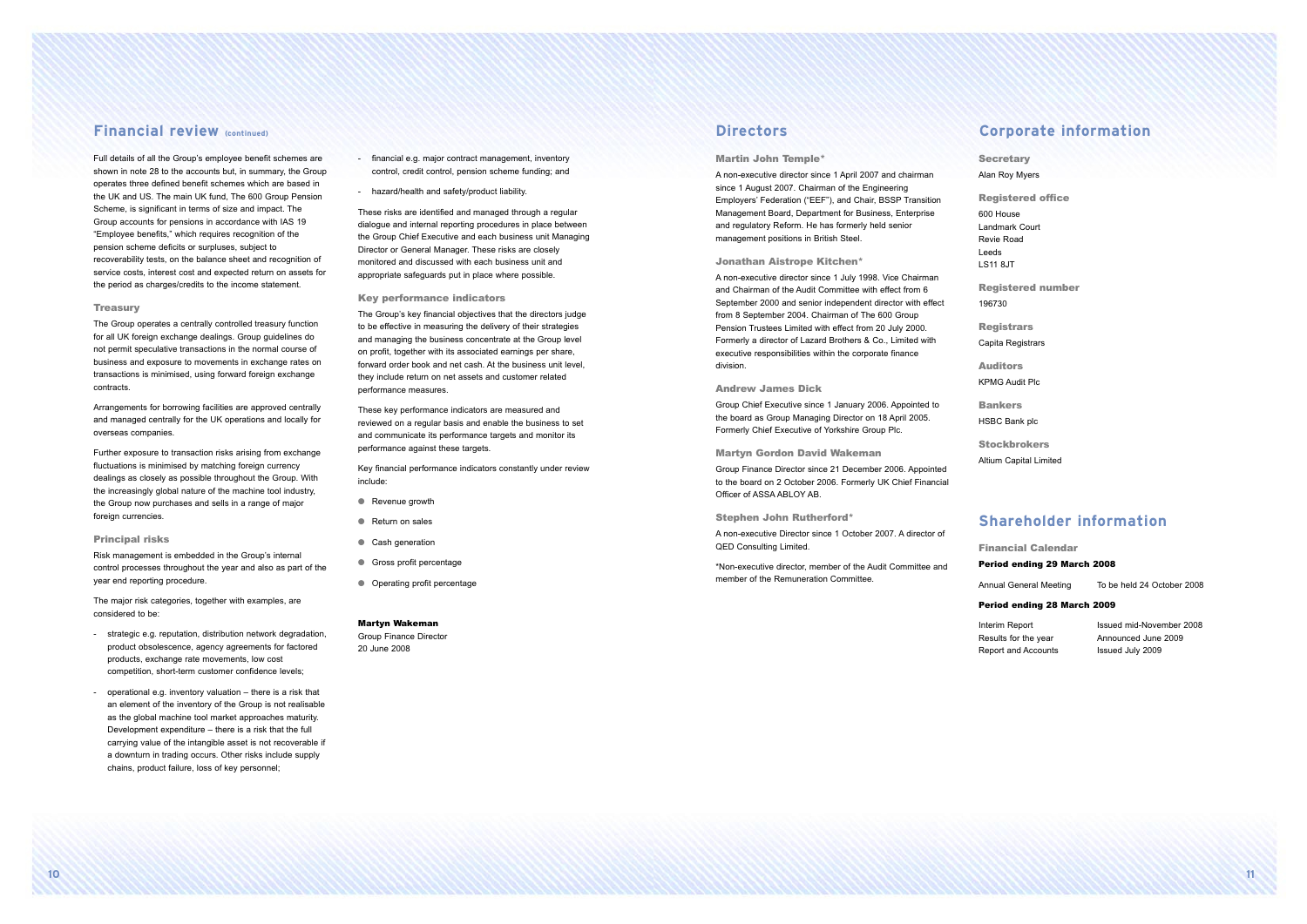Full details of all the Group's employee benefit schemes are shown in note 28 to the accounts but, in summary, the Group operates three defined benefit schemes which are based in the UK and US. The main UK fund, The 600 Group Pension Scheme, is significant in terms of size and impact. The Group accounts for pensions in accordance with IAS 19 "Employee benefits," which requires recognition of the pension scheme deficits or surpluses, subject to recoverability tests, on the balance sheet and recognition of service costs, interest cost and expected return on assets for the period as charges/credits to the income statement.

### **Treasury**

The Group operates a centrally controlled treasury function for all UK foreign exchange dealings. Group guidelines do not permit speculative transactions in the normal course of business and exposure to movements in exchange rates on transactions is minimised, using forward foreign exchange contracts.

Arrangements for borrowing facilities are approved centrally and managed centrally for the UK operations and locally for overseas companies.

Further exposure to transaction risks arising from exchange fluctuations is minimised by matching foreign currency dealings as closely as possible throughout the Group. With the increasingly global nature of the machine tool industry, the Group now purchases and sells in a range of major foreign currencies.

### Principal risks

Risk management is embedded in the Group's internal control processes throughout the year and also as part of the year end reporting procedure.

The major risk categories, together with examples, are considered to be:

- strategic e.g. reputation, distribution network degradation, product obsolescence, agency agreements for factored products, exchange rate movements, low cost competition, short-term customer confidence levels;
- operational e.g. inventory valuation there is a risk that an element of the inventory of the Group is not realisable as the global machine tool market approaches maturity. Development expenditure – there is a risk that the full carrying value of the intangible asset is not recoverable if a downturn in trading occurs. Other risks include supply chains, product failure, loss of key personnel;
- financial e.g. major contract management, inventory control, credit control, pension scheme funding; and
- hazard/health and safety/product liability.

**Secretary** Alan Roy Myers

These risks are identified and managed through a regular dialogue and internal reporting procedures in place between the Group Chief Executive and each business unit Managing Director or General Manager. These risks are closely monitored and discussed with each business unit and appropriate safeguards put in place where possible.

### Key performance indicators

The Group's key financial objectives that the directors judge to be effective in measuring the delivery of their strategies and managing the business concentrate at the Group level on profit, together with its associated earnings per share, forward order book and net cash. At the business unit level, they include return on net assets and customer related performance measures.

These key performance indicators are measured and reviewed on a regular basis and enable the business to set and communicate its performance targets and monitor its performance against these targets.

Key financial performance indicators constantly under review include:

- Revenue growth
- Return on sales
- Cash generation
- Gross profit percentage
- Operating profit percentage

#### Martyn Wakeman

Group Finance Director 20 June 2008

### **Financial review (continued) Directors**

### Martin John Temple\*

A non-executive director since 1 April 2007 and chairman since 1 August 2007. Chairman of the Engineering Employers' Federation ("EEF"), and Chair, BSSP Transition Management Board, Department for Business, Enterprise and regulatory Reform. He has formerly held senior management positions in British Steel.

#### Jonathan Aistrope Kitchen\*

A non-executive director since 1 July 1998. Vice Chairman and Chairman of the Audit Committee with effect from 6 September 2000 and senior independent director with effect from 8 September 2004. Chairman of The 600 Group Pension Trustees Limited with effect from 20 July 2000. Formerly a director of Lazard Brothers & Co., Limited with executive responsibilities within the corporate finance division.

#### Andrew James Dick

Group Chief Executive since 1 January 2006. Appointed to the board as Group Managing Director on 18 April 2005. Formerly Chief Executive of Yorkshire Group Plc.

### Martyn Gordon David Wakeman

Group Finance Director since 21 December 2006. Appointed to the board on 2 October 2006. Formerly UK Chief Financial Officer of ASSA ABLOY AB.

### Stephen John Rutherford\*

A non-executive Director since 1 October 2007. A director of QED Consulting Limited.

\*Non-executive director, member of the Audit Committee and member of the Remuneration Committee.

Registered office

600 House Landmark Court Revie Road Leeds LS11 8JT

Registered number

196730

**Registrars** 

Capita Registrars

Auditors KPMG Audit Plc

**Bankers** 

HSBC Bank plc

**Stockbrokers** 

Altium Capital Limited

# **Shareholder information**

| <b>Financial Calendar</b>   |                            |
|-----------------------------|----------------------------|
| Period ending 29 March 2008 |                            |
| Annual General Meeting      | To be held 24 October 2008 |
| Period ending 28 March 2009 |                            |
| Interim Report              | Issued mid-November 2008   |

Results for the year Announced June 2009

Report and Accounts Issued July 2009

### **Corporate information**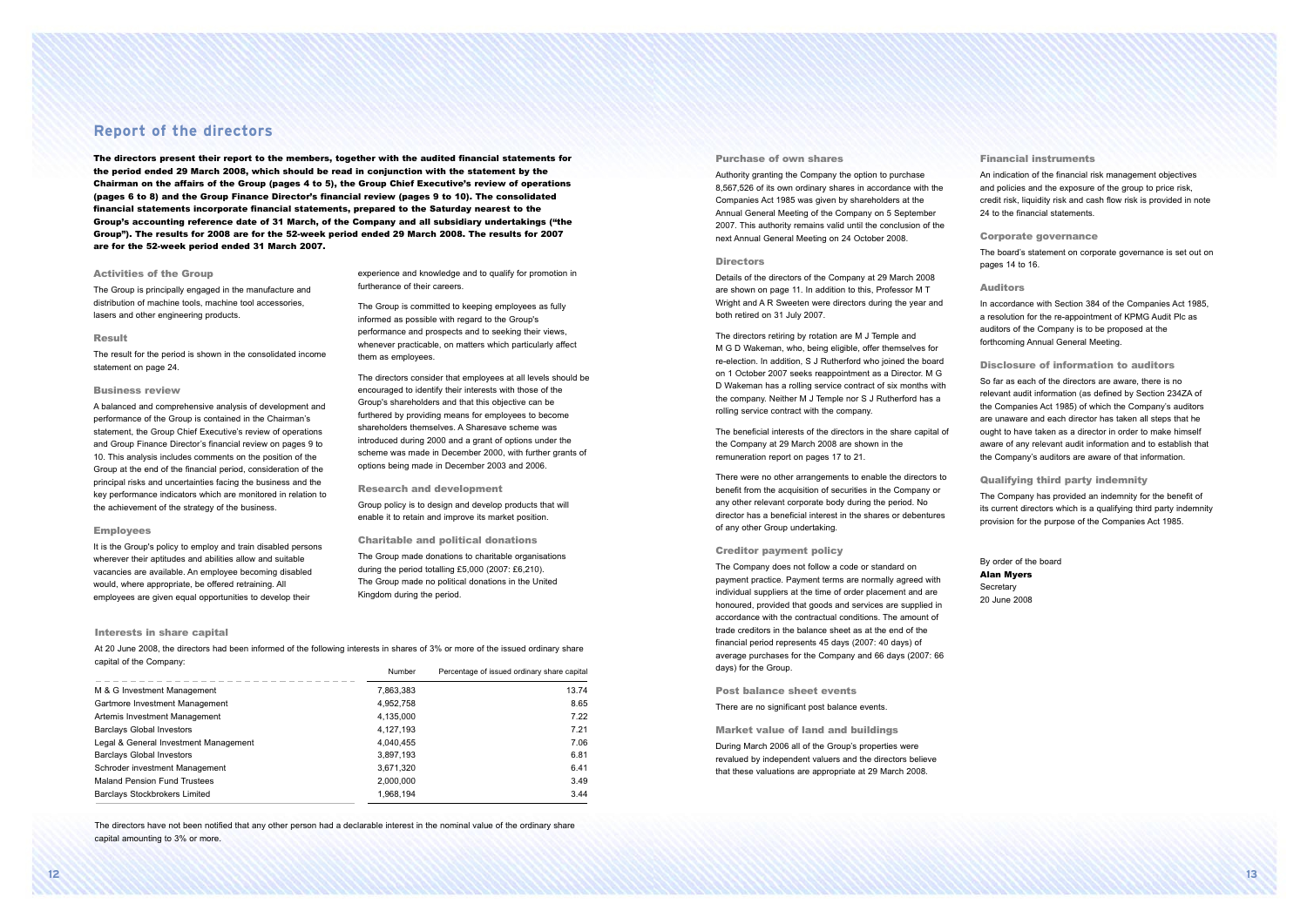### Activities of the Group

The Group is principally engaged in the manufacture and distribution of machine tools, machine tool accessories, lasers and other engineering products.

#### Result

The result for the period is shown in the consolidated income statement on page 24.

#### Business review

A balanced and comprehensive analysis of development and performance of the Group is contained in the Chairman's statement, the Group Chief Executive's review of operations and Group Finance Director's financial review on pages 9 to 10. This analysis includes comments on the position of the Group at the end of the financial period, consideration of the principal risks and uncertainties facing the business and the key performance indicators which are monitored in relation to the achievement of the strategy of the business.

It is the Group's policy to employ and train disabled persons wherever their aptitudes and abilities allow and suitable vacancies are available. An employee becoming disabled would, where appropriate, be offered retraining. All employees are given equal opportunities to develop their

### Employees

experience and knowledge and to qualify for promotion in furtherance of their careers.

The Group is committed to keeping employees as fully informed as possible with regard to the Group's performance and prospects and to seeking their views, whenever practicable, on matters which particularly affect them as employees.

The directors consider that employees at all levels should be encouraged to identify their interests with those of the Group's shareholders and that this objective can be furthered by providing means for employees to become shareholders themselves. A Sharesave scheme was introduced during 2000 and a grant of options under the scheme was made in December 2000, with further grants of options being made in December 2003 and 2006.

#### Research and development

Group policy is to design and develop products that will enable it to retain and improve its market position.

#### Charitable and political donations

The Group made donations to charitable organisations during the period totalling £5,000 (2007: £6,210). The Group made no political donations in the United Kingdom during the period.

### **Report of the directors**

#### Purchase of own shares

Authority granting the Company the option to purchase 8,567,526 of its own ordinary shares in accordance with the Companies Act 1985 was given by shareholders at the Annual General Meeting of the Company on 5 September 2007. This authority remains valid until the conclusion of the next Annual General Meeting on 24 October 2008.

### **Directors**

Details of the directors of the Company at 29 March 2008 are shown on page 11. In addition to this, Professor M T Wright and A R Sweeten were directors during the year and both retired on 31 July 2007.

The directors retiring by rotation are M J Temple and M G D Wakeman, who, being eligible, offer themselves for re-election. In addition, S J Rutherford who joined the board on 1 October 2007 seeks reappointment as a Director. M G D Wakeman has a rolling service contract of six months with the company. Neither M J Temple nor S J Rutherford has a rolling service contract with the company.

The beneficial interests of the directors in the share capital of the Company at 29 March 2008 are shown in the remuneration report on pages 17 to 21.

There were no other arrangements to enable the directors to benefit from the acquisition of securities in the Company or any other relevant corporate body during the period. No director has a beneficial interest in the shares or debentures of any other Group undertaking.

#### Creditor payment policy

The Company does not follow a code or standard on payment practice. Payment terms are normally agreed with individual suppliers at the time of order placement and are honoured, provided that goods and services are supplied in accordance with the contractual conditions. The amount of trade creditors in the balance sheet as at the end of the financial period represents 45 days (2007: 40 days) of average purchases for the Company and 66 days (2007: 66 days) for the Group.

Post balance sheet events

There are no significant post balance events.

Market value of land and buildings

During March 2006 all of the Group's properties were revalued by independent valuers and the directors believe that these valuations are appropriate at 29 March 2008.

#### Financial instruments

An indication of the financial risk management objectives and policies and the exposure of the group to price risk, credit risk, liquidity risk and cash flow risk is provided in note 24 to the financial statements.

### Corporate governance

The board's statement on corporate governance is set out on pages 14 to 16.

### **Auditors**

In accordance with Section 384 of the Companies Act 1985, a resolution for the re-appointment of KPMG Audit Plc as auditors of the Company is to be proposed at the forthcoming Annual General Meeting.

### Disclosure of information to auditors

So far as each of the directors are aware, there is no relevant audit information (as defined by Section 234ZA of the Companies Act 1985) of which the Company's auditors are unaware and each director has taken all steps that he ought to have taken as a director in order to make himself aware of any relevant audit information and to establish that the Company's auditors are aware of that information.

### Qualifying third party indemnity

The Company has provided an indemnity for the benefit of its current directors which is a qualifying third party indemnity provision for the purpose of the Companies Act 1985.

By order of the board Alan Myers Secretary 20 June 2008

The directors present their report to the members, together with the audited financial statements for the period ended 29 March 2008, which should be read in conjunction with the statement by the Chairman on the affairs of the Group (pages 4 to 5), the Group Chief Executive's review of operations (pages 6 to 8) and the Group Finance Director's financial review (pages 9 to 10). The consolidated financial statements incorporate financial statements, prepared to the Saturday nearest to the Group's accounting reference date of 31 March, of the Company and all subsidiary undertakings ("the Group"). The results for 2008 are for the 52-week period ended 29 March 2008. The results for 2007 are for the 52-week period ended 31 March 2007.

#### Interests in share capital

At 20 June 2008, the directors had been informed of the following interests in shares of 3% or more of the issued ordinary share capital of the Company:

|                                       | Number    | Percentage of issued ordinary share capital |
|---------------------------------------|-----------|---------------------------------------------|
| M & G Investment Management           | 7,863,383 | 13.74                                       |
| Gartmore Investment Management        | 4,952,758 | 8.65                                        |
| Artemis Investment Management         | 4,135,000 | 7.22                                        |
| <b>Barclays Global Investors</b>      | 4,127,193 | 7.21                                        |
| Legal & General Investment Management | 4,040,455 | 7.06                                        |
| <b>Barclays Global Investors</b>      | 3,897,193 | 6.81                                        |
| Schroder investment Management        | 3,671,320 | 6.41                                        |
| Maland Pension Fund Trustees          | 2.000.000 | 3.49                                        |
| <b>Barclays Stockbrokers Limited</b>  | 1.968.194 | 3.44                                        |

The directors have not been notified that any other person had a declarable interest in the nominal value of the ordinary share capital amounting to 3% or more.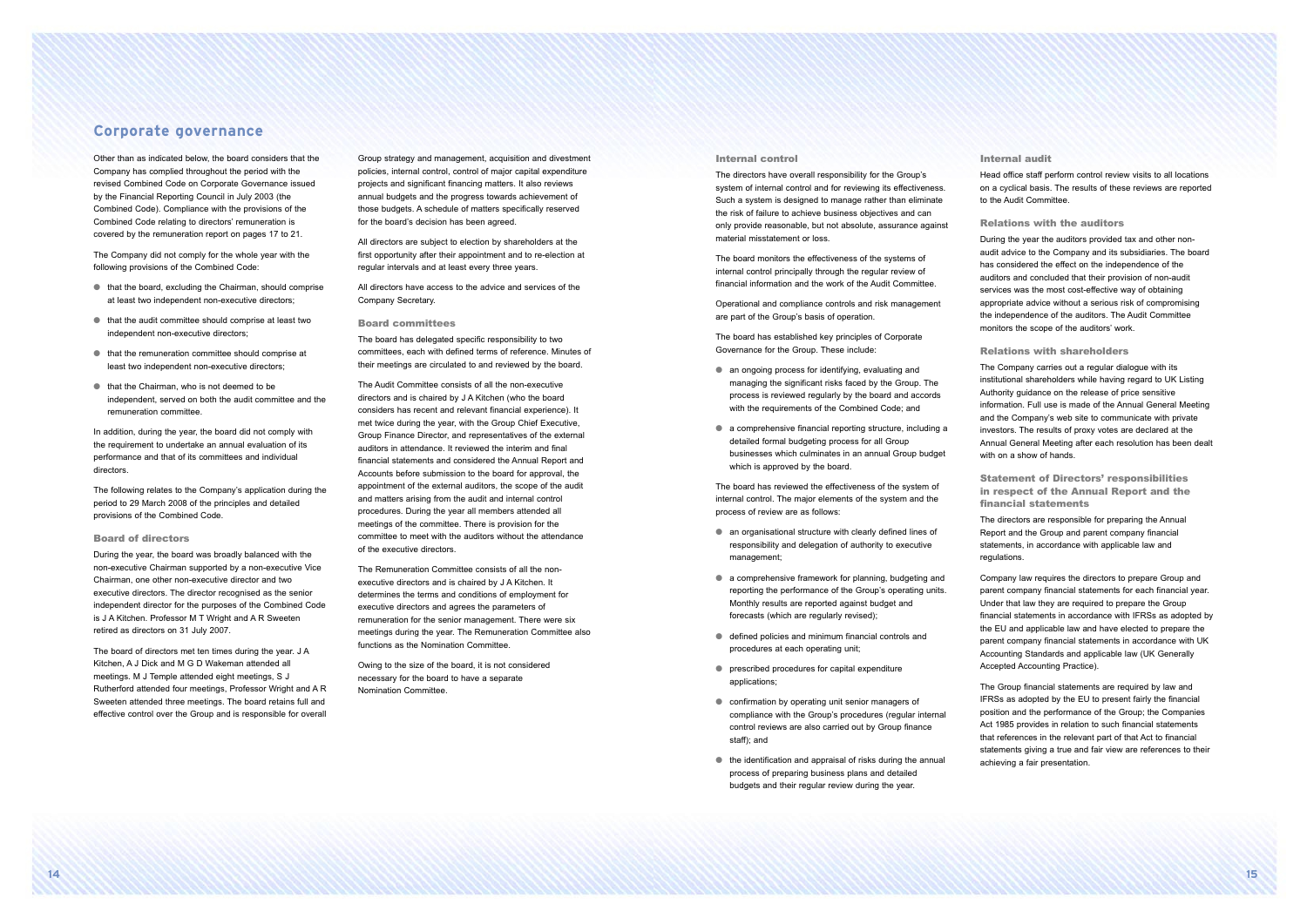### **Corporate governance**

Other than as indicated below, the board considers that the Company has complied throughout the period with the revised Combined Code on Corporate Governance issued by the Financial Reporting Council in July 2003 (the Combined Code). Compliance with the provisions of the Combined Code relating to directors' remuneration is covered by the remuneration report on pages 17 to 21.

The Company did not comply for the whole year with the following provisions of the Combined Code:

- that the board, excluding the Chairman, should comprise at least two independent non-executive directors;
- that the audit committee should comprise at least two independent non-executive directors;
- that the remuneration committee should comprise at least two independent non-executive directors;
- that the Chairman, who is not deemed to be independent, served on both the audit committee and the remuneration committee.

In addition, during the year, the board did not comply with the requirement to undertake an annual evaluation of its performance and that of its committees and individual directors.

The following relates to the Company's application during the period to 29 March 2008 of the principles and detailed provisions of the Combined Code.

### Board of directors

During the year, the board was broadly balanced with the non-executive Chairman supported by a non-executive Vice Chairman, one other non-executive director and two executive directors. The director recognised as the senior independent director for the purposes of the Combined Code is J A Kitchen. Professor M T Wright and A R Sweeten retired as directors on 31 July 2007.

The board of directors met ten times during the year. J A Kitchen, A J Dick and M G D Wakeman attended all meetings. M J Temple attended eight meetings, S J Rutherford attended four meetings, Professor Wright and A R Sweeten attended three meetings. The board retains full and effective control over the Group and is responsible for overall

Group strategy and management, acquisition and divestment policies, internal control, control of major capital expenditure projects and significant financing matters. It also reviews annual budgets and the progress towards achievement of those budgets. A schedule of matters specifically reserved for the board's decision has been agreed.

All directors are subject to election by shareholders at the first opportunity after their appointment and to re-election at regular intervals and at least every three years.

All directors have access to the advice and services of the Company Secretary.

- an ongoing process for identifying, evaluating and managing the significant risks faced by the Group. The process is reviewed regularly by the board and accords with the requirements of the Combined Code; and
- a comprehensive financial reporting structure, including a detailed formal budgeting process for all Group businesses which culminates in an annual Group budget which is approved by the board.

### Board committees

The board has delegated specific responsibility to two committees, each with defined terms of reference. Minutes of their meetings are circulated to and reviewed by the board.

The Audit Committee consists of all the non-executive directors and is chaired by J A Kitchen (who the board considers has recent and relevant financial experience). It met twice during the year, with the Group Chief Executive, Group Finance Director, and representatives of the external auditors in attendance. It reviewed the interim and final financial statements and considered the Annual Report and Accounts before submission to the board for approval, the appointment of the external auditors, the scope of the audit and matters arising from the audit and internal control procedures. During the year all members attended all meetings of the committee. There is provision for the committee to meet with the auditors without the attendance of the executive directors.

The Remuneration Committee consists of all the nonexecutive directors and is chaired by J A Kitchen. It determines the terms and conditions of employment for executive directors and agrees the parameters of remuneration for the senior management. There were six meetings during the year. The Remuneration Committee also functions as the Nomination Committee.

Owing to the size of the board, it is not considered necessary for the board to have a separate Nomination Committee.

#### Internal control

The directors have overall responsibility for the Group's system of internal control and for reviewing its effectiveness. Such a system is designed to manage rather than eliminate the risk of failure to achieve business objectives and can only provide reasonable, but not absolute, assurance against material misstatement or loss.

The board monitors the effectiveness of the systems of internal control principally through the regular review of financial information and the work of the Audit Committee.

Operational and compliance controls and risk management are part of the Group's basis of operation.

The board has established key principles of Corporate Governance for the Group. These include:

The board has reviewed the effectiveness of the system of internal control. The major elements of the system and the process of review are as follows:

- an organisational structure with clearly defined lines of responsibility and delegation of authority to executive management;
- a comprehensive framework for planning, budgeting and reporting the performance of the Group's operating units. Monthly results are reported against budget and forecasts (which are regularly revised);
- defined policies and minimum financial controls and procedures at each operating unit;
- prescribed procedures for capital expenditure applications;
- **Confirmation by operating unit senior managers of** compliance with the Group's procedures (regular internal control reviews are also carried out by Group finance staff); and
- the identification and appraisal of risks during the annual process of preparing business plans and detailed budgets and their regular review during the year.

#### Internal audit

Head office staff perform control review visits to all locations on a cyclical basis. The results of these reviews are reported to the Audit Committee.

### Relations with the auditors

During the year the auditors provided tax and other nonaudit advice to the Company and its subsidiaries. The board has considered the effect on the independence of the auditors and concluded that their provision of non-audit services was the most cost-effective way of obtaining appropriate advice without a serious risk of compromising the independence of the auditors. The Audit Committee monitors the scope of the auditors' work.

### Relations with shareholders

The Company carries out a regular dialogue with its institutional shareholders while having regard to UK Listing Authority guidance on the release of price sensitive information. Full use is made of the Annual General Meeting and the Company's web site to communicate with private investors. The results of proxy votes are declared at the Annual General Meeting after each resolution has been dealt with on a show of hands.

Statement of Directors' responsibilities in respect of the Annual Report and the financial statements

The directors are responsible for preparing the Annual Report and the Group and parent company financial statements, in accordance with applicable law and regulations.

Company law requires the directors to prepare Group and parent company financial statements for each financial year. Under that law they are required to prepare the Group financial statements in accordance with IFRSs as adopted by the EU and applicable law and have elected to prepare the parent company financial statements in accordance with UK Accounting Standards and applicable law (UK Generally Accepted Accounting Practice).

The Group financial statements are required by law and IFRSs as adopted by the EU to present fairly the financial position and the performance of the Group; the Companies Act 1985 provides in relation to such financial statements that references in the relevant part of that Act to financial statements giving a true and fair view are references to their achieving a fair presentation.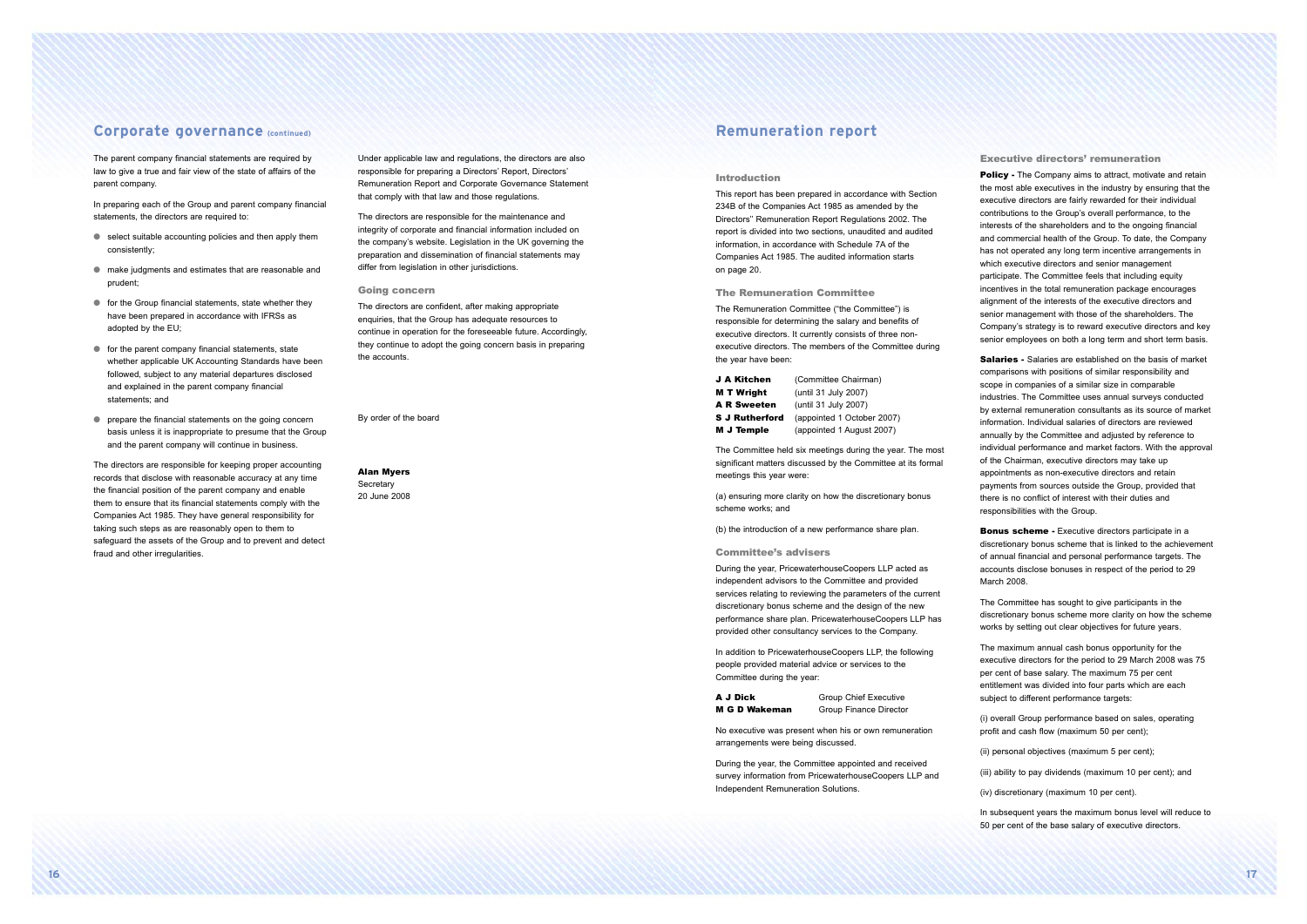The parent company financial statements are required by law to give a true and fair view of the state of affairs of the parent company.

In preparing each of the Group and parent company financial statements, the directors are required to:

- select suitable accounting policies and then apply them consistently;
- make judgments and estimates that are reasonable and prudent;
- $\bullet$  for the Group financial statements, state whether they have been prepared in accordance with IFRSs as adopted by the EU;
- for the parent company financial statements, state whether applicable UK Accounting Standards have been followed, subject to any material departures disclosed and explained in the parent company financial statements; and
- prepare the financial statements on the going concern basis unless it is inappropriate to presume that the Group and the parent company will continue in business.

The directors are responsible for keeping proper accounting records that disclose with reasonable accuracy at any time the financial position of the parent company and enable them to ensure that its financial statements comply with the Companies Act 1985. They have general responsibility for taking such steps as are reasonably open to them to safeguard the assets of the Group and to prevent and detect fraud and other irregularities.

Under applicable law and regulations, the directors are also responsible for preparing a Directors' Report, Directors' Remuneration Report and Corporate Governance Statement that comply with that law and those regulations.

The directors are responsible for the maintenance and integrity of corporate and financial information included on the company's website. Legislation in the UK governing the preparation and dissemination of financial statements may differ from legislation in other jurisdictions.

### Going concern

The directors are confident, after making appropriate enquiries, that the Group has adequate resources to continue in operation for the foreseeable future. Accordingly, they continue to adopt the going concern basis in preparing the accounts.

By order of the board

Alan Myers **Secretary** 20 June 2008

# **Remuneration report**

#### Introduction

This report has been prepared in accordance with Section 234B of the Companies Act 1985 as amended by the Directors'' Remuneration Report Regulations 2002. The report is divided into two sections, unaudited and audited information, in accordance with Schedule 7A of the Companies Act 1985. The audited information starts on page 20.

Policy - The Company aims to attract, motivate and retain the most able executives in the industry by ensuring that the executive directors are fairly rewarded for their individual contributions to the Group's overall performance, to the interests of the shareholders and to the ongoing financial and commercial health of the Group. To date, the Company has not operated any long term incentive arrangements in which executive directors and senior management participate. The Committee feels that including equity incentives in the total remuneration package encourages alignment of the interests of the executive directors and senior management with those of the shareholders. The Company's strategy is to reward executive directors and key senior employees on both a long term and short term basis.

The Remuneration Committee

The Remuneration Committee ("the Committee") is responsible for determining the salary and benefits of executive directors. It currently consists of three nonexecutive directors. The members of the Committee during the year have been:

| (Committee Chairman)       |
|----------------------------|
| (until 31 July 2007)       |
| (until 31 July 2007)       |
| (appointed 1 October 2007) |
| (appointed 1 August 2007)  |
|                            |

**Bonus scheme -** Executive directors participate in a discretionary bonus scheme that is linked to the achievement of annual financial and personal performance targets. The accounts disclose bonuses in respect of the period to 29 March 2008.

The Committee held six meetings during the year. The most significant matters discussed by the Committee at its formal meetings this year were:

(a) ensuring more clarity on how the discretionary bonus scheme works; and

(b) the introduction of a new performance share plan.

Committee's advisers

During the year, PricewaterhouseCoopers LLP acted as independent advisors to the Committee and provided services relating to reviewing the parameters of the current discretionary bonus scheme and the design of the new performance share plan. PricewaterhouseCoopers LLP has provided other consultancy services to the Company.

In addition to PricewaterhouseCoopers LLP, the following people provided material advice or services to the Committee during the year:

A J Dick Group Chief Executive **M G D Wakeman** Group Finance Director

No executive was present when his or own remuneration arrangements were being discussed.

During the year, the Committee appointed and received survey information from PricewaterhouseCoopers LLP and Independent Remuneration Solutions.

### Executive directors' remuneration

Salaries - Salaries are established on the basis of market comparisons with positions of similar responsibility and scope in companies of a similar size in comparable industries. The Committee uses annual surveys conducted by external remuneration consultants as its source of market information. Individual salaries of directors are reviewed annually by the Committee and adjusted by reference to individual performance and market factors. With the approval of the Chairman, executive directors may take up appointments as non-executive directors and retain payments from sources outside the Group, provided that there is no conflict of interest with their duties and responsibilities with the Group.

The Committee has sought to give participants in the discretionary bonus scheme more clarity on how the scheme works by setting out clear objectives for future years.

The maximum annual cash bonus opportunity for the executive directors for the period to 29 March 2008 was 75 per cent of base salary. The maximum 75 per cent entitlement was divided into four parts which are each subject to different performance targets:

(i) overall Group performance based on sales, operating profit and cash flow (maximum 50 per cent);

(ii) personal objectives (maximum 5 per cent);

(iii) ability to pay dividends (maximum 10 per cent); and

(iv) discretionary (maximum 10 per cent).

In subsequent years the maximum bonus level will reduce to 50 per cent of the base salary of executive directors.

### **Corporate governance (continued)**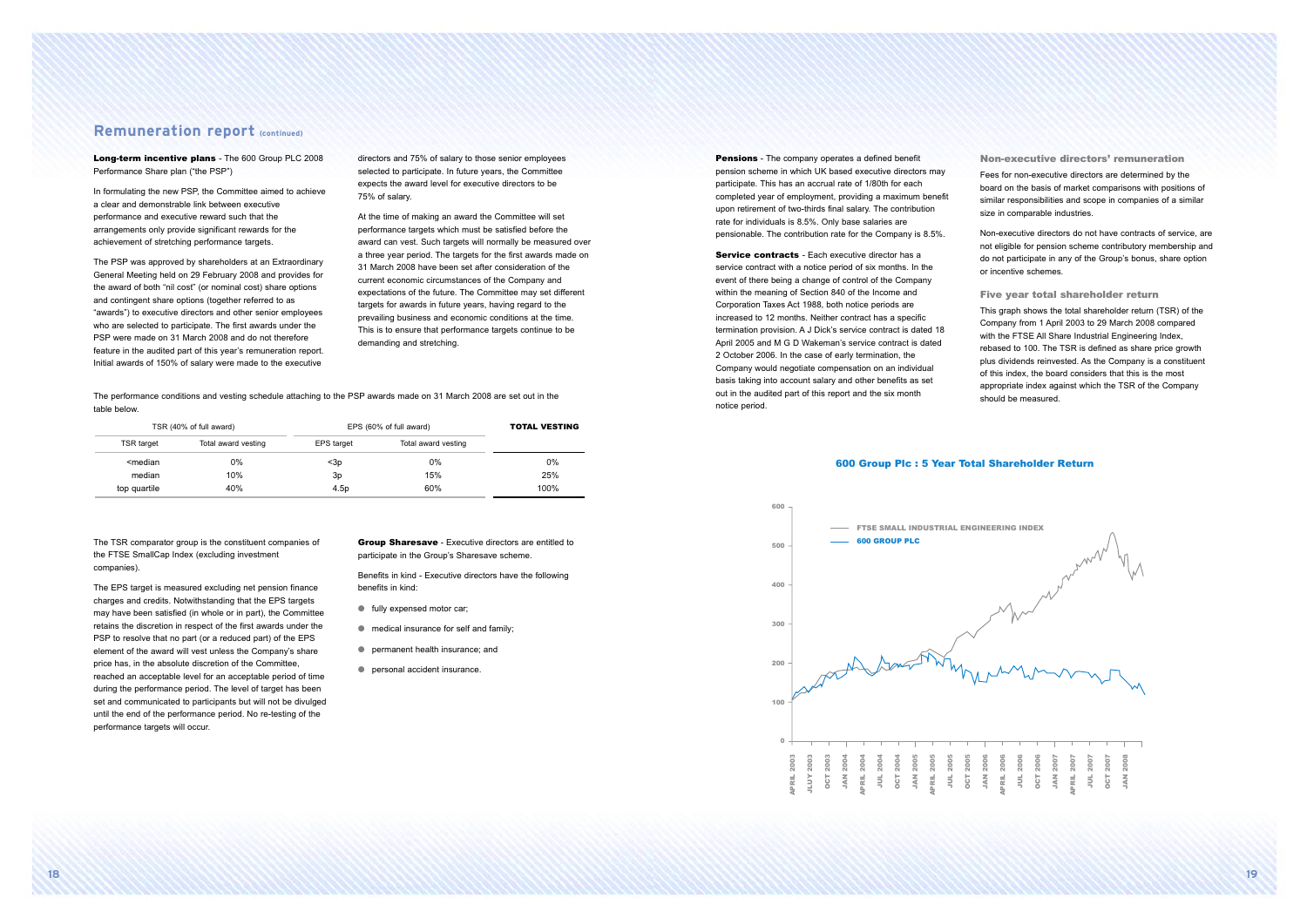Long-term incentive plans - The 600 Group PLC 2008 Performance Share plan ("the PSP")

In formulating the new PSP, the Committee aimed to achieve a clear and demonstrable link between executive performance and executive reward such that the arrangements only provide significant rewards for the achievement of stretching performance targets.

The PSP was approved by shareholders at an Extraordinary General Meeting held on 29 February 2008 and provides for the award of both "nil cost" (or nominal cost) share options and contingent share options (together referred to as "awards") to executive directors and other senior employees who are selected to participate. The first awards under the PSP were made on 31 March 2008 and do not therefore feature in the audited part of this year's remuneration report. Initial awards of 150% of salary were made to the executive

directors and 75% of salary to those senior employees selected to participate. In future years, the Committee expects the award level for executive directors to be 75% of salary.

At the time of making an award the Committee will set performance targets which must be satisfied before the award can vest. Such targets will normally be measured over a three year period. The targets for the first awards made on 31 March 2008 have been set after consideration of the current economic circumstances of the Company and expectations of the future. The Committee may set different targets for awards in future years, having regard to the prevailing business and economic conditions at the time. This is to ensure that performance targets continue to be demanding and stretching.

### **Remuneration report (continued)**





Pensions - The company operates a defined benefit pension scheme in which UK based executive directors may participate. This has an accrual rate of 1/80th for each completed year of employment, providing a maximum benefit upon retirement of two-thirds final salary. The contribution rate for individuals is 8.5%. Only base salaries are pensionable. The contribution rate for the Company is 8.5%.

The TSR comparator group is the constituent companies of the FTSE SmallCap Index (excluding investment companies).

Service contracts - Each executive director has a service contract with a notice period of six months. In the event of there being a change of control of the Company within the meaning of Section 840 of the Income and Corporation Taxes Act 1988, both notice periods are increased to 12 months. Neither contract has a specific termination provision. A J Dick's service contract is dated 18 April 2005 and M G D Wakeman's service contract is dated 2 October 2006. In the case of early termination, the Company would negotiate compensation on an individual basis taking into account salary and other benefits as set out in the audited part of this report and the six month notice period.

The EPS target is measured excluding net pension finance charges and credits. Notwithstanding that the EPS targets may have been satisfied (in whole or in part), the Committee retains the discretion in respect of the first awards under the PSP to resolve that no part (or a reduced part) of the EPS element of the award will vest unless the Company's share price has, in the absolute discretion of the Committee, reached an acceptable level for an acceptable period of time during the performance period. The level of target has been set and communicated to participants but will not be divulged until the end of the performance period. No re-testing of the performance targets will occur.

Group Sharesave - Executive directors are entitled to participate in the Group's Sharesave scheme.

Benefits in kind - Executive directors have the following benefits in kind:

- fully expensed motor car;
- medical insurance for self and family;
- permanent health insurance: and
- personal accident insurance.

The performance conditions and vesting schedule attaching to the PSP awards made on 31 March 2008 are set out in the table below.

| TSR (40% of full award)                                                                          |                     | EPS (60% of full award) |                     | <b>TOTAL VESTING</b> |
|--------------------------------------------------------------------------------------------------|---------------------|-------------------------|---------------------|----------------------|
| <b>TSR</b> target                                                                                | Total award vesting | EPS target              | Total award vesting |                      |
| <median< td=""><td>0%</td><td><math>3p</math></td><td>0%</td><td><math>0\%</math></td></median<> | 0%                  | $3p$                    | 0%                  | $0\%$                |
| median                                                                                           | 10%                 | 3p                      | 15%                 | 25%                  |
| top quartile                                                                                     | 40%                 | 4.5p                    | 60%                 | 100%                 |

#### Non-executive directors' remuneration

Fees for non-executive directors are determined by the board on the basis of market comparisons with positions of similar responsibilities and scope in companies of a similar size in comparable industries.

Non-executive directors do not have contracts of service, are not eligible for pension scheme contributory membership and do not participate in any of the Group's bonus, share option or incentive schemes.

### Five year total shareholder return

This graph shows the total shareholder return (TSR) of the Company from 1 April 2003 to 29 March 2008 compared with the FTSE All Share Industrial Engineering Index, rebased to 100. The TSR is defined as share price growth plus dividends reinvested. As the Company is a constituent of this index, the board considers that this is the most appropriate index against which the TSR of the Company should be measured.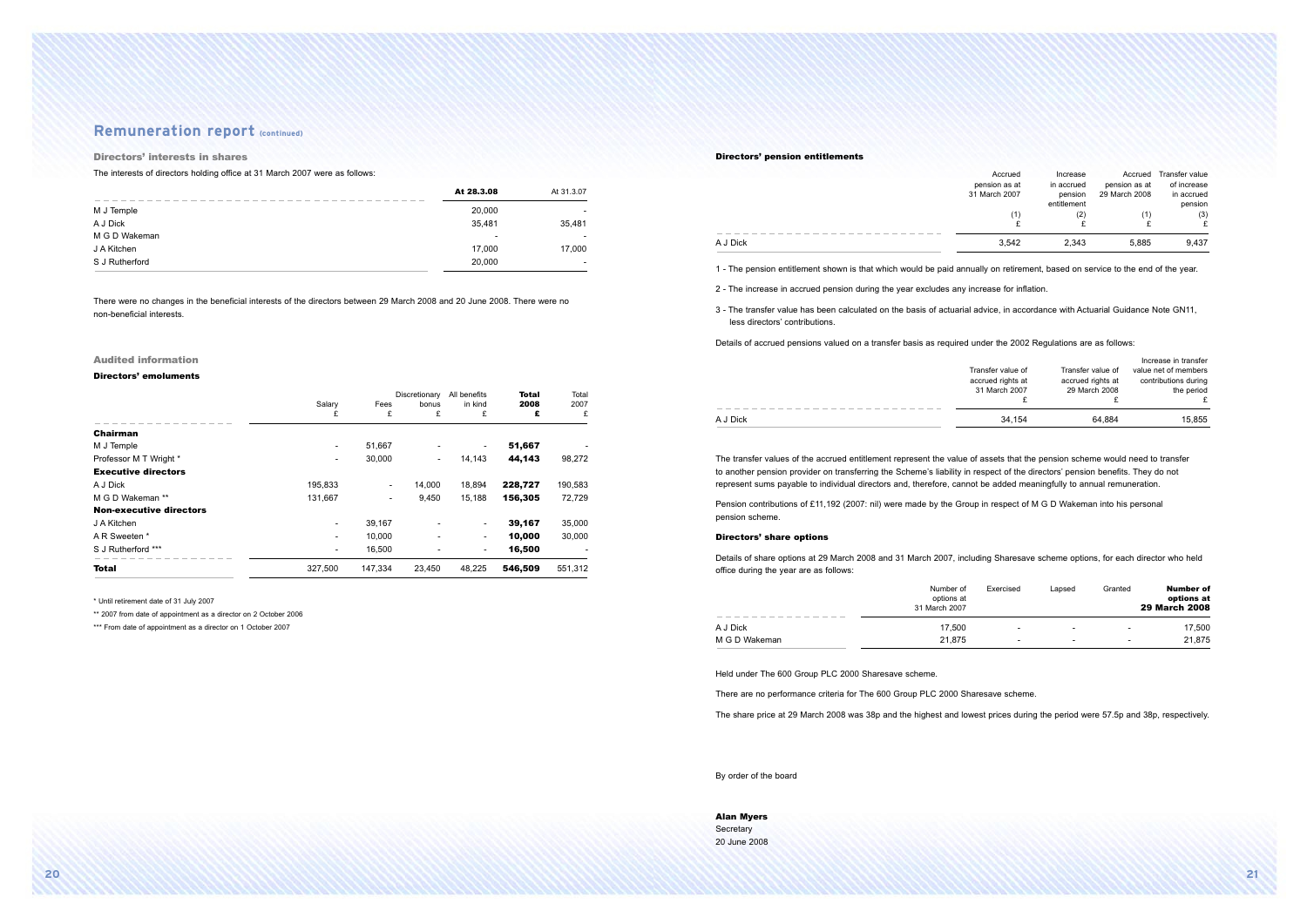#### Directors' pension entitlements

 $\sim$   $-$ 

|          | Accrued<br>pension as at<br>31 March 2007 | Increase<br>in accrued<br>pension<br>entitlement | Accrued<br>pension as at<br>29 March 2008 | Transfer value<br>of increase<br>in accrued<br>pension |
|----------|-------------------------------------------|--------------------------------------------------|-------------------------------------------|--------------------------------------------------------|
|          | (1)                                       | (2)                                              | (1)                                       | (3)<br>£                                               |
| A J Dick | 3,542                                     | 2.343                                            | 5.885                                     | 9,437                                                  |

1 - The pension entitlement shown is that which would be paid annually on retirement, based on service to the end of the year.

- 2 The increase in accrued pension during the year excludes any increase for inflation.
- 3 The transfer value has been calculated on the basis of actuarial advice, in accordance with Actuarial Guidance Note GN11, less directors' contributions.

Details of accrued pensions valued on a transfer basis as required under the 2002 Regulations are as follows:

|                   |                   | Increase in transfer |
|-------------------|-------------------|----------------------|
| Transfer value of | Transfer value of | value net of members |
| accrued rights at | accrued rights at | contributions during |
| 31 March 2007     | 29 March 2008     | the period           |
|                   |                   |                      |
| 34.154            | 64.884            | 15.855               |

|  | A J Dick                                                | 34.154                                                  | 64.884                                                                             | 15.855 |
|--|---------------------------------------------------------|---------------------------------------------------------|------------------------------------------------------------------------------------|--------|
|  | Transfer value of<br>accrued rights at<br>31 March 2007 | Transfer value of<br>accrued rights at<br>29 March 2008 | ווטוכמסכ ווו ממוסוכו<br>value net of members<br>contributions during<br>the period |        |

**Secretary** 20 June 2008

The transfer values of the accrued entitlement represent the value of assets that the pension scheme would need to transfer to another pension provider on transferring the Scheme's liability in respect of the directors' pension benefits. They do not represent sums payable to individual directors and, therefore, cannot be added meaningfully to annual remuneration.

Pension contributions of £11,192 (2007: nil) were made by the Group in respect of M G D Wakeman into his personal pension scheme.

### Directors' share options

Details of share options at 29 March 2008 and 31 March 2007, including Sharesave scheme options, for each director who held office during the year are as follows:

|               | Number of<br>options at<br>31 March 2007 | Exercised                | Lapsed                   | Granted                  | <b>Number of</b><br>options at<br><b>29 March 2008</b> |
|---------------|------------------------------------------|--------------------------|--------------------------|--------------------------|--------------------------------------------------------|
| A J Dick      | 17.500                                   | $\overline{\phantom{0}}$ | $\overline{\phantom{0}}$ | $\overline{\phantom{0}}$ | 17,500                                                 |
| M G D Wakeman | 21.875                                   | $\overline{\phantom{0}}$ | $\overline{\phantom{0}}$ | $\blacksquare$           | 21,875                                                 |

Held under The 600 Group PLC 2000 Sharesave scheme.

There are no performance criteria for The 600 Group PLC 2000 Sharesave scheme.

The share price at 29 March 2008 was 38p and the highest and lowest prices during the period were 57.5p and 38p, respectively.

By order of the board

### Alan Myers

# **Remuneration report (continued)**

Directors' interests in shares

The interests of directors holding office at 31 March 2007 were as follows:

|                | At 28.3.08               | At 31.3.07               |
|----------------|--------------------------|--------------------------|
| M J Temple     | 20,000                   | $\overline{\phantom{0}}$ |
| A J Dick       | 35,481                   | 35,481                   |
| M G D Wakeman  | $\overline{\phantom{0}}$ | $\overline{\phantom{0}}$ |
| J A Kitchen    | 17,000                   | 17,000                   |
| S J Rutherford | 20,000                   |                          |

There were no changes in the beneficial interests of the directors between 29 March 2008 and 20 June 2008. There were no non-beneficial interests.

### Audited information

### Directors' emoluments

|                                |                          |                          | Discretionary            | All benefits             | Total   | Total   |      |
|--------------------------------|--------------------------|--------------------------|--------------------------|--------------------------|---------|---------|------|
|                                | Salary                   |                          | Fees                     | bonus                    | in kind | 2008    | 2007 |
|                                | £                        | £                        | £                        | £                        | £       | £       |      |
| Chairman                       |                          |                          |                          |                          |         |         |      |
| M J Temple                     |                          | 51,667                   | $\overline{\phantom{a}}$ |                          | 51,667  |         |      |
| Professor M T Wright *         | $\overline{\phantom{a}}$ | 30,000                   | $\blacksquare$           | 14,143                   | 44,143  | 98,272  |      |
| <b>Executive directors</b>     |                          |                          |                          |                          |         |         |      |
| A J Dick                       | 195,833                  | $\overline{\phantom{a}}$ | 14,000                   | 18.894                   | 228,727 | 190,583 |      |
| M G D Wakeman **               | 131,667                  | -                        | 9,450                    | 15,188                   | 156,305 | 72,729  |      |
| <b>Non-executive directors</b> |                          |                          |                          |                          |         |         |      |
| J A Kitchen                    | $\overline{\phantom{a}}$ | 39,167                   | $\overline{\phantom{a}}$ | $\overline{\phantom{0}}$ | 39,167  | 35,000  |      |
| A R Sweeten *                  | $\overline{\phantom{a}}$ | 10,000                   | $\overline{\phantom{a}}$ | $\overline{\phantom{a}}$ | 10,000  | 30,000  |      |
| S J Rutherford ***             | $\overline{\phantom{a}}$ | 16,500                   | $\blacksquare$           | -                        | 16,500  |         |      |
| <b>Total</b>                   | 327,500                  | 147,334                  | 23,450                   | 48,225                   | 546,509 | 551,312 |      |

\* Until retirement date of 31 July 2007

\*\* 2007 from date of appointment as a director on 2 October 2006

\*\*\* From date of appointment as a director on 1 October 2007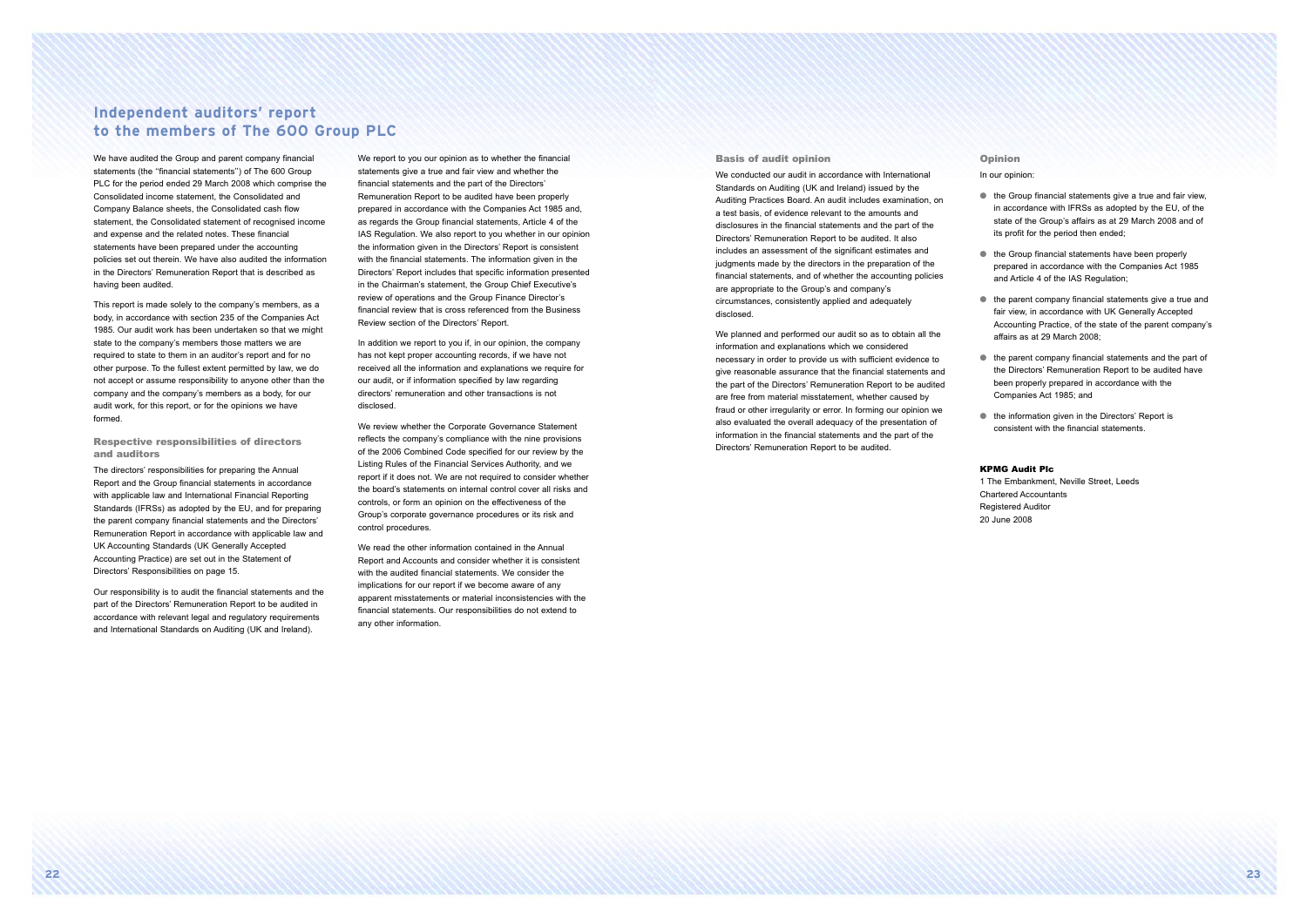# **Independent auditors' report to the members of The 600 Group PLC**

We have audited the Group and parent company financial statements (the ''financial statements'') of The 600 Group PLC for the period ended 29 March 2008 which comprise the Consolidated income statement, the Consolidated and Company Balance sheets, the Consolidated cash flow statement, the Consolidated statement of recognised income and expense and the related notes. These financial statements have been prepared under the accounting policies set out therein. We have also audited the information in the Directors' Remuneration Report that is described as having been audited.

This report is made solely to the company's members, as a body, in accordance with section 235 of the Companies Act 1985. Our audit work has been undertaken so that we might state to the company's members those matters we are required to state to them in an auditor's report and for no other purpose. To the fullest extent permitted by law, we do not accept or assume responsibility to anyone other than the company and the company's members as a body, for our audit work, for this report, or for the opinions we have formed.

Respective responsibilities of directors and auditors

The directors' responsibilities for preparing the Annual Report and the Group financial statements in accordance with applicable law and International Financial Reporting Standards (IFRSs) as adopted by the EU, and for preparing the parent company financial statements and the Directors' Remuneration Report in accordance with applicable law and UK Accounting Standards (UK Generally Accepted Accounting Practice) are set out in the Statement of Directors' Responsibilities on page 15.

Our responsibility is to audit the financial statements and the part of the Directors' Remuneration Report to be audited in accordance with relevant legal and regulatory requirements and International Standards on Auditing (UK and Ireland).

We report to you our opinion as to whether the financial statements give a true and fair view and whether the financial statements and the part of the Directors' Remuneration Report to be audited have been properly prepared in accordance with the Companies Act 1985 and, as regards the Group financial statements, Article 4 of the IAS Regulation. We also report to you whether in our opinion the information given in the Directors' Report is consistent with the financial statements. The information given in the Directors' Report includes that specific information presented in the Chairman's statement, the Group Chief Executive's review of operations and the Group Finance Director's financial review that is cross referenced from the Business Review section of the Directors' Report.

In addition we report to you if, in our opinion, the company has not kept proper accounting records, if we have not received all the information and explanations we require for our audit, or if information specified by law regarding directors' remuneration and other transactions is not disclosed.

We review whether the Corporate Governance Statement reflects the company's compliance with the nine provisions of the 2006 Combined Code specified for our review by the Listing Rules of the Financial Services Authority, and we report if it does not. We are not required to consider whether the board's statements on internal control cover all risks and controls, or form an opinion on the effectiveness of the Group's corporate governance procedures or its risk and control procedures.

We read the other information contained in the Annual Report and Accounts and consider whether it is consistent with the audited financial statements. We consider the implications for our report if we become aware of any apparent misstatements or material inconsistencies with the financial statements. Our responsibilities do not extend to any other information.

### Basis of audit opinion

We conducted our audit in accordance with International Standards on Auditing (UK and Ireland) issued by the Auditing Practices Board. An audit includes examination, on a test basis, of evidence relevant to the amounts and disclosures in the financial statements and the part of the Directors' Remuneration Report to be audited. It also includes an assessment of the significant estimates and judgments made by the directors in the preparation of the financial statements, and of whether the accounting policies are appropriate to the Group's and company's circumstances, consistently applied and adequately disclosed.

We planned and performed our audit so as to obtain all the information and explanations which we considered necessary in order to provide us with sufficient evidence to give reasonable assurance that the financial statements and the part of the Directors' Remuneration Report to be audited are free from material misstatement, whether caused by fraud or other irregularity or error. In forming our opinion we also evaluated the overall adequacy of the presentation of information in the financial statements and the part of the Directors' Remuneration Report to be audited.

#### Opinion

In our opinion:

- the Group financial statements give a true and fair view, in accordance with IFRSs as adopted by the EU, of the state of the Group's affairs as at 29 March 2008 and of its profit for the period then ended;
- the Group financial statements have been properly prepared in accordance with the Companies Act 1985 and Article 4 of the IAS Regulation;
- the parent company financial statements give a true and fair view, in accordance with UK Generally Accepted Accounting Practice, of the state of the parent company's affairs as at 29 March 2008;
- the parent company financial statements and the part of the Directors' Remuneration Report to be audited have been properly prepared in accordance with the Companies Act 1985; and
- the information given in the Directors' Report is consistent with the financial statements.

### KPMG Audit Plc

1 The Embankment, Neville Street, Leeds Chartered Accountants Registered Auditor 20 June 2008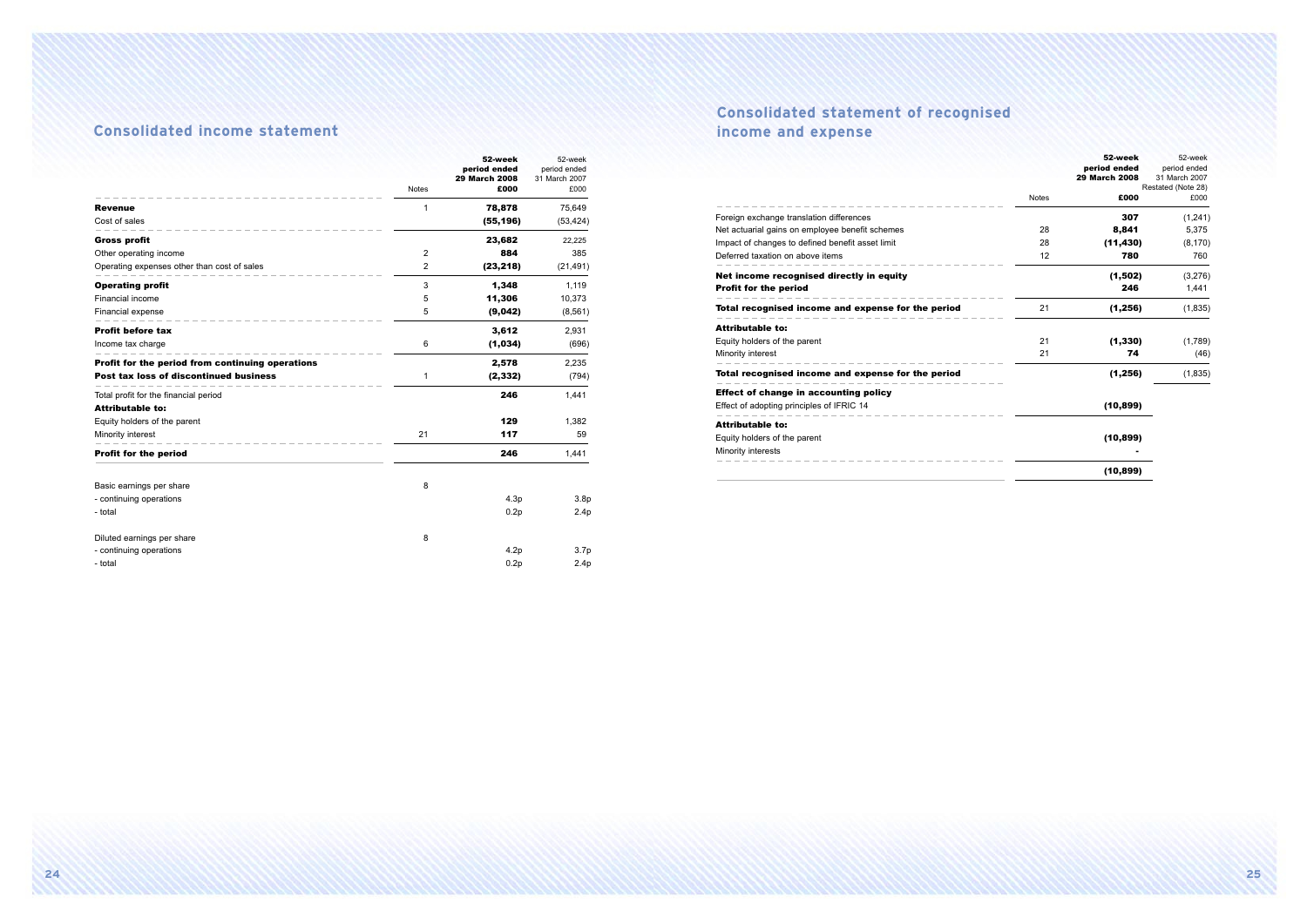|                                                  | Notes          | 52-week<br>period ended<br>29 March 2008<br>£000 | 52-week<br>period ended<br>31 March 2007<br>£000 |
|--------------------------------------------------|----------------|--------------------------------------------------|--------------------------------------------------|
|                                                  |                |                                                  |                                                  |
| <b>Revenue</b><br>Cost of sales                  | 1              | 78,878<br>(55, 196)                              | 75,649<br>(53, 424)                              |
| <b>Gross profit</b>                              |                | 23,682                                           | 22,225                                           |
| Other operating income                           | $\overline{2}$ | 884                                              | 385                                              |
| Operating expenses other than cost of sales      | $\overline{2}$ | (23, 218)                                        | (21, 491)                                        |
| <b>Operating profit</b>                          | 3              | 1,348                                            | 1,119                                            |
| Financial income                                 | 5              | 11,306                                           | 10,373                                           |
| Financial expense                                | 5              | (9,042)                                          | (8, 561)                                         |
| <b>Profit before tax</b>                         |                | 3,612                                            | 2,931                                            |
| Income tax charge                                | 6              | (1, 034)                                         | (696)                                            |
| Profit for the period from continuing operations |                | 2,578                                            | 2,235                                            |
| Post tax loss of discontinued business           | 1              | (2, 332)                                         | (794)                                            |
| Total profit for the financial period            |                | 246                                              | 1,441                                            |
| <b>Attributable to:</b>                          |                |                                                  |                                                  |
| Equity holders of the parent                     |                | 129                                              | 1,382                                            |
| Minority interest                                | 21             | 117                                              | 59                                               |
| <b>Profit for the period</b>                     |                | 246                                              | 1,441                                            |
| Basic earnings per share                         | 8              |                                                  |                                                  |
| - continuing operations                          |                | 4.3 <sub>p</sub>                                 | 3.8p                                             |
| - total                                          |                | 0.2p                                             | 2.4p                                             |
| Diluted earnings per share                       | 8              |                                                  |                                                  |
| - continuing operations                          |                | 4.2 <sub>p</sub>                                 | 3.7p                                             |
| - total                                          |                | 0.2p                                             | 2.4p                                             |

# **Consolidated income statement**

# **Consolidated statement of recognised income and expense**

|       | 52-week<br>period ended<br><b>29 March 2008</b> | 52-week<br>period ended<br>31 March 2007 |
|-------|-------------------------------------------------|------------------------------------------|
| Notes | £000                                            | Restated (Note 28)<br>£000               |
|       | 307                                             | (1, 241)                                 |
| 28    | 8,841                                           | 5,375                                    |
| 28    | (11, 430)                                       | (8, 170)                                 |
| 12    | 780                                             | 760                                      |
|       | (1,502)                                         | (3,276)                                  |
|       | 246                                             | 1,441                                    |
| 21    | (1,256)                                         | (1, 835)                                 |
| 21    | (1, 330)                                        | (1,789)                                  |
| 21    | 74                                              | (46)                                     |
|       | (1,256)                                         | (1, 835)                                 |
|       | (10, 899)                                       |                                          |
|       | (10, 899)                                       |                                          |
|       |                                                 |                                          |
|       | (10, 899)                                       |                                          |

| Foreign exchange translation differences           |    | 307       | (1, 241) |
|----------------------------------------------------|----|-----------|----------|
| Net actuarial gains on employee benefit schemes    | 28 | 8,841     | 5,375    |
| Impact of changes to defined benefit asset limit   | 28 | (11, 430) | (8, 170) |
| Deferred taxation on above items                   | 12 | 780       | 760      |
| Net income recognised directly in equity           |    | (1, 502)  | (3,276)  |
| <b>Profit for the period</b>                       |    | 246       | 1,441    |
| Total recognised income and expense for the period | 21 | (1,256)   | (1,835)  |
| <b>Attributable to:</b>                            |    |           |          |
| Equity holders of the parent                       | 21 | (1, 330)  | (1,789)  |
| Minority interest                                  | 21 | 74        | (46)     |
| Total recognised income and expense for the period |    | (1,256)   | (1, 835) |
| <b>Effect of change in accounting policy</b>       |    |           |          |
| Effect of adopting principles of IFRIC 14          |    | (10, 899) |          |
| <b>Attributable to:</b>                            |    |           |          |
| Equity holders of the parent                       |    | (10, 899) |          |
| Minority interests                                 |    |           |          |
|                                                    |    |           |          |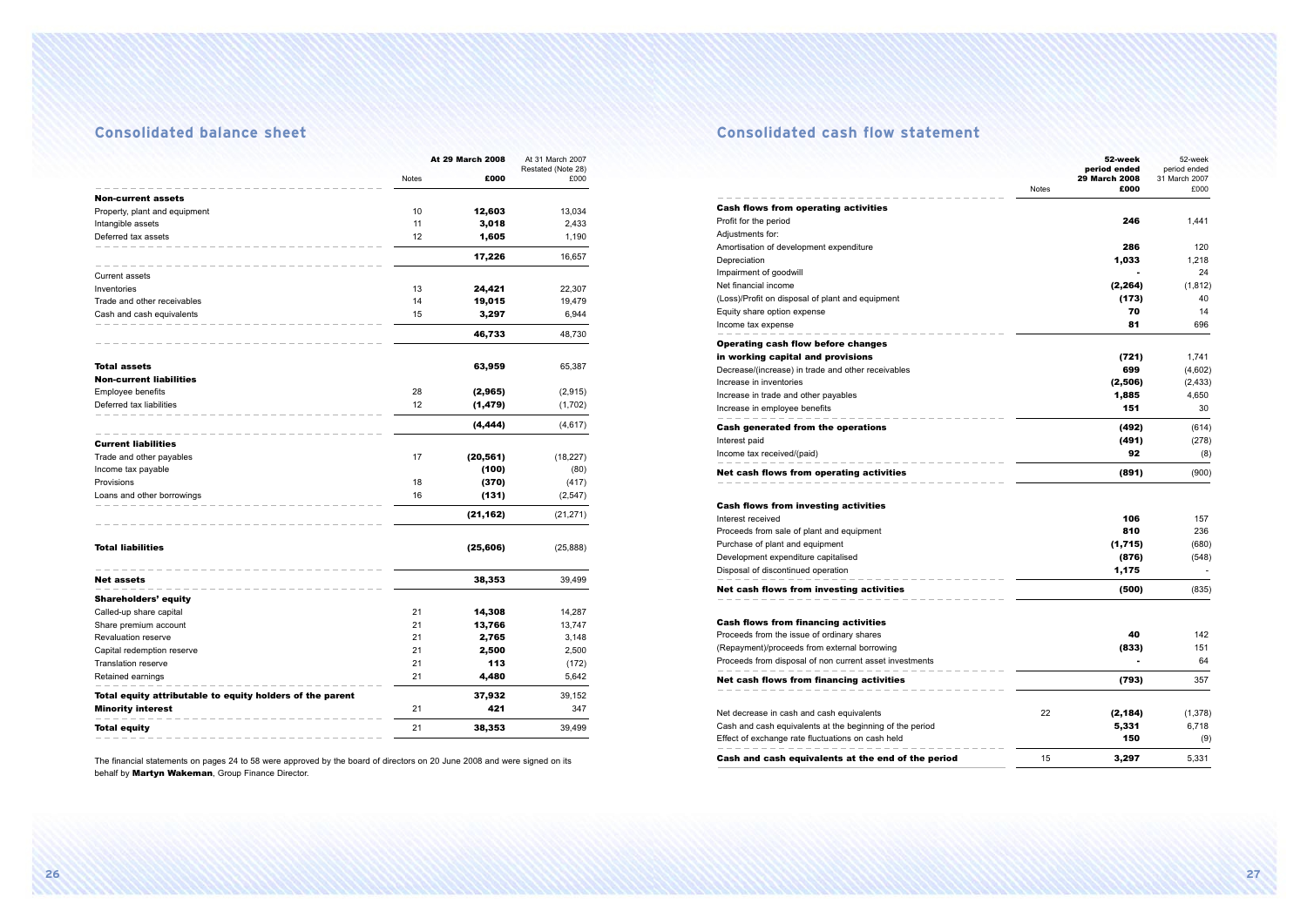The financial statements on pages 24 to 58 were approved by the board of directors on 20 June 2008 and were signed on its behalf by Martyn Wakeman, Group Finance Director.

|                                                           |       | <b>At 29 March 2008</b> |                            |
|-----------------------------------------------------------|-------|-------------------------|----------------------------|
|                                                           | Notes | £000                    | Restated (Note 28)<br>£000 |
| <b>Non-current assets</b>                                 |       |                         |                            |
| Property, plant and equipment                             | 10    | 12,603                  | 13,034                     |
| Intangible assets                                         | 11    | 3,018                   | 2,433                      |
| Deferred tax assets                                       | 12    | 1,605                   | 1,190                      |
|                                                           |       | 17,226                  | 16,657                     |
| Current assets                                            |       |                         |                            |
| Inventories                                               | 13    | 24,421                  | 22,307                     |
| Trade and other receivables                               | 14    | 19,015                  | 19,479                     |
| Cash and cash equivalents                                 | 15    | 3,297                   | 6,944                      |
|                                                           |       | 46,733                  | 48,730                     |
| <b>Total assets</b><br><b>Non-current liabilities</b>     |       | 63,959                  | 65,387                     |
| Employee benefits                                         | 28    | (2,965)                 |                            |
| Deferred tax liabilities                                  | 12    | (1, 479)                | (2,915)                    |
|                                                           |       | (4, 444)                | (1,702)<br>(4,617)         |
| <b>Current liabilities</b>                                |       |                         |                            |
| Trade and other payables                                  | 17    | (20, 561)               | (18, 227)                  |
| Income tax payable                                        |       | (100)                   | (80)                       |
| Provisions                                                | 18    | (370)                   | (417)                      |
| Loans and other borrowings                                | 16    | (131)                   | (2, 547)                   |
|                                                           |       | (21, 162)               | (21, 271)                  |
| <b>Total liabilities</b>                                  |       | (25, 606)               | (25, 888)                  |
| <b>Net assets</b>                                         |       | 38,353                  | 39,499                     |
| <b>Shareholders' equity</b>                               |       |                         |                            |
| Called-up share capital                                   | 21    | 14,308                  | 14,287                     |
| Share premium account                                     | 21    | 13,766                  | 13,747                     |
| <b>Revaluation reserve</b>                                | 21    | 2,765                   | 3,148                      |
| Capital redemption reserve                                | 21    | 2,500                   | 2,500                      |
| <b>Translation reserve</b>                                | 21    | 113                     | (172)                      |
| Retained earnings                                         | 21    | 4,480                   | 5,642                      |
| Total equity attributable to equity holders of the parent |       | 37,932                  | 39,152                     |
| <b>Minority interest</b>                                  | 21    | 421                     | 347                        |
| <b>Total equity</b>                                       | 21    | 38,353                  | 39,499                     |

# **Consolidated balance sheet**

| Notes | 52-week<br>period ended<br><b>29 March 2008</b><br>£000 | 52-week<br>period ended<br>31 March 2007<br>£000 |
|-------|---------------------------------------------------------|--------------------------------------------------|
|       | 246                                                     | 1,441                                            |
|       | 286                                                     | 120                                              |
|       | 1,033                                                   | 1,218                                            |
|       |                                                         | 24                                               |
|       | (2, 264)                                                | (1, 812)                                         |
|       | (173)                                                   | 40                                               |
|       | 70                                                      | 14                                               |
|       | 81                                                      | 696                                              |
|       | (721)                                                   | 1,741                                            |
|       | 699                                                     | (4,602)                                          |
|       | (2, 506)                                                | (2, 433)                                         |
|       | 1,885                                                   | 4,650                                            |
|       | 151                                                     | 30                                               |
|       | (492)                                                   | (614)                                            |
|       | (491)                                                   | (278)                                            |
|       | 92                                                      | (8)                                              |
|       | (891)                                                   | (900)                                            |
|       |                                                         |                                                  |
|       | 106                                                     | 157                                              |
|       | 810                                                     | 236                                              |
|       | (1, 715)                                                | (680)                                            |
|       | (876)                                                   | (548)                                            |
|       | 1,175                                                   |                                                  |
|       | (500)                                                   | (835)                                            |
|       |                                                         |                                                  |
|       | 40                                                      | 142                                              |
|       | (833)                                                   | 151                                              |
|       |                                                         | 64                                               |
|       | (793)                                                   | 357                                              |
| 22    | (2, 184)                                                | (1, 378)                                         |
|       | 5,331                                                   | 6,718                                            |
|       | 150                                                     | (9)                                              |
| 15    | 3,297                                                   | 5,331                                            |
|       |                                                         |                                                  |

|                                                          | nutes | エリリリ     | LUUU     |
|----------------------------------------------------------|-------|----------|----------|
| <b>Cash flows from operating activities</b>              |       |          |          |
| Profit for the period                                    |       | 246      | 1,441    |
| Adjustments for:                                         |       |          |          |
| Amortisation of development expenditure                  |       | 286      | 120      |
| Depreciation                                             |       | 1,033    | 1,218    |
| Impairment of goodwill                                   |       |          | 24       |
| Net financial income                                     |       | (2, 264) | (1, 812) |
| (Loss)/Profit on disposal of plant and equipment         |       | (173)    | 40       |
| Equity share option expense                              |       | 70       | 14       |
| Income tax expense                                       |       | 81       | 696      |
| <b>Operating cash flow before changes</b>                |       |          |          |
| in working capital and provisions                        |       | (721)    | 1,741    |
| Decrease/(increase) in trade and other receivables       |       | 699      | (4,602)  |
| Increase in inventories                                  |       | (2,506)  | (2, 433) |
| Increase in trade and other payables                     |       | 1,885    | 4,650    |
| Increase in employee benefits                            |       | 151      | 30       |
| <b>Cash generated from the operations</b>                |       | (492)    | (614)    |
| Interest paid                                            |       | (491)    | (278)    |
| Income tax received/(paid)                               |       | 92       | (8)      |
| Net cash flows from operating activities                 |       | (891)    | (900)    |
| <b>Cash flows from investing activities</b>              |       |          |          |
| Interest received                                        |       | 106      | 157      |
| Proceeds from sale of plant and equipment                |       | 810      | 236      |
| Purchase of plant and equipment                          |       | (1,715)  | (680)    |
| Development expenditure capitalised                      |       | (876)    | (548)    |
| Disposal of discontinued operation                       |       | 1,175    |          |
| Net cash flows from investing activities                 |       | (500)    | (835)    |
| <b>Cash flows from financing activities</b>              |       |          |          |
| Proceeds from the issue of ordinary shares               |       | 40       | 142      |
| (Repayment)/proceeds from external borrowing             |       | (833)    | 151      |
| Proceeds from disposal of non current asset investments  |       |          | 64       |
| Net cash flows from financing activities                 |       | (793)    | 357      |
| Net decrease in cash and cash equivalents                | 22    | (2, 184) | (1,378)  |
| Cash and cash equivalents at the beginning of the period |       | 5,331    | 6,718    |
| Effect of exchange rate fluctuations on cash held        |       | 150      | (9)      |
|                                                          |       |          |          |

Cash and cash equivalents at the end of the period

# **Consolidated cash flow statement**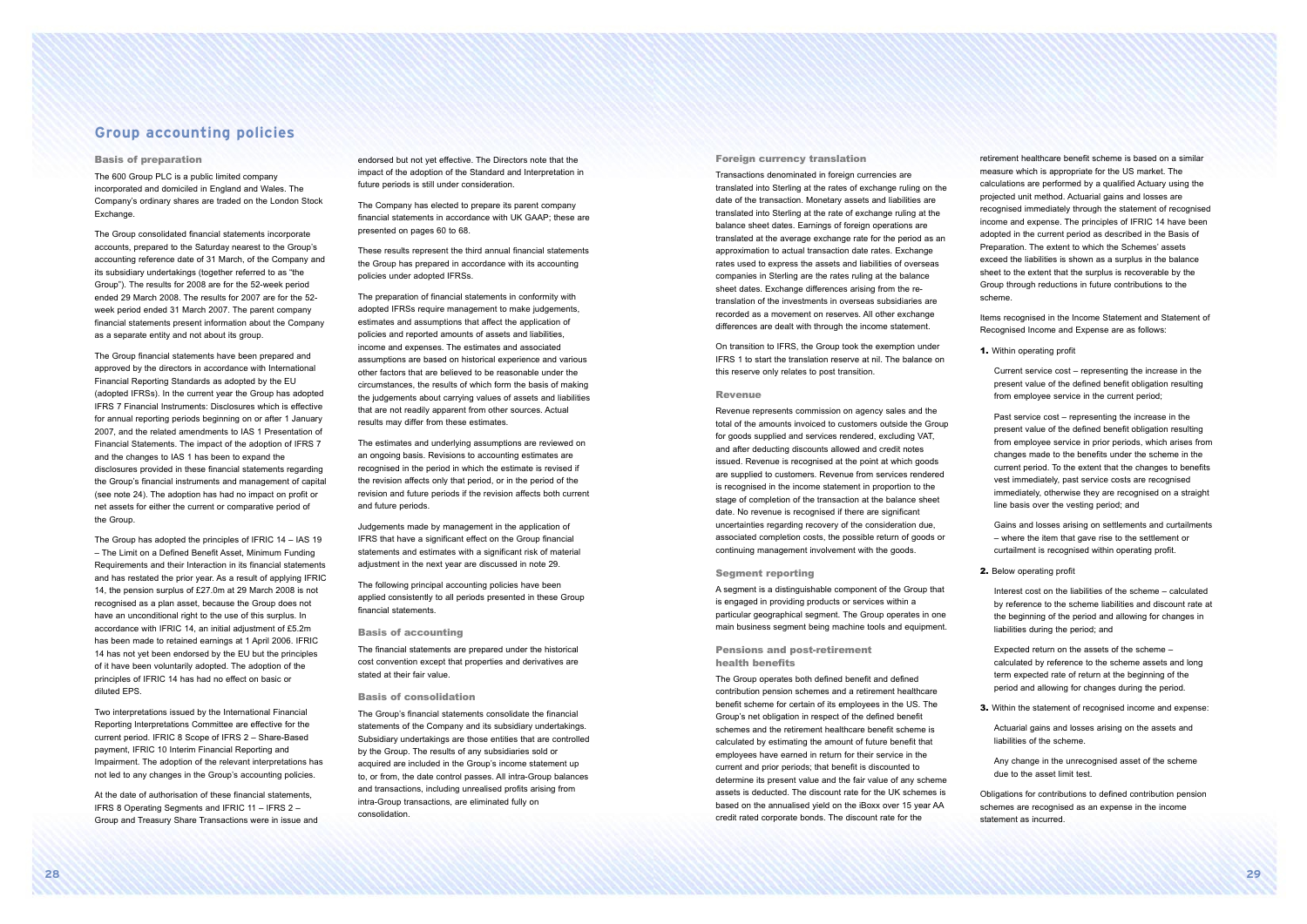### Basis of preparation

The 600 Group PLC is a public limited company incorporated and domiciled in England and Wales. The Company's ordinary shares are traded on the London Stock Exchange.

The Group consolidated financial statements incorporate accounts, prepared to the Saturday nearest to the Group's accounting reference date of 31 March, of the Company and its subsidiary undertakings (together referred to as "the Group"). The results for 2008 are for the 52-week period ended 29 March 2008. The results for 2007 are for the 52 week period ended 31 March 2007. The parent company financial statements present information about the Company as a separate entity and not about its group.

The Group financial statements have been prepared and approved by the directors in accordance with International Financial Reporting Standards as adopted by the EU (adopted IFRSs). In the current year the Group has adopted IFRS 7 Financial Instruments: Disclosures which is effective for annual reporting periods beginning on or after 1 January 2007, and the related amendments to IAS 1 Presentation of Financial Statements. The impact of the adoption of IFRS 7 and the changes to IAS 1 has been to expand the disclosures provided in these financial statements regarding the Group's financial instruments and management of capital (see note 24). The adoption has had no impact on profit or net assets for either the current or comparative period of the Group.

The Group has adopted the principles of IFRIC 14 – IAS 19 – The Limit on a Defined Benefit Asset, Minimum Funding Requirements and their Interaction in its financial statements and has restated the prior year. As a result of applying IFRIC 14, the pension surplus of £27.0m at 29 March 2008 is not recognised as a plan asset, because the Group does not have an unconditional right to the use of this surplus. In accordance with IFRIC 14, an initial adjustment of £5.2m has been made to retained earnings at 1 April 2006. IFRIC 14 has not yet been endorsed by the EU but the principles of it have been voluntarily adopted. The adoption of the principles of IFRIC 14 has had no effect on basic or diluted EPS.

Two interpretations issued by the International Financial Reporting Interpretations Committee are effective for the current period. IFRIC 8 Scope of IFRS 2 – Share-Based payment, IFRIC 10 Interim Financial Reporting and Impairment. The adoption of the relevant interpretations has not led to any changes in the Group's accounting policies.

At the date of authorisation of these financial statements, IFRS 8 Operating Segments and IFRIC 11 – IFRS 2 – Group and Treasury Share Transactions were in issue and endorsed but not yet effective. The Directors note that the impact of the adoption of the Standard and Interpretation in future periods is still under consideration.

The Company has elected to prepare its parent company financial statements in accordance with UK GAAP; these are presented on pages 60 to 68.

These results represent the third annual financial statements the Group has prepared in accordance with its accounting policies under adopted IFRSs.

The preparation of financial statements in conformity with adopted IFRSs require management to make judgements, estimates and assumptions that affect the application of policies and reported amounts of assets and liabilities, income and expenses. The estimates and associated assumptions are based on historical experience and various other factors that are believed to be reasonable under the circumstances, the results of which form the basis of making the judgements about carrying values of assets and liabilities that are not readily apparent from other sources. Actual results may differ from these estimates.

The estimates and underlying assumptions are reviewed on an ongoing basis. Revisions to accounting estimates are recognised in the period in which the estimate is revised if the revision affects only that period, or in the period of the revision and future periods if the revision affects both current and future periods.

Judgements made by management in the application of IFRS that have a significant effect on the Group financial statements and estimates with a significant risk of material adjustment in the next year are discussed in note 29.

The following principal accounting policies have been applied consistently to all periods presented in these Group financial statements.

#### Basis of accounting

The financial statements are prepared under the historical cost convention except that properties and derivatives are stated at their fair value.

### Basis of consolidation

The Group's financial statements consolidate the financial statements of the Company and its subsidiary undertakings. Subsidiary undertakings are those entities that are controlled by the Group. The results of any subsidiaries sold or acquired are included in the Group's income statement up to, or from, the date control passes. All intra-Group balances and transactions, including unrealised profits arising from intra-Group transactions, are eliminated fully on consolidation.

## **Group accounting policies**

### Foreign currency translation

Transactions denominated in foreign currencies are translated into Sterling at the rates of exchange ruling on the date of the transaction. Monetary assets and liabilities are translated into Sterling at the rate of exchange ruling at the balance sheet dates. Earnings of foreign operations are translated at the average exchange rate for the period as an approximation to actual transaction date rates. Exchange rates used to express the assets and liabilities of overseas companies in Sterling are the rates ruling at the balance sheet dates. Exchange differences arising from the retranslation of the investments in overseas subsidiaries are recorded as a movement on reserves. All other exchange differences are dealt with through the income statement.

On transition to IFRS, the Group took the exemption under IFRS 1 to start the translation reserve at nil. The balance on this reserve only relates to post transition.

#### Revenue

Revenue represents commission on agency sales and the total of the amounts invoiced to customers outside the Group for goods supplied and services rendered, excluding VAT, and after deducting discounts allowed and credit notes issued. Revenue is recognised at the point at which goods are supplied to customers. Revenue from services rendered is recognised in the income statement in proportion to the stage of completion of the transaction at the balance sheet date. No revenue is recognised if there are significant uncertainties regarding recovery of the consideration due, associated completion costs, the possible return of goods or continuing management involvement with the goods.

### Seament reporting

A segment is a distinguishable component of the Group that is engaged in providing products or services within a particular geographical segment. The Group operates in one main business segment being machine tools and equipment.

### Pensions and post-retirement health benefits

The Group operates both defined benefit and defined contribution pension schemes and a retirement healthcare benefit scheme for certain of its employees in the US. The Group's net obligation in respect of the defined benefit schemes and the retirement healthcare benefit scheme is calculated by estimating the amount of future benefit that employees have earned in return for their service in the current and prior periods; that benefit is discounted to determine its present value and the fair value of any scheme assets is deducted. The discount rate for the UK schemes is based on the annualised yield on the iBoxx over 15 year AA credit rated corporate bonds. The discount rate for the

retirement healthcare benefit scheme is based on a similar measure which is appropriate for the US market. The calculations are performed by a qualified Actuary using the projected unit method. Actuarial gains and losses are recognised immediately through the statement of recognised income and expense. The principles of IFRIC 14 have been adopted in the current period as described in the Basis of Preparation. The extent to which the Schemes' assets exceed the liabilities is shown as a surplus in the balance sheet to the extent that the surplus is recoverable by the Group through reductions in future contributions to the scheme.

Items recognised in the Income Statement and Statement of Recognised Income and Expense are as follows:

- 1. Within operating profit
- Current service cost representing the increase in the present value of the defined benefit obligation resulting from employee service in the current period;
- Past service cost representing the increase in the present value of the defined benefit obligation resulting from employee service in prior periods, which arises from changes made to the benefits under the scheme in the current period. To the extent that the changes to benefits vest immediately, past service costs are recognised immediately, otherwise they are recognised on a straight line basis over the vesting period; and
- Gains and losses arising on settlements and curtailments – where the item that gave rise to the settlement or curtailment is recognised within operating profit.
- 2. Below operating profit
	- Interest cost on the liabilities of the scheme calculated by reference to the scheme liabilities and discount rate at the beginning of the period and allowing for changes in liabilities during the period; and
- Expected return on the assets of the scheme calculated by reference to the scheme assets and long term expected rate of return at the beginning of the period and allowing for changes during the period.
- 3. Within the statement of recognised income and expense:
- Actuarial gains and losses arising on the assets and liabilities of the scheme.
- Any change in the unrecognised asset of the scheme due to the asset limit test.

Obligations for contributions to defined contribution pension schemes are recognised as an expense in the income statement as incurred.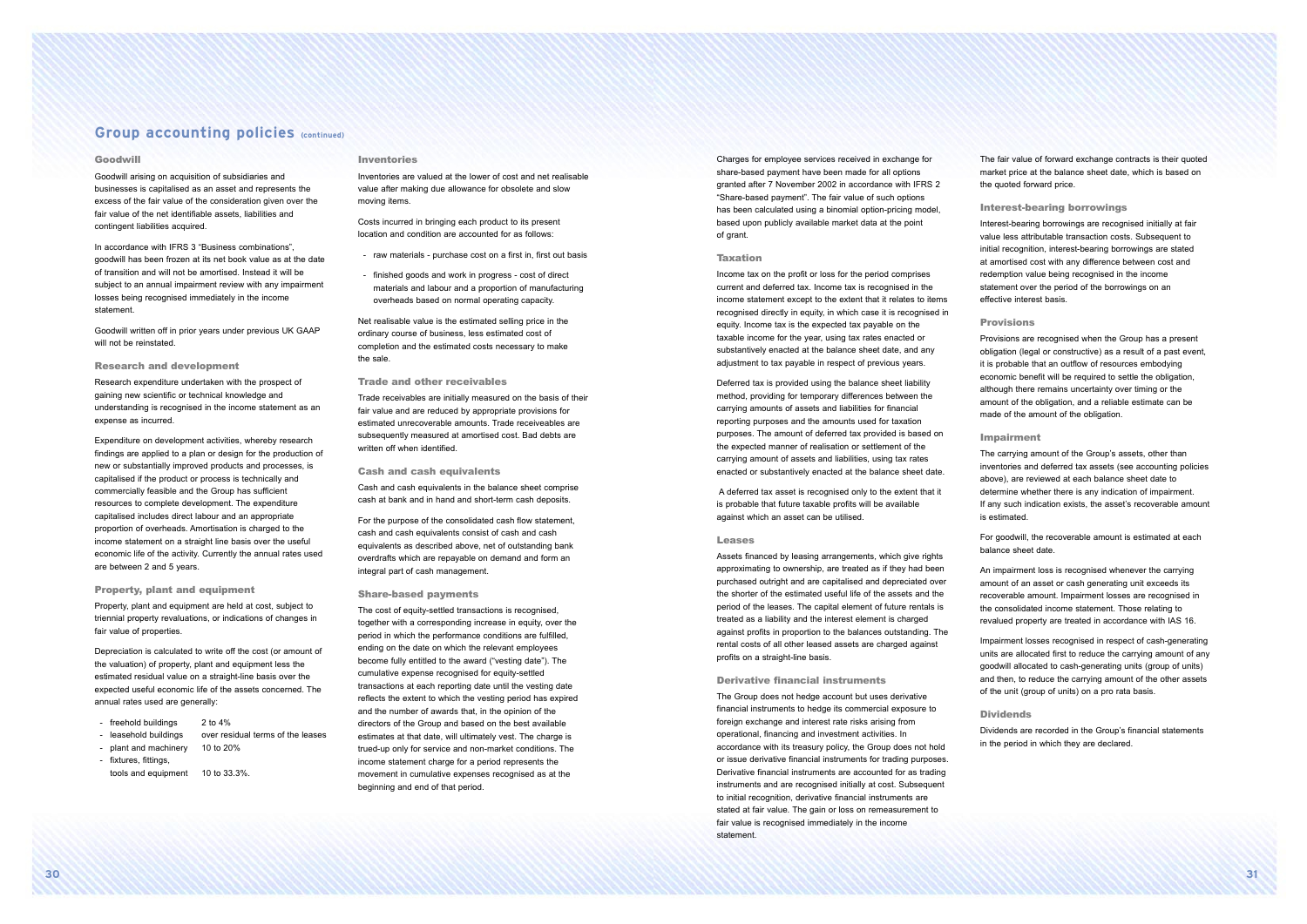## **Group accounting policies (continued)**

### Goodwill

Goodwill arising on acquisition of subsidiaries and businesses is capitalised as an asset and represents the excess of the fair value of the consideration given over the fair value of the net identifiable assets, liabilities and contingent liabilities acquired.

Goodwill written off in prior years under previous UK GAAP will not be reinstated.

In accordance with IFRS 3 "Business combinations", goodwill has been frozen at its net book value as at the date of transition and will not be amortised. Instead it will be subject to an annual impairment review with any impairment losses being recognised immediately in the income statement.

### Research and development

Research expenditure undertaken with the prospect of gaining new scientific or technical knowledge and understanding is recognised in the income statement as an expense as incurred.

Expenditure on development activities, whereby research findings are applied to a plan or design for the production of new or substantially improved products and processes, is capitalised if the product or process is technically and commercially feasible and the Group has sufficient resources to complete development. The expenditure capitalised includes direct labour and an appropriate proportion of overheads. Amortisation is charged to the income statement on a straight line basis over the useful economic life of the activity. Currently the annual rates used are between 2 and 5 years.

### Property, plant and equipment

Property, plant and equipment are held at cost, subject to triennial property revaluations, or indications of changes in fair value of properties.

Depreciation is calculated to write off the cost (or amount of the valuation) of property, plant and equipment less the estimated residual value on a straight-line basis over the expected useful economic life of the assets concerned. The annual rates used are generally:

- freehold buildings 2 to 4%
- leasehold buildings over residual terms of the leases
- plant and machinery 10 to 20%
- fixtures, fittings,

tools and equipment 10 to 33.3%.

### Inventories

Inventories are valued at the lower of cost and net realisable value after making due allowance for obsolete and slow moving items.

Costs incurred in bringing each product to its present location and condition are accounted for as follows:

- raw materials purchase cost on a first in, first out basis
- finished goods and work in progress cost of direct materials and labour and a proportion of manufacturing overheads based on normal operating capacity.

Net realisable value is the estimated selling price in the ordinary course of business, less estimated cost of completion and the estimated costs necessary to make the sale.

### Trade and other receivables

Trade receivables are initially measured on the basis of their fair value and are reduced by appropriate provisions for estimated unrecoverable amounts. Trade receiveables are subsequently measured at amortised cost. Bad debts are written off when identified.

#### Cash and cash equivalents

Cash and cash equivalents in the balance sheet comprise cash at bank and in hand and short-term cash deposits.

For the purpose of the consolidated cash flow statement, cash and cash equivalents consist of cash and cash equivalents as described above, net of outstanding bank overdrafts which are repayable on demand and form an integral part of cash management.

#### Share-based payments

The cost of equity-settled transactions is recognised, together with a corresponding increase in equity, over the period in which the performance conditions are fulfilled, ending on the date on which the relevant employees become fully entitled to the award ("vesting date"). The cumulative expense recognised for equity-settled transactions at each reporting date until the vesting date reflects the extent to which the vesting period has expired and the number of awards that, in the opinion of the directors of the Group and based on the best available estimates at that date, will ultimately vest. The charge is trued-up only for service and non-market conditions. The income statement charge for a period represents the movement in cumulative expenses recognised as at the beginning and end of that period.

Charges for employee services received in exchange for share-based payment have been made for all options granted after 7 November 2002 in accordance with IFRS 2 "Share-based payment". The fair value of such options has been calculated using a binomial option-pricing model, based upon publicly available market data at the point of grant.

#### Taxation

Income tax on the profit or loss for the period comprises current and deferred tax. Income tax is recognised in the income statement except to the extent that it relates to items recognised directly in equity, in which case it is recognised in equity. Income tax is the expected tax payable on the taxable income for the year, using tax rates enacted or substantively enacted at the balance sheet date, and any adjustment to tax payable in respect of previous years.

Deferred tax is provided using the balance sheet liability method, providing for temporary differences between the carrying amounts of assets and liabilities for financial reporting purposes and the amounts used for taxation purposes. The amount of deferred tax provided is based on the expected manner of realisation or settlement of the carrying amount of assets and liabilities, using tax rates enacted or substantively enacted at the balance sheet date.

A deferred tax asset is recognised only to the extent that it is probable that future taxable profits will be available against which an asset can be utilised.

#### **Lesses**

Assets financed by leasing arrangements, which give rights approximating to ownership, are treated as if they had been purchased outright and are capitalised and depreciated over the shorter of the estimated useful life of the assets and the period of the leases. The capital element of future rentals is treated as a liability and the interest element is charged against profits in proportion to the balances outstanding. The rental costs of all other leased assets are charged against profits on a straight-line basis.

### Derivative financial instruments

The Group does not hedge account but uses derivative financial instruments to hedge its commercial exposure to foreign exchange and interest rate risks arising from operational, financing and investment activities. In accordance with its treasury policy, the Group does not hold or issue derivative financial instruments for trading purposes. Derivative financial instruments are accounted for as trading instruments and are recognised initially at cost. Subsequent to initial recognition, derivative financial instruments are stated at fair value. The gain or loss on remeasurement to fair value is recognised immediately in the income statement.

The fair value of forward exchange contracts is their quoted market price at the balance sheet date, which is based on the quoted forward price.

### Interest-bearing borrowings

Interest-bearing borrowings are recognised initially at fair value less attributable transaction costs. Subsequent to initial recognition, interest-bearing borrowings are stated at amortised cost with any difference between cost and redemption value being recognised in the income statement over the period of the borrowings on an effective interest basis.

### **Provisions**

Provisions are recognised when the Group has a present obligation (legal or constructive) as a result of a past event, it is probable that an outflow of resources embodying economic benefit will be required to settle the obligation, although there remains uncertainty over timing or the amount of the obligation, and a reliable estimate can be made of the amount of the obligation.

### Impairment

The carrying amount of the Group's assets, other than inventories and deferred tax assets (see accounting policies above), are reviewed at each balance sheet date to determine whether there is any indication of impairment. If any such indication exists, the asset's recoverable amount is estimated.

For goodwill, the recoverable amount is estimated at each balance sheet date.

An impairment loss is recognised whenever the carrying amount of an asset or cash generating unit exceeds its recoverable amount. Impairment losses are recognised in the consolidated income statement. Those relating to revalued property are treated in accordance with IAS 16.

Impairment losses recognised in respect of cash-generating units are allocated first to reduce the carrying amount of any goodwill allocated to cash-generating units (group of units) and then, to reduce the carrying amount of the other assets of the unit (group of units) on a pro rata basis.

### **Dividends**

Dividends are recorded in the Group's financial statements in the period in which they are declared.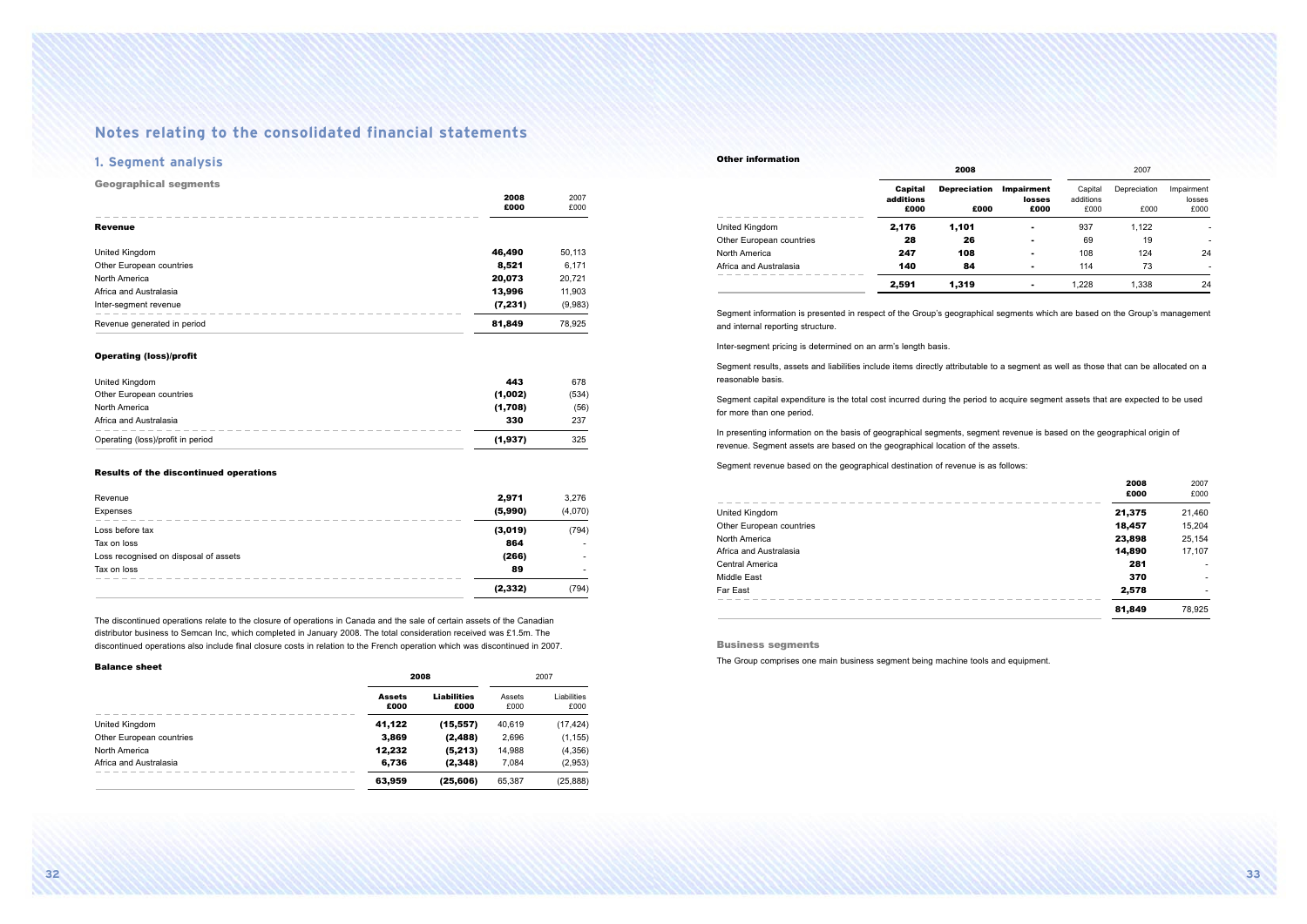### Other information

|                          |                             | 2008                |                             |                      | 2007         |                          |
|--------------------------|-----------------------------|---------------------|-----------------------------|----------------------|--------------|--------------------------|
|                          | <b>Capital</b><br>additions | <b>Depreciation</b> | <b>Impairment</b><br>losses | Capital<br>additions | Depreciation | Impairment<br>losses     |
|                          | £000                        | £000                | £000                        | £000                 | £000         | £000                     |
| United Kingdom           | 2,176                       | 1,101               | $\blacksquare$              | 937                  | 1,122        | $\overline{\phantom{a}}$ |
| Other European countries | 28                          | 26                  | $\blacksquare$              | 69                   | 19           | $\overline{\phantom{0}}$ |
| North America            | 247                         | 108                 | $\blacksquare$              | 108                  | 124          | 24                       |
| Africa and Australasia   | 140                         | 84                  | $\blacksquare$              | 114                  | 73           |                          |
|                          | 2,591                       | 1,319               | $\blacksquare$              | 1.228                | 1,338        | 24                       |

Segment information is presented in respect of the Group's geographical segments which are based on the Group's management and internal reporting structure.

In presenting information on the basis of geographical segments, segment revenue is based on the geographical origin of revenue. Segment assets are based on the geographical location of the assets.

Inter-segment pricing is determined on an arm's length basis.

Segment results, assets and liabilities include items directly attributable to a segment as well as those that can be allocated on a reasonable basis.

Segment capital expenditure is the total cost incurred during the period to acquire segment assets that are expected to be used for more than one period.

Segment revenue based on the geographical destination of revenue is as follows:

|                          | 2008   | 2007                     |
|--------------------------|--------|--------------------------|
|                          | £000   | £000                     |
| United Kingdom           | 21,375 | 21,460                   |
| Other European countries | 18,457 | 15,204                   |
| North America            | 23,898 | 25,154                   |
| Africa and Australasia   | 14,890 | 17,107                   |
| <b>Central America</b>   | 281    | $\overline{\phantom{0}}$ |
| Middle East              | 370    |                          |
| Far East                 | 2,578  | $\overline{\phantom{0}}$ |
|                          | 81,849 | 78,925                   |
|                          |        |                          |

### Business segments

The Group comprises one main business segment being machine tools and equipment.

### **1. Segment analysis**

### Geographical segments

|                             | 2008     | 2007    |
|-----------------------------|----------|---------|
|                             | £000     | £000    |
| <b>Revenue</b>              |          |         |
| United Kingdom              | 46,490   | 50,113  |
| Other European countries    | 8,521    | 6,171   |
| North America               | 20,073   | 20,721  |
| Africa and Australasia      | 13,996   | 11,903  |
| Inter-segment revenue       | (7, 231) | (9,983) |
| Revenue generated in period | 81,849   | 78.925  |

### Operating (loss)/profit

| United Kingdom                    | 443     | 678   |
|-----------------------------------|---------|-------|
| Other European countries          | (1,002) | (534) |
| North America                     | (1,708) | (56)  |
| Africa and Australasia            | 330     | 237   |
| Operating (loss)/profit in period | (1,937) | 325   |

### Results of the discontinued operations

| Revenue                               | 2,971    | 3,276   |
|---------------------------------------|----------|---------|
| Expenses                              | (5,990)  | (4,070) |
| Loss before tax                       | (3,019)  | (794)   |
| Tax on loss                           | 864      |         |
| Loss recognised on disposal of assets | (266)    |         |
| Tax on loss                           | 89       |         |
|                                       | (2, 332) | (794)   |

The discontinued operations relate to the closure of operations in Canada and the sale of certain assets of the Canadian distributor business to Semcan Inc, which completed in January 2008. The total consideration received was £1.5m. The discontinued operations also include final closure costs in relation to the French operation which was discontinued in 2007.

### Balance sheet

|                          | 2008                  |                            |                | 2007                |  |
|--------------------------|-----------------------|----------------------------|----------------|---------------------|--|
|                          | <b>Assets</b><br>£000 | <b>Liabilities</b><br>£000 | Assets<br>£000 | Liabilities<br>£000 |  |
| United Kingdom           | 41,122                | (15, 557)                  | 40.619         | (17, 424)           |  |
| Other European countries | 3,869                 | (2, 488)                   | 2,696          | (1, 155)            |  |
|                          | 12,232                | (5, 213)                   | 14,988         | (4, 356)            |  |
| Africa and Australasia   | 6.736                 | (2, 348)                   | 7,084          | (2,953)             |  |
|                          | 63,959                | (25,606)                   | 65.387         | (25, 888)           |  |

# **Notes relating to the consolidated financial statements**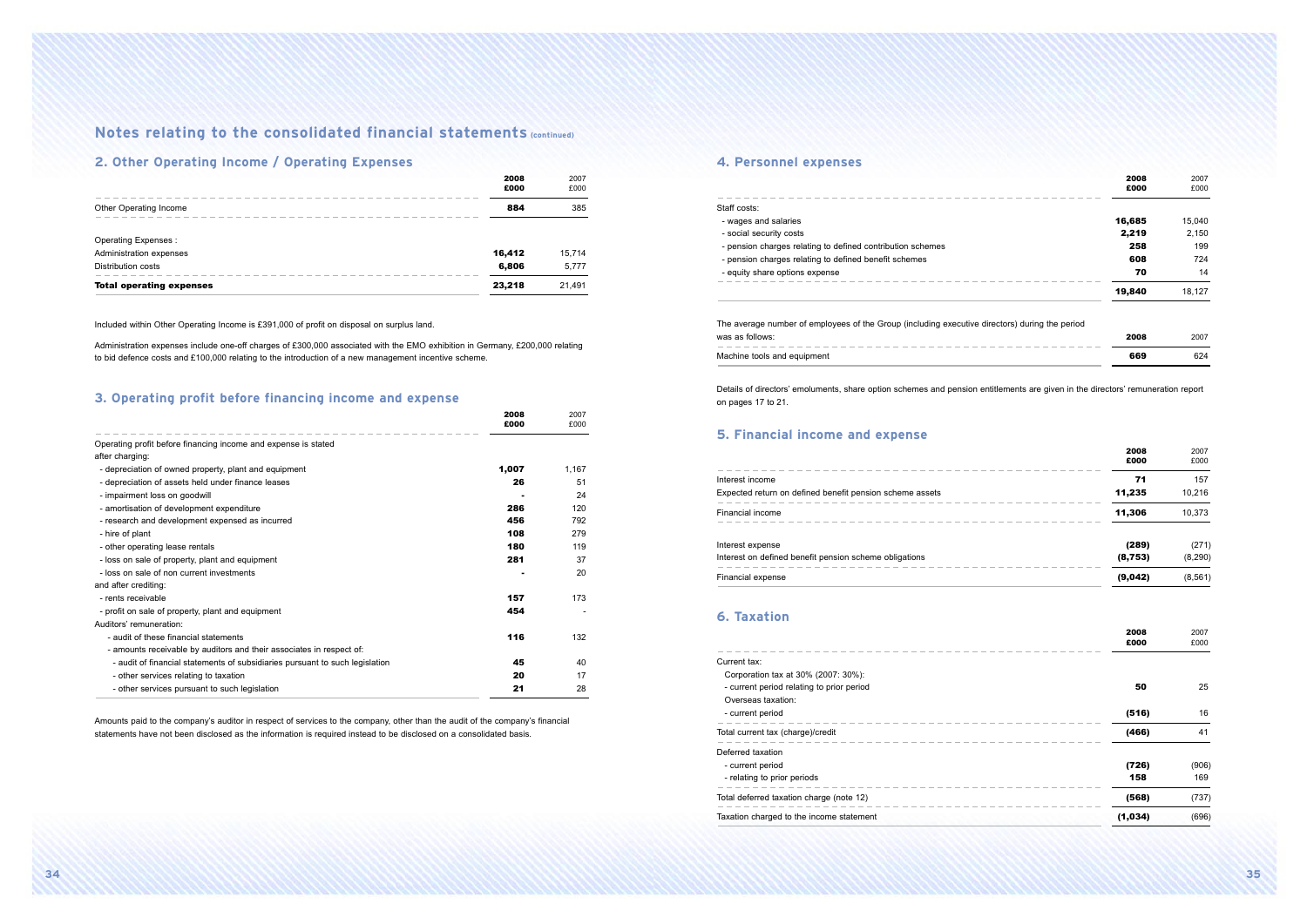### **2. Other Operating Income / Operating Expenses**

|                                 | 2008<br>£000 | 2007<br>£000 |
|---------------------------------|--------------|--------------|
| Other Operating Income          | 884          | 385          |
| Operating Expenses :            |              |              |
| Administration expenses         | 16,412       | 15,714       |
| Distribution costs              | 6,806        | 5,777        |
| <b>Total operating expenses</b> | 23,218       | 21,491       |

Included within Other Operating Income is £391,000 of profit on disposal on surplus land.

Administration expenses include one-off charges of £300,000 associated with the EMO exhibition in Germany, £200,000 relating to bid defence costs and £100,000 relating to the introduction of a new management incentive scheme.

### **3. Operating profit before financing income and expense**

|                                                                              | 2008  | 2007  |
|------------------------------------------------------------------------------|-------|-------|
|                                                                              | £000  | £000  |
| Operating profit before financing income and expense is stated               |       |       |
| after charging:                                                              |       |       |
| - depreciation of owned property, plant and equipment                        | 1,007 | 1,167 |
| - depreciation of assets held under finance leases                           | 26    | 51    |
| - impairment loss on goodwill                                                |       | 24    |
| - amortisation of development expenditure                                    | 286   | 120   |
| - research and development expensed as incurred                              | 456   | 792   |
| - hire of plant                                                              | 108   | 279   |
| - other operating lease rentals                                              | 180   | 119   |
| - loss on sale of property, plant and equipment                              | 281   | 37    |
| - loss on sale of non current investments                                    |       | 20    |
| and after crediting:                                                         |       |       |
| - rents receivable                                                           | 157   | 173   |
| - profit on sale of property, plant and equipment                            | 454   |       |
| Auditors' remuneration:                                                      |       |       |
| - audit of these financial statements                                        | 116   | 132   |
| - amounts receivable by auditors and their associates in respect of:         |       |       |
| - audit of financial statements of subsidiaries pursuant to such legislation | 45    | 40    |
| - other services relating to taxation                                        | 20    | 17    |
| - other services pursuant to such legislation                                | 21    | 28    |
|                                                                              |       |       |

Amounts paid to the company's auditor in respect of services to the company, other than the audit of the company's financial statements have not been disclosed as the information is required instead to be disclosed on a consolidated basis.

## **4. Personnel expenses**

| Machine tools and equipment                                                                                       | 669    | 624    |
|-------------------------------------------------------------------------------------------------------------------|--------|--------|
| The average number of employees of the Group (including executive directors) during the period<br>was as follows: | 2008   | 2007   |
|                                                                                                                   | 19,840 | 18,127 |
| - equity share options expense                                                                                    | 70     | 14     |
| - pension charges relating to defined benefit schemes                                                             | 608    | 724    |
| - pension charges relating to defined contribution schemes                                                        | 258    | 199    |
| - social security costs                                                                                           | 2,219  | 2,150  |
| - wages and salaries                                                                                              | 16,685 | 15,040 |
| Staff costs:                                                                                                      |        |        |
|                                                                                                                   | £000   | £000   |
|                                                                                                                   | 2008   | 2007   |
| T. I CISOIIIICI CAPCIISCS                                                                                         |        |        |

Details of directors' emoluments, share option schemes and pension entitlements are given in the directors' remuneration report on pages 17 to 21.

### **5. Financial income and expense**

| 2008<br>£000 | 2007<br>£000 |
|--------------|--------------|
| 71           | 157          |
| 11,235       | 10,216       |
| 11,306       | 10,373       |
| (289)        | (271)        |
| (8, 753)     | (8, 290)     |
| (9,042)      | (8, 561)     |

|                                                          | 71     | 157    |
|----------------------------------------------------------|--------|--------|
| Interest income                                          |        |        |
| Expected return on defined benefit pension scheme assets | 11.235 | 10.216 |
| Financial income                                         | 11.306 | 10.373 |
|                                                          |        |        |

Interest expense Interest on defined benefit pension scheme obligations Financial expense

### **6. Taxation**

 $\overline{\phantom{a}}$ 

|                                           | 2008<br>£000 | 2007<br>£000 |
|-------------------------------------------|--------------|--------------|
| urrent tax:                               |              |              |
| Corporation tax at 30% (2007: 30%):       |              |              |
| - current period relating to prior period | 50           | 25           |
| Overseas taxation:                        |              |              |
| - current period                          | (516)        | 16           |
| tal current tax (charge)/credit           | (466)        | 41           |
| eferred taxation                          |              |              |
| - current period                          | (726)        | (906)        |
| - relating to prior periods               | 158          | 169          |
| tal deferred taxation charge (note 12)    | (568)        | (737)        |
| xation charged to the income statement    | (1, 034)     | (696)        |

| Current tax:                              |          |       |
|-------------------------------------------|----------|-------|
| Corporation tax at 30% (2007: 30%):       |          |       |
| - current period relating to prior period | 50       | 25    |
| Overseas taxation:                        |          |       |
| - current period                          | (516)    | 16    |
| Total current tax (charge)/credit         | (466)    | 41    |
| Deferred taxation                         |          |       |
| - current period                          | (726)    | (906) |
| - relating to prior periods               | 158      | 169   |
| Total deferred taxation charge (note 12)  | (568)    | (737) |
| Taxation charged to the income statement  | (1, 034) | (696) |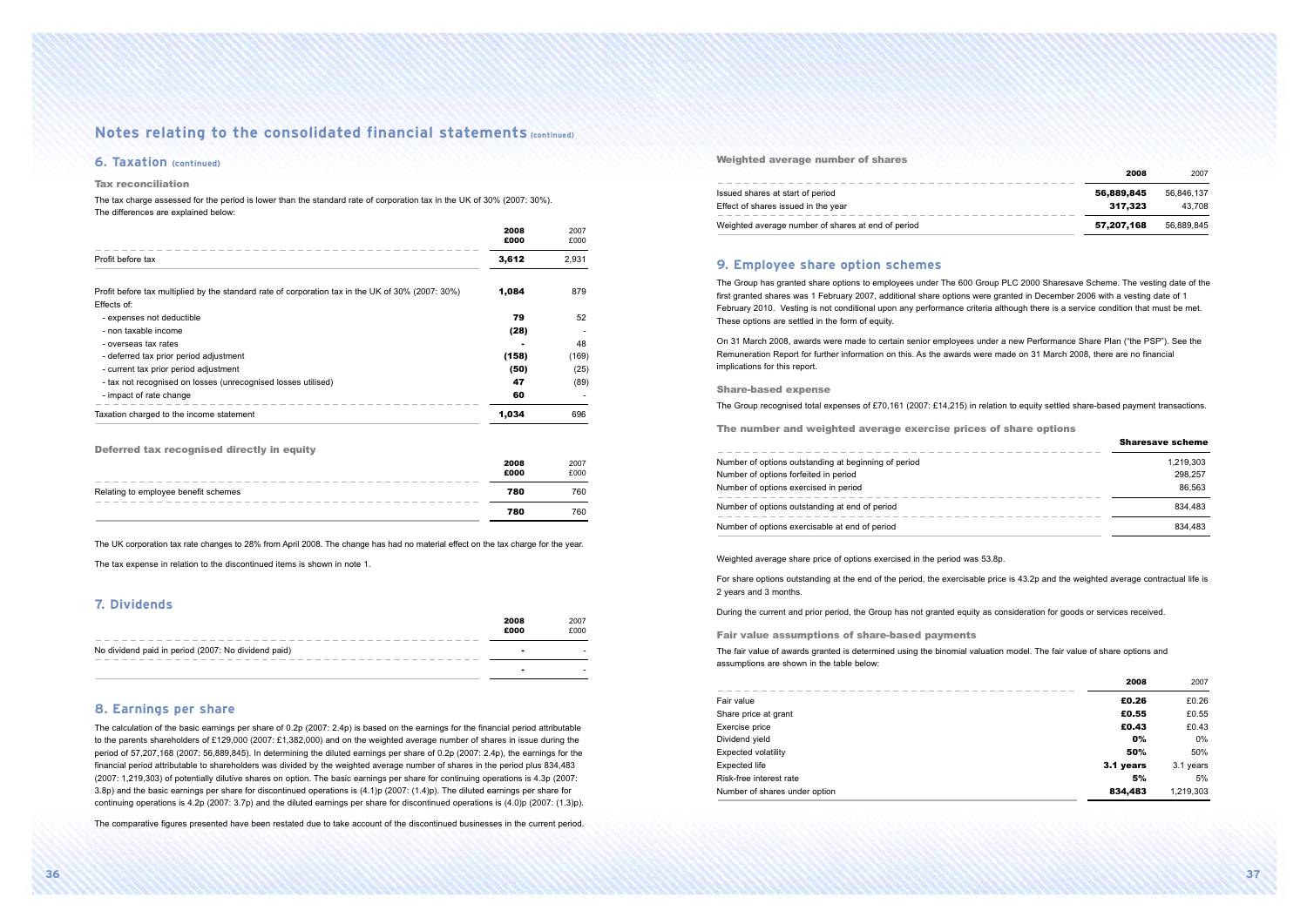### **6. Taxation (continued)**

### Tax reconciliation

The tax charge assessed for the period is lower than the standard rate of corporation tax in the UK of 30% (2007: 30%). The differences are explained below:

|                                                                                                   | 2008<br>£000 | 2007<br>£000 |
|---------------------------------------------------------------------------------------------------|--------------|--------------|
| Profit before tax                                                                                 | 3,612        | 2,931        |
| Profit before tax multiplied by the standard rate of corporation tax in the UK of 30% (2007: 30%) | 1,084        | 879          |
| Effects of:                                                                                       |              |              |
| - expenses not deductible                                                                         | 79           | 52           |
| - non taxable income                                                                              | (28)         |              |
| - overseas tax rates                                                                              |              | 48           |
| - deferred tax prior period adjustment                                                            | (158)        | (169)        |
| - current tax prior period adjustment                                                             | (50)         | (25)         |
| - tax not recognised on losses (unrecognised losses utilised)                                     | 47           | (89)         |
| - impact of rate change                                                                           | 60           |              |
| Taxation charged to the income statement                                                          | 1,034        | 696          |

Deferred tax recognised directly in equity

|                                      | 2008<br>£000 | 2007<br>£000 |
|--------------------------------------|--------------|--------------|
| Relating to employee benefit schemes | 780          | 760          |
|                                      | 780          | 760          |

The UK corporation tax rate changes to 28% from April 2008. The change has had no material effect on the tax charge for the year.

The tax expense in relation to the discontinued items is shown in note 1.

### **7. Dividends**

|                                                     | 2008<br>£000             | 2007<br>£000 |
|-----------------------------------------------------|--------------------------|--------------|
| No dividend paid in period (2007: No dividend paid) | $\overline{\phantom{0}}$ |              |
|                                                     | $\overline{\phantom{0}}$ |              |

### **8. Earnings per share**

The Group has granted share options to employees under The 600 Group PLC 2000 Sharesave Scheme. The vesting date of the first granted shares was 1 February 2007, additional share options were granted in December 2006 with a vesting date of 1 February 2010. Vesting is not conditional upon any performance criteria although there is a service condition that must be met. These options are settled in the form of equity.

The calculation of the basic earnings per share of 0.2p (2007: 2.4p) is based on the earnings for the financial period attributable to the parents shareholders of £129,000 (2007: £1,382,000) and on the weighted average number of shares in issue during the period of 57,207,168 (2007: 56,889,845). In determining the diluted earnings per share of 0.2p (2007: 2.4p), the earnings for the financial period attributable to shareholders was divided by the weighted average number of shares in the period plus 834,483 (2007: 1,219,303) of potentially dilutive shares on option. The basic earnings per share for continuing operations is 4.3p (2007: 3.8p) and the basic earnings per share for discontinued operations is (4.1)p (2007: (1.4)p). The diluted earnings per share for continuing operations is 4.2p (2007: 3.7p) and the diluted earnings per share for discontinued operations is (4.0)p (2007: (1.3)p).

The comparative figures presented have been restated due to take account of the discontinued businesses in the current period.

# **Notes relating to the consolidated financial statements (continued)**

Weighted average number of shares

| 2007                 | 2008                  |
|----------------------|-----------------------|
| 56,846,137<br>43,708 | 56,889,845<br>317,323 |
| 56,889,845           | 57,207,168            |

| Issued shares at start of period                   | 56.889.845 | 56.846.137 |
|----------------------------------------------------|------------|------------|
| Effect of shares issued in the year                | 317.323    | 43.708     |
| Weighted average number of shares at end of period | 57.207.168 | 56.889.845 |

### **9. Employee share option schemes**

On 31 March 2008, awards were made to certain senior employees under a new Performance Share Plan ("the PSP"). See the Remuneration Report for further information on this. As the awards were made on 31 March 2008, there are no financial implications for this report.

Share-based expense

The Group recognised total expenses of £70,161 (2007: £14,215) in relation to equity settled share-based payment transactions.

| The number and weighted average exercise prices of share options |                         |
|------------------------------------------------------------------|-------------------------|
|                                                                  | <b>Sharesave scheme</b> |
| Number of options outstanding at beginning of period             | 1,219,303               |
| Number of options forfeited in period                            | 298.257                 |
| Number of options exercised in period                            | 86,563                  |
| Number of options outstanding at end of period                   | 834.483                 |
| Number of options exercisable at end of period                   | 834.483                 |

Weighted average share price of options exercised in the period was 53.8p.

For share options outstanding at the end of the period, the exercisable price is 43.2p and the weighted average contractual life is 2 years and 3 months.

During the current and prior period, the Group has not granted equity as consideration for goods or services received.

Fair value assumptions of share-based payments

The fair value of awards granted is determined using the binomial valuation model. The fair value of share options and assumptions are shown in the table below:

|                               | 2008      | 2007      |
|-------------------------------|-----------|-----------|
| Fair value                    | £0.26     | £0.26     |
| Share price at grant          | £0.55     | £0.55     |
| Exercise price                | £0.43     | £0.43     |
| Dividend yield                | 0%        | $0\%$     |
| Expected volatility           | 50%       | 50%       |
| Expected life                 | 3.1 years | 3.1 years |
| Risk-free interest rate       | 5%        | 5%        |
| Number of shares under option | 834,483   | 1,219,303 |
|                               |           |           |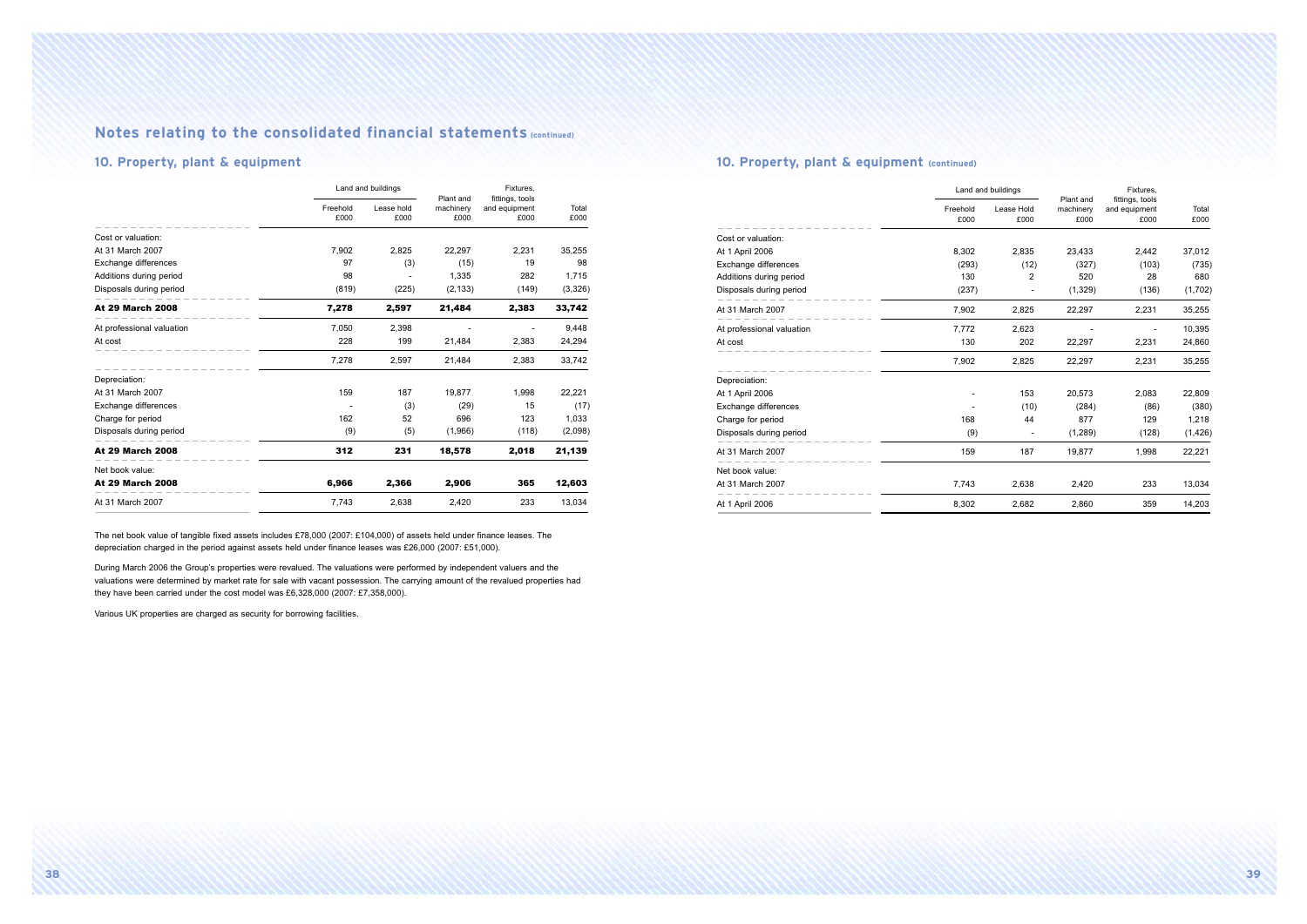### **10. Property, plant & equipment**

|                           |                  | Land and buildings |                                | Fixtures,                                |               |
|---------------------------|------------------|--------------------|--------------------------------|------------------------------------------|---------------|
|                           | Freehold<br>£000 | Lease hold<br>£000 | Plant and<br>machinery<br>£000 | fittings, tools<br>and equipment<br>£000 | Total<br>£000 |
| Cost or valuation:        |                  |                    |                                |                                          |               |
| At 31 March 2007          | 7,902            | 2,825              | 22,297                         | 2,231                                    | 35,255        |
| Exchange differences      | 97               | (3)                | (15)                           | 19                                       | 98            |
| Additions during period   | 98               |                    | 1,335                          | 282                                      | 1,715         |
| Disposals during period   | (819)            | (225)              | (2, 133)                       | (149)                                    | (3,326)       |
| <b>At 29 March 2008</b>   | 7,278            | 2,597              | 21,484                         | 2,383                                    | 33,742        |
| At professional valuation | 7,050            | 2,398              |                                |                                          | 9,448         |
| At cost                   | 228              | 199                | 21,484                         | 2,383                                    | 24,294        |
|                           | 7,278            | 2,597              | 21,484                         | 2,383                                    | 33,742        |
| Depreciation:             |                  |                    |                                |                                          |               |
| At 31 March 2007          | 159              | 187                | 19,877                         | 1,998                                    | 22,221        |
| Exchange differences      |                  | (3)                | (29)                           | 15                                       | (17)          |
| Charge for period         | 162              | 52                 | 696                            | 123                                      | 1,033         |
| Disposals during period   | (9)              | (5)                | (1,966)                        | (118)                                    | (2,098)       |
| <b>At 29 March 2008</b>   | 312              | 231                | 18,578                         | 2,018                                    | 21,139        |
| Net book value:           |                  |                    |                                |                                          |               |
| <b>At 29 March 2008</b>   | 6,966            | 2,366              | 2,906                          | 365                                      | 12,603        |
| At 31 March 2007          | 7,743            | 2,638              | 2,420                          | 233                                      | 13,034        |

The net book value of tangible fixed assets includes £78,000 (2007: £104,000) of assets held under finance leases. The depreciation charged in the period against assets held under finance leases was £26,000 (2007: £51,000).

During March 2006 the Group's properties were revalued. The valuations were performed by independent valuers and the valuations were determined by market rate for sale with vacant possession. The carrying amount of the revalued properties had they have been carried under the cost model was £6,328,000 (2007: £7,358,000).

Various UK properties are charged as security for borrowing facilities.

### **10. Property, plant & equipment (continued)**

|                           |                  | Land and buildings |                                | Fixtures,                                |               |
|---------------------------|------------------|--------------------|--------------------------------|------------------------------------------|---------------|
|                           | Freehold<br>£000 | Lease Hold<br>£000 | Plant and<br>machinery<br>£000 | fittings, tools<br>and equipment<br>£000 | Total<br>£000 |
| Cost or valuation:        |                  |                    |                                |                                          |               |
| At 1 April 2006           | 8,302            | 2,835              | 23,433                         | 2,442                                    | 37,012        |
| Exchange differences      | (293)            | (12)               | (327)                          | (103)                                    | (735)         |
| Additions during period   | 130              | 2                  | 520                            | 28                                       | 680           |
| Disposals during period   | (237)            |                    | (1,329)                        | (136)                                    | (1,702)       |
| At 31 March 2007          | 7,902            | 2,825              | 22,297                         | 2,231                                    | 35,255        |
| At professional valuation | 7,772            | 2,623              |                                |                                          | 10,395        |
| At cost                   | 130              | 202                | 22,297                         | 2,231                                    | 24,860        |
|                           | 7,902            | 2,825              | 22,297                         | 2,231                                    | 35,255        |
| Depreciation:             |                  |                    |                                |                                          |               |
| At 1 April 2006           |                  | 153                | 20,573                         | 2,083                                    | 22,809        |
| Exchange differences      |                  | (10)               | (284)                          | (86)                                     | (380)         |
| Charge for period         | 168              | 44                 | 877                            | 129                                      | 1,218         |
| Disposals during period   | (9)              |                    | (1,289)                        | (128)                                    | (1, 426)      |
| At 31 March 2007          | 159              | 187                | 19,877                         | 1,998                                    | 22,221        |
| Net book value:           |                  |                    |                                |                                          |               |
| At 31 March 2007          | 7,743            | 2,638              | 2,420                          | 233                                      | 13,034        |
| At 1 April 2006           | 8,302            | 2,682              | 2,860                          | 359                                      | 14,203        |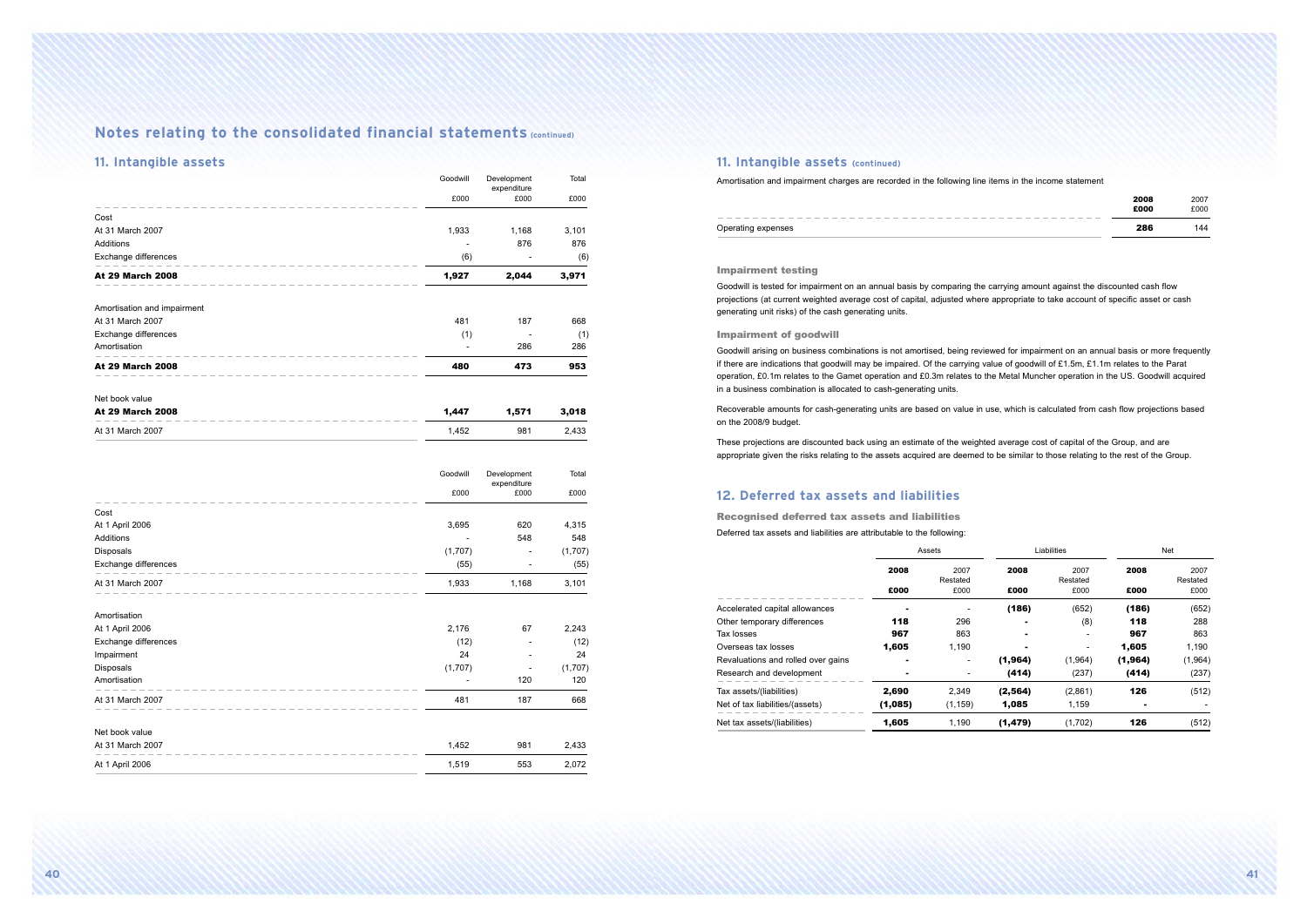### **11. Intangible assets**

|                             | Goodwill | Development<br>expenditure | Total   |
|-----------------------------|----------|----------------------------|---------|
|                             | £000     | £000                       | £000    |
| Cost                        |          |                            |         |
| At 31 March 2007            | 1,933    | 1,168                      | 3,101   |
| Additions                   |          | 876                        | 876     |
| Exchange differences        | (6)      |                            | (6)     |
| <b>At 29 March 2008</b>     | 1,927    | 2,044                      | 3,971   |
| Amortisation and impairment |          |                            |         |
| At 31 March 2007            | 481      | 187                        | 668     |
| Exchange differences        | (1)      | $\blacksquare$             | (1)     |
| Amortisation                |          | 286                        | 286     |
| <b>At 29 March 2008</b>     | 480      | 473                        | 953     |
| Net book value              |          |                            |         |
| <b>At 29 March 2008</b>     | 1,447    | 1,571                      | 3,018   |
| At 31 March 2007            | 1,452    | 981                        | 2,433   |
|                             | Goodwill | Development                | Total   |
|                             | £000     | expenditure<br>£000        | £000    |
| Cost                        |          |                            |         |
| At 1 April 2006             | 3,695    | 620                        | 4,315   |
| Additions                   |          | 548                        | 548     |
| Disposals                   | (1,707)  | $\overline{\phantom{m}}$   | (1,707) |
| Exchange differences        | (55)     | ÷,                         | (55)    |
| At 31 March 2007            | 1,933    | 1,168                      | 3,101   |
| Amortisation                |          |                            |         |
| At 1 April 2006             | 2,176    | 67                         | 2,243   |
| Exchange differences        | (12)     |                            | (12)    |
| Impairment                  | 24       | $\overline{\phantom{a}}$   | 24      |

| Impairment       | 24      |     | 24      |  |
|------------------|---------|-----|---------|--|
| Disposals        | (1,707) |     | (1,707) |  |
| Amortisation     |         | 120 | 120     |  |
| At 31 March 2007 | 481     | 187 | 668     |  |
| Net book value   |         |     |         |  |
| At 31 March 2007 | 1,452   | 981 | 2,433   |  |
| At 1 April 2006  | 1.519   | 553 | 2.072   |  |

### **11. Intangible assets (continued)**

Amortisation and impairment charges are recorded in the following line items in the income statement

|                    | 2008<br>£000 | 2007<br>£000 |
|--------------------|--------------|--------------|
| Operating expenses | 286          | 144          |

### Impairment testing

Goodwill is tested for impairment on an annual basis by comparing the carrying amount against the discounted cash flow projections (at current weighted average cost of capital, adjusted where appropriate to take account of specific asset or cash generating unit risks) of the cash generating units.

### Impairment of goodwill

Goodwill arising on business combinations is not amortised, being reviewed for impairment on an annual basis or more frequently if there are indications that goodwill may be impaired. Of the carrying value of goodwill of £1.5m, £1.1m relates to the Parat operation, £0.1m relates to the Gamet operation and £0.3m relates to the Metal Muncher operation in the US. Goodwill acquired in a business combination is allocated to cash-generating units.

Recoverable amounts for cash-generating units are based on value in use, which is calculated from cash flow projections based on the 2008/9 budget.

These projections are discounted back using an estimate of the weighted average cost of capital of the Group, and are appropriate given the risks relating to the assets acquired are deemed to be similar to those relating to the rest of the Group.

### **12. Deferred tax assets and liabilities**

Recognised deferred tax assets and liabilities Deferred tax assets and liabilities are attributable to the following:

|                                    | Assets  |                  | Liabilities    |                  | Net            |                  |
|------------------------------------|---------|------------------|----------------|------------------|----------------|------------------|
|                                    | 2008    | 2007<br>Restated | 2008           | 2007<br>Restated | 2008           | 2007<br>Restated |
|                                    | £000    | £000             | £000           | £000             | £000           | £000             |
| Accelerated capital allowances     | ٠       |                  | (186)          | (652)            | (186)          | (652)            |
| Other temporary differences        | 118     | 296              |                | (8)              | 118            | 288              |
| Tax losses                         | 967     | 863              | $\blacksquare$ |                  | 967            | 863              |
| Overseas tax losses                | 1,605   | 1,190            |                |                  | 1,605          | 1,190            |
| Revaluations and rolled over gains |         |                  | (1, 964)       | (1,964)          | (1,964)        | (1,964)          |
| Research and development           |         |                  | (414)          | (237)            | (414)          | (237)            |
| Tax assets/(liabilities)           | 2,690   | 2,349            | (2, 564)       | (2,861)          | 126            | (512)            |
| Net of tax liabilities/(assets)    | (1,085) | (1, 159)         | 1,085          | 1,159            | $\blacksquare$ |                  |
| Net tax assets/(liabilities)       | 1,605   | 1,190            | (1, 479)       | (1,702)          | 126            | (512)            |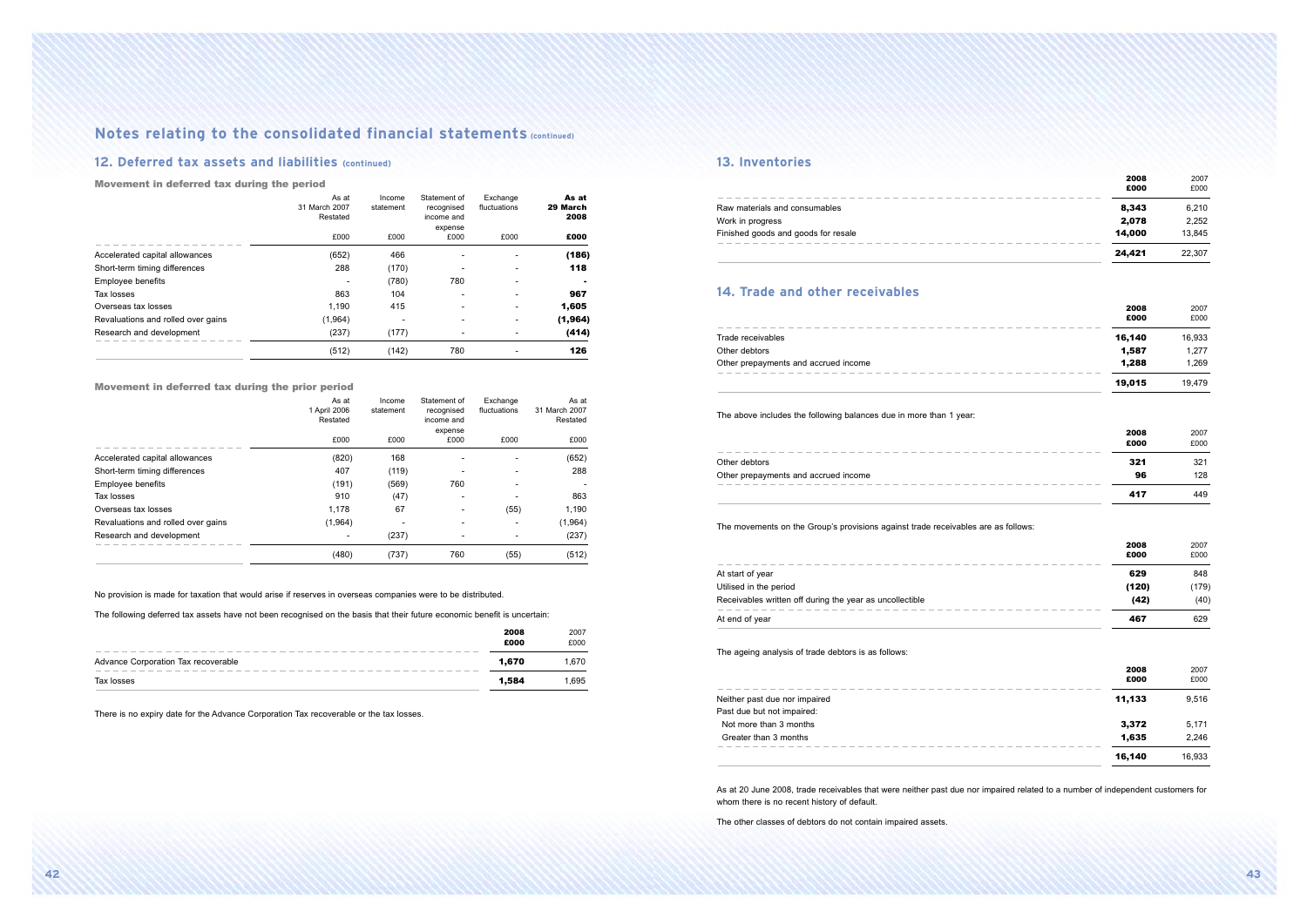### **12. Deferred tax assets and liabilities (continued)**

### Movement in deferred tax during the period

| As at         | Income    | Statement of | Exchange     | As at    |
|---------------|-----------|--------------|--------------|----------|
| 31 March 2007 | statement | recognised   | fluctuations | 29 March |
| Restated      |           | income and   |              | 2008     |
|               |           | expense      |              |          |
| £000          | £000      | £000         | £000         | £000     |
| (652)         | 466       |              |              | (186)    |
| 288           | (170)     |              |              | 118      |
|               | (780)     | 780          |              |          |
| 863           | 104       |              |              | 967      |
| 1.190         | 415       |              |              | 1,605    |
| (1,964)       |           |              |              | (1, 964) |
| (237)         | (177)     |              |              | (414)    |
| (512)         | (142)     | 780          |              | 126      |
|               |           |              |              |          |

### Movement in deferred tax during the prior period

|                                    | As at                    | Income    | Statement of             | Exchange     | As at                     |
|------------------------------------|--------------------------|-----------|--------------------------|--------------|---------------------------|
|                                    | 1 April 2006<br>Restated | statement | recognised<br>income and | fluctuations | 31 March 2007<br>Restated |
|                                    |                          |           | expense                  |              |                           |
|                                    | £000                     | £000      | £000                     | £000         | £000                      |
| Accelerated capital allowances     | (820)                    | 168       |                          |              | (652)                     |
| Short-term timing differences      | 407                      | (119)     |                          |              | 288                       |
| Employee benefits                  | (191)                    | (569)     | 760                      |              |                           |
| Tax losses                         | 910                      | (47)      |                          |              | 863                       |
| Overseas tax losses                | 1.178                    | 67        |                          | (55)         | 1,190                     |
| Revaluations and rolled over gains | (1, 964)                 |           |                          |              | (1,964)                   |
| Research and development           |                          | (237)     |                          |              | (237)                     |
|                                    | (480)                    | (737)     | 760                      | (55)         | (512)                     |

No provision is made for taxation that would arise if reserves in overseas companies were to be distributed.

The following deferred tax assets have not been recognised on the basis that their future economic benefit is uncertain:

|                                     | 2008<br>£000 | 2007<br>£000 |
|-------------------------------------|--------------|--------------|
| Advance Corporation Tax recoverable | 1.670        | 1.670        |
| Tax losses                          | 1.584        | .695         |

There is no expiry date for the Advance Corporation Tax recoverable or the tax losses.

### **13. Inventories**

| 2008<br>£000 | 2007<br>£000 |
|--------------|--------------|
| 8,343        | 6,210        |
| 2,078        | 2,252        |
| 14,000       | 13,845       |
| 24,421       | 22,307       |
|              |              |

| Raw materials and consumables       | 8.343  | 6.210  |
|-------------------------------------|--------|--------|
| Work in progress                    | 2.078  | 2.252  |
| Finished goods and goods for resale | 14.000 | 13.845 |
|                                     |        |        |

### **14. Trade and other receivables**

| 2008<br>£000 | 2007<br>£000 |
|--------------|--------------|
| 16,140       | 16,933       |
| 1,587        | 1,277        |
| 1,288        | 1,269        |
| 19,015       | 19,479       |
|              |              |

| Trade receivables                    | 16.140              | 16.933 |
|--------------------------------------|---------------------|--------|
| Other debtors                        | 1.587               | 1.277  |
| Other prepayments and accrued income | 1.288               | 1.269  |
|                                      | $\overline{10.015}$ | 40.470 |

### The above includes the following balances due in more than 1 year:

Other debtors Other prepayments and accrued income

| 2008<br>£000 | 2007<br>£000 |
|--------------|--------------|
| 321          | 321          |
| 96           | 128          |
| 417          |              |

The movements on the Group's provisions against trade receivables are as follows:

| At start of year                                         | 629   | 848   |
|----------------------------------------------------------|-------|-------|
| Utilised in the period                                   | (120) | (179) |
| Receivables written off during the year as uncollectible | (42)  | (40)  |
| At end of year                                           | 467   | 629   |

|                                                          | 2008<br>£000 | 2007<br>£000 |
|----------------------------------------------------------|--------------|--------------|
| At start of year                                         | 629          | 848          |
| Utilised in the period                                   | (120)        | (179)        |
| Receivables written off during the year as uncollectible | (42)         | (40)         |
| At end of year                                           | 467          | 629          |

### The ageing analysis of trade debtors is as follows:

Neither past due nor impaired Past due but not impaired: Not more than 3 months

Greater than 3 months ------------

| 2008<br>£000   | 2007<br>£000   |
|----------------|----------------|
| 11,133         | 9,516          |
| 3,372<br>1,635 | 5,171<br>2,246 |
| 16,140         | 16,933         |

As at 20 June 2008, trade receivables that were neither past due nor impaired related to a number of independent customers for whom there is no recent history of default.

The other classes of debtors do not contain impaired assets.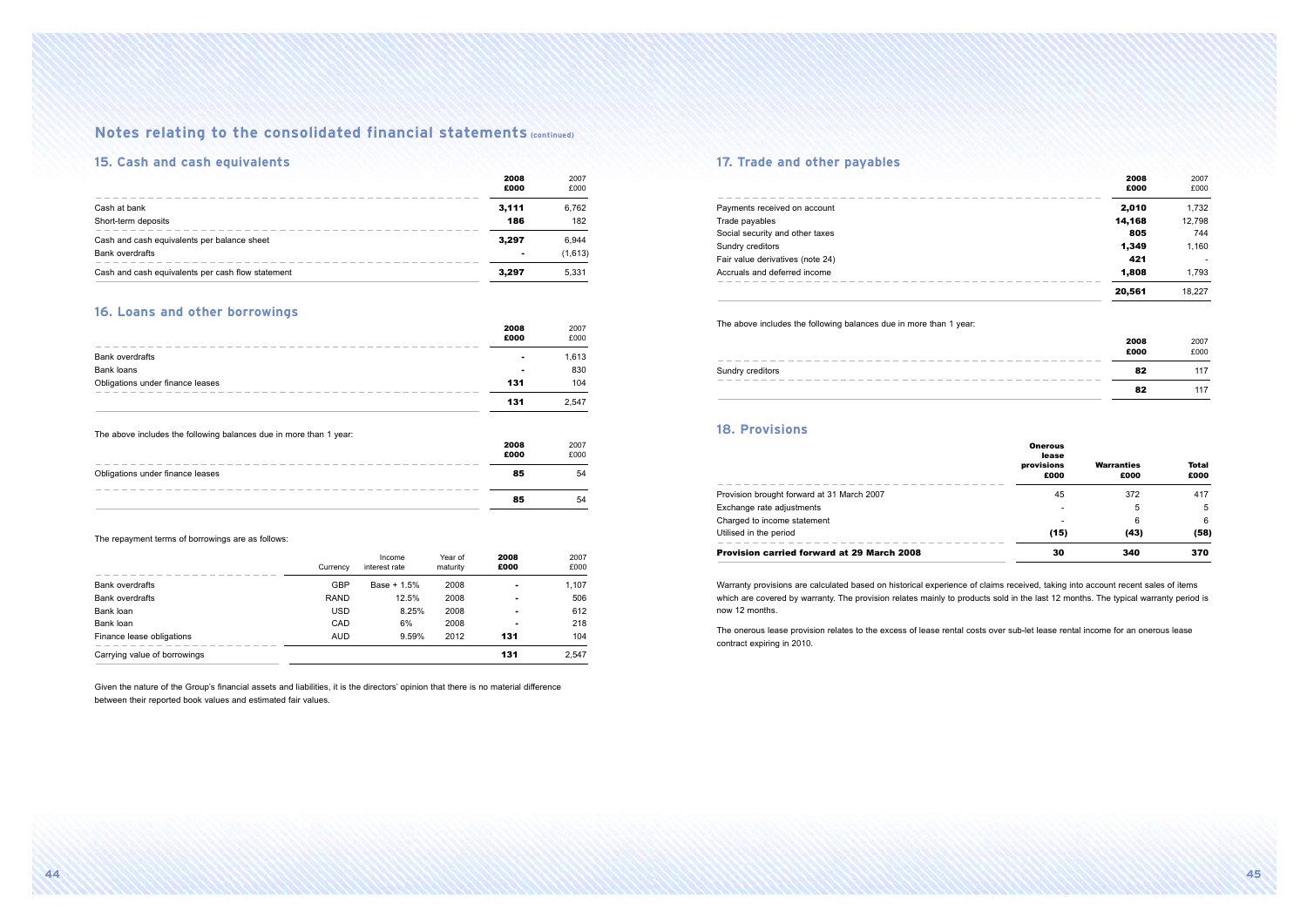### **15. Cash and cash equivalents**

|                                                   | 2008<br>£000   | 2007<br>£000 |
|---------------------------------------------------|----------------|--------------|
| Cash at bank                                      | 3,111          | 6,762        |
| Short-term deposits                               | 186            | 182          |
| Cash and cash equivalents per balance sheet       | 3,297          | 6,944        |
| <b>Bank overdrafts</b>                            | $\blacksquare$ | (1,613)      |
| Cash and cash equivalents per cash flow statement | 3,297          | 5.331        |

### **16. Loans and other borrowings**

|                                  | 2008<br>£000   | 2007<br>£000 |
|----------------------------------|----------------|--------------|
| <b>Bank overdrafts</b>           | $\blacksquare$ | 1,613        |
| Bank loans                       |                | 830          |
| Obligations under finance leases | 131            | 104          |
|                                  | 131            | 2.547        |

The above includes the following balances due in more than 1 year:

|                                  | 2008<br>£000 | 2007<br>£000 |
|----------------------------------|--------------|--------------|
| Obligations under finance leases | 85           | 54           |
|                                  | 85           | 54           |

### The repayment terms of borrowings are as follows:

|                              | Currency    | Income<br>interest rate | Year of<br>maturity | 2008<br>£000 | 2007<br>£000 |
|------------------------------|-------------|-------------------------|---------------------|--------------|--------------|
| <b>Bank overdrafts</b>       | <b>GBP</b>  | Base $+ 1.5%$           | 2008                |              | 1,107        |
| <b>Bank overdrafts</b>       | <b>RAND</b> | 12.5%                   | 2008                |              | 506          |
| Bank loan                    | <b>USD</b>  | 8.25%                   | 2008                |              | 612          |
| Bank loan                    | CAD         | 6%                      | 2008                |              | 218          |
| Finance lease obligations    | <b>AUD</b>  | 9.59%                   | 2012                | 131          | 104          |
| Carrying value of borrowings |             |                         |                     | 131          | 2.547        |

Given the nature of the Group's financial assets and liabilities, it is the directors' opinion that there is no material difference between their reported book values and estimated fair values.

### **17. Trade and other payables**

|                                  | 2008   | 2007                     |
|----------------------------------|--------|--------------------------|
|                                  | £000   | £000                     |
| Payments received on account     | 2,010  | 1,732                    |
| Trade payables                   | 14,168 | 12,798                   |
| Social security and other taxes  | 805    | 744                      |
| Sundry creditors                 | 1,349  | 1,160                    |
| Fair value derivatives (note 24) | 421    | $\overline{\phantom{a}}$ |
| Accruals and deferred income     | 1,808  | 1,793                    |
|                                  | 20,561 | 18,227                   |
|                                  |        |                          |

### The above includes the following balances due in more than 1 year:

|                  | 2008<br>£000 | 2007<br>£000 |
|------------------|--------------|--------------|
| Sundry creditors | 82           | 117          |
|                  | 82           | 117          |

### **18. Provisions**

|                                                   | <b>Onerous</b><br>lease<br>provisions<br>£000 | Warranties<br>£000 | Total<br>£000 |
|---------------------------------------------------|-----------------------------------------------|--------------------|---------------|
| Provision brought forward at 31 March 2007        | 45                                            | 372                | 417           |
| Exchange rate adjustments                         | $\overline{\phantom{0}}$                      | 5                  | 5             |
| Charged to income statement                       |                                               | 6                  | 6             |
| Utilised in the period                            | (15)                                          | (43)               | (58)          |
| <b>Provision carried forward at 29 March 2008</b> | 30                                            | 340                | 370           |

Warranty provisions are calculated based on historical experience of claims received, taking into account recent sales of items which are covered by warranty. The provision relates mainly to products sold in the last 12 months. The typical warranty period is now 12 months.

The onerous lease provision relates to the excess of lease rental costs over sub-let lease rental income for an onerous lease contract expiring in 2010.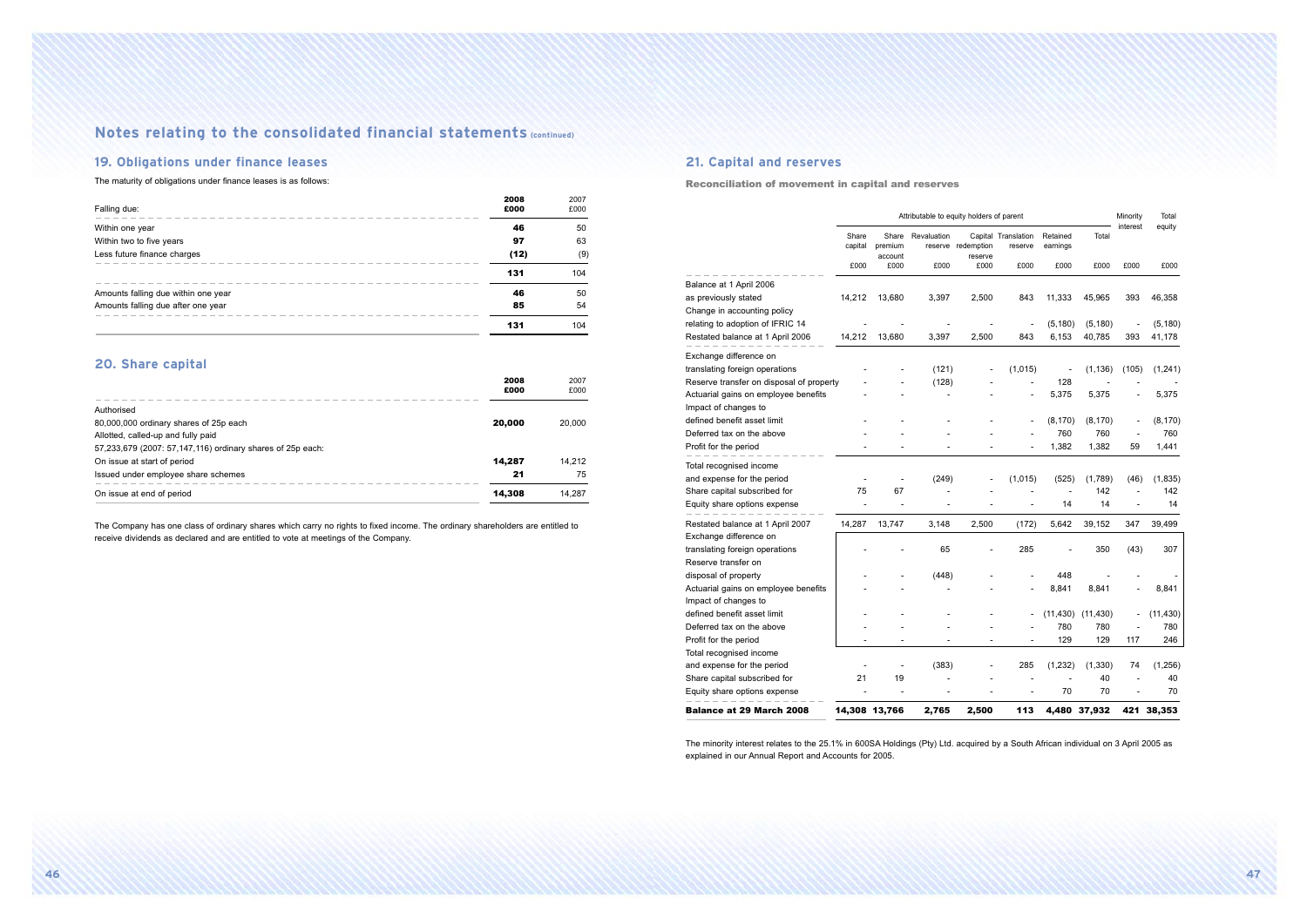

### **19. Obligations under finance leases**

### The maturity of obligations under finance leases is as follows:

|                                     | 2008 | 2007 |
|-------------------------------------|------|------|
| Falling due:                        | £000 | £000 |
| Within one year                     | 46   | 50   |
| Within two to five years            | 97   | 63   |
| Less future finance charges         | (12) | (9)  |
|                                     | 131  | 104  |
| Amounts falling due within one year | 46   | 50   |
| Amounts falling due after one year  | 85   | 54   |
|                                     | 131  | 104  |

### **20. Share capital**

|                                                            | 2008   | 2007   |
|------------------------------------------------------------|--------|--------|
|                                                            | £000   | £000   |
| Authorised                                                 |        |        |
| 80,000,000 ordinary shares of 25p each                     | 20,000 | 20,000 |
| Allotted, called-up and fully paid                         |        |        |
| 57,233,679 (2007: 57,147,116) ordinary shares of 25p each: |        |        |
| On issue at start of period                                | 14.287 | 14.212 |
| Issued under employee share schemes                        | 21     | 75     |
| On issue at end of period                                  | 14.308 | 14.287 |

The Company has one class of ordinary shares which carry no rights to fixed income. The ordinary shareholders are entitled to receive dividends as declared and are entitled to vote at meetings of the Company.

### **21. Capital and reserves**

Reconciliation of movement in capital and reserves

|                                          | Attributable to equity holders of parent |                             |                        |                       | Minority                       | Total                |              |                          |            |
|------------------------------------------|------------------------------------------|-----------------------------|------------------------|-----------------------|--------------------------------|----------------------|--------------|--------------------------|------------|
|                                          | Share<br>capital                         | Share<br>premium<br>account | Revaluation<br>reserve | redemption<br>reserve | Capital Translation<br>reserve | Retained<br>earnings | Total        | interest                 | equity     |
|                                          | £000                                     | £000                        | £000                   | £000                  | £000                           | £000                 | £000         | £000                     | £000       |
| Balance at 1 April 2006                  |                                          |                             |                        |                       |                                |                      |              |                          |            |
| as previously stated                     | 14,212                                   | 13,680                      | 3,397                  | 2,500                 | 843                            | 11,333               | 45,965       | 393                      | 46,358     |
| Change in accounting policy              |                                          |                             |                        |                       |                                |                      |              |                          |            |
| relating to adoption of IFRIC 14         |                                          |                             |                        |                       | $\overline{a}$                 | (5, 180)             | (5, 180)     | $\overline{a}$           | (5, 180)   |
| Restated balance at 1 April 2006         | 14,212                                   | 13,680                      | 3,397                  | 2,500                 | 843                            | 6,153                | 40,785       | 393                      | 41,178     |
| Exchange difference on                   |                                          |                             |                        |                       |                                |                      |              |                          |            |
| translating foreign operations           |                                          |                             | (121)                  |                       | (1,015)                        |                      | (1, 136)     | (105)                    | (1,241)    |
| Reserve transfer on disposal of property |                                          |                             | (128)                  |                       |                                | 128                  |              |                          |            |
| Actuarial gains on employee benefits     |                                          |                             |                        |                       | $\overline{\phantom{0}}$       | 5,375                | 5,375        | -                        | 5,375      |
| Impact of changes to                     |                                          |                             |                        |                       |                                |                      |              |                          |            |
| defined benefit asset limit              |                                          |                             |                        |                       |                                | (8, 170)             | (8, 170)     | $\overline{a}$           | (8, 170)   |
| Deferred tax on the above                |                                          |                             |                        |                       |                                | 760                  | 760          |                          | 760        |
| Profit for the period                    |                                          |                             |                        |                       |                                | 1,382                | 1,382        | 59                       | 1,441      |
| Total recognised income                  |                                          |                             |                        |                       |                                |                      |              |                          |            |
| and expense for the period               |                                          |                             | (249)                  |                       | (1,015)                        | (525)                | (1,789)      | (46)                     | (1,835)    |
| Share capital subscribed for             | 75                                       | 67                          |                        |                       |                                |                      | 142          | $\overline{\phantom{a}}$ | 142        |
| Equity share options expense             |                                          |                             | ٠                      |                       | -                              | 14                   | 14           | $\overline{\phantom{a}}$ | 14         |
| Restated balance at 1 April 2007         | 14,287                                   | 13,747                      | 3,148                  | 2,500                 | (172)                          | 5,642                | 39,152       | 347                      | 39,499     |
| Exchange difference on                   |                                          |                             |                        |                       |                                |                      |              |                          |            |
| translating foreign operations           |                                          |                             | 65                     |                       | 285                            |                      | 350          | (43)                     | 307        |
| Reserve transfer on                      |                                          |                             |                        |                       |                                |                      |              |                          |            |
| disposal of property                     |                                          |                             | (448)                  |                       |                                | 448                  |              |                          |            |
| Actuarial gains on employee benefits     |                                          |                             |                        |                       |                                | 8,841                | 8,841        |                          | 8,841      |
| Impact of changes to                     |                                          |                             |                        |                       |                                |                      |              |                          |            |
| defined benefit asset limit              |                                          |                             |                        |                       |                                | (11, 430)            | (11, 430)    |                          | (11, 430)  |
| Deferred tax on the above                |                                          |                             |                        |                       |                                | 780                  | 780          |                          | 780        |
| Profit for the period                    |                                          |                             |                        |                       |                                | 129                  | 129          | 117                      | 246        |
| Total recognised income                  |                                          |                             |                        |                       |                                |                      |              |                          |            |
| and expense for the period               |                                          |                             | (383)                  |                       | 285                            | (1,232)              | (1, 330)     | 74                       | (1,256)    |
| Share capital subscribed for             | 21                                       | 19                          |                        |                       |                                |                      | 40           |                          | 40         |
| Equity share options expense             |                                          |                             |                        |                       |                                | 70                   | 70           |                          | 70         |
| <b>Balance at 29 March 2008</b>          |                                          | 14,308 13,766               | 2,765                  | 2,500                 | 113                            |                      | 4,480 37,932 |                          | 421 38,353 |

The minority interest relates to the 25.1% in 600SA Holdings (Pty) Ltd. acquired by a South African individual on 3 April 2005 as explained in our Annual Report and Accounts for 2005.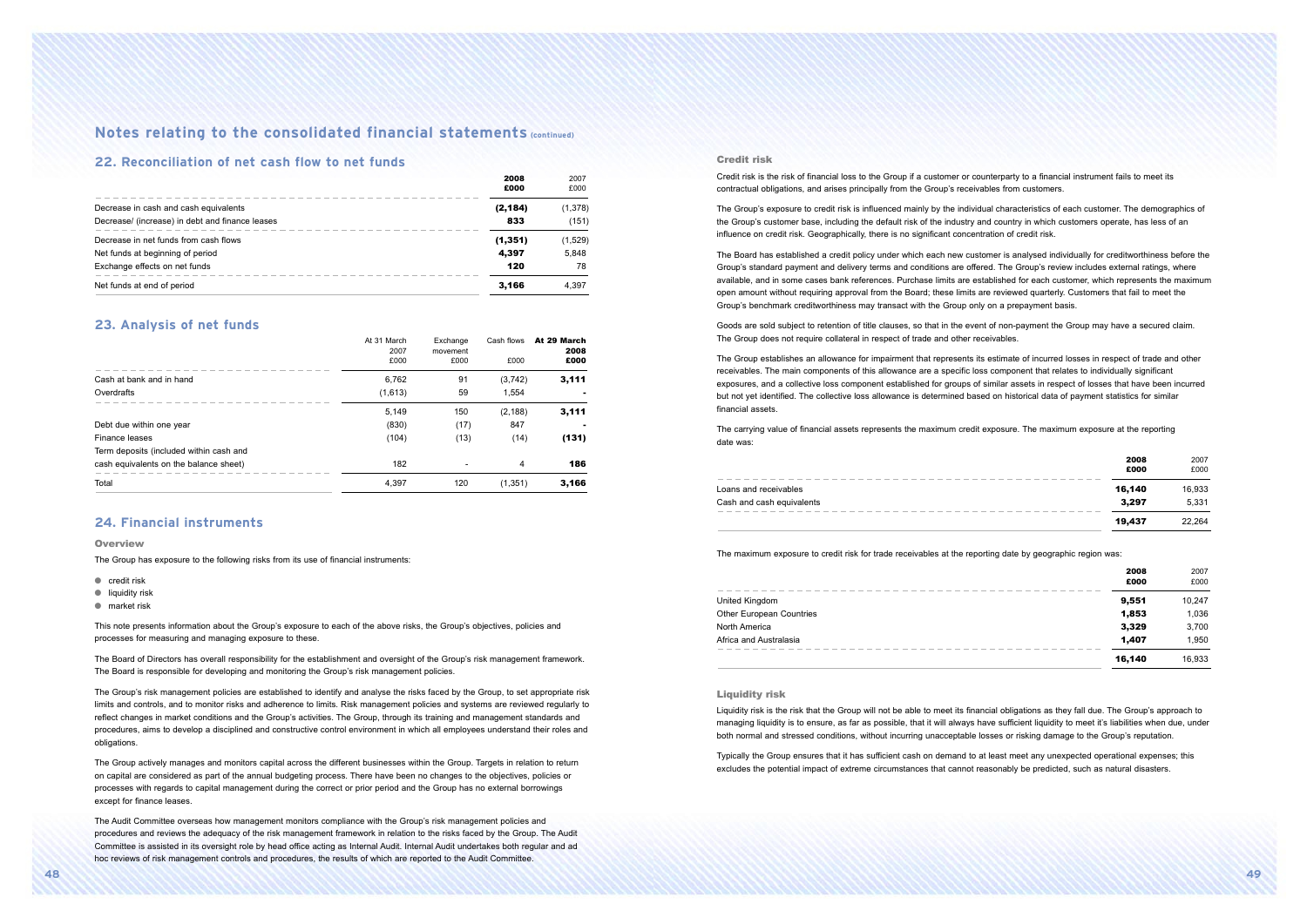### **22. Reconciliation of net cash flow to net funds**

|                                                 | 2008<br>£000 | 2007<br>£000 |
|-------------------------------------------------|--------------|--------------|
| Decrease in cash and cash equivalents           | (2, 184)     | (1,378)      |
| Decrease/ (increase) in debt and finance leases | 833          | (151)        |
| Decrease in net funds from cash flows           | (1, 351)     | (1,529)      |
| Net funds at beginning of period                | 4,397        | 5.848        |
| Exchange effects on net funds                   | 120          | 78           |
| Net funds at end of period                      | 3,166        | 4.397        |

### **23. Analysis of net funds**

- credit risk
- liquidity risk
- market risk

|                                         | At 31 March<br>2007<br>£000 | Exchange<br>movement<br>£000 | Cash flows<br>£000 | At 29 March<br>2008<br>£000 |
|-----------------------------------------|-----------------------------|------------------------------|--------------------|-----------------------------|
| Cash at bank and in hand                | 6,762                       | 91                           | (3,742)            | 3,111                       |
| Overdrafts                              | (1,613)                     | 59                           | 1,554              |                             |
|                                         | 5,149                       | 150                          | (2, 188)           | 3,111                       |
| Debt due within one year                | (830)                       | (17)                         | 847                |                             |
| Finance leases                          | (104)                       | (13)                         | (14)               | (131)                       |
| Term deposits (included within cash and |                             |                              |                    |                             |
| cash equivalents on the balance sheet)  | 182                         |                              | 4                  | 186                         |
| Total                                   | 4,397                       | 120                          | (1, 351)           | 3,166                       |

### **24. Financial instruments**

**Overview** 

The Group has exposure to the following risks from its use of financial instruments:

This note presents information about the Group's exposure to each of the above risks, the Group's objectives, policies and processes for measuring and managing exposure to these.

The Board of Directors has overall responsibility for the establishment and oversight of the Group's risk management framework. The Board is responsible for developing and monitoring the Group's risk management policies.

The Group's risk management policies are established to identify and analyse the risks faced by the Group, to set appropriate risk limits and controls, and to monitor risks and adherence to limits. Risk management policies and systems are reviewed regularly to reflect changes in market conditions and the Group's activities. The Group, through its training and management standards and procedures, aims to develop a disciplined and constructive control environment in which all employees understand their roles and obligations.

The Group actively manages and monitors capital across the different businesses within the Group. Targets in relation to return on capital are considered as part of the annual budgeting process. There have been no changes to the objectives, policies or processes with regards to capital management during the correct or prior period and the Group has no external borrowings except for finance leases.

| Loans and receivables     | 16.140 | 16.933 |
|---------------------------|--------|--------|
| Cash and cash equivalents | 3.297  | 5.331  |
|                           |        |        |

The Audit Committee overseas how management monitors compliance with the Group's risk management policies and procedures and reviews the adequacy of the risk management framework in relation to the risks faced by the Group. The Audit Committee is assisted in its oversight role by head office acting as Internal Audit. Internal Audit undertakes both regular and ad hoc reviews of risk management controls and procedures, the results of which are reported to the Audit Committee.

#### Credit risk

Credit risk is the risk of financial loss to the Group if a customer or counterparty to a financial instrument fails to meet its contractual obligations, and arises principally from the Group's receivables from customers.

The Group's exposure to credit risk is influenced mainly by the individual characteristics of each customer. The demographics of the Group's customer base, including the default risk of the industry and country in which customers operate, has less of an influence on credit risk. Geographically, there is no significant concentration of credit risk.

The Board has established a credit policy under which each new customer is analysed individually for creditworthiness before the Group's standard payment and delivery terms and conditions are offered. The Group's review includes external ratings, where available, and in some cases bank references. Purchase limits are established for each customer, which represents the maximum open amount without requiring approval from the Board; these limits are reviewed quarterly. Customers that fail to meet the Group's benchmark creditworthiness may transact with the Group only on a prepayment basis.

Goods are sold subject to retention of title clauses, so that in the event of non-payment the Group may have a secured claim. The Group does not require collateral in respect of trade and other receivables.

The Group establishes an allowance for impairment that represents its estimate of incurred losses in respect of trade and other receivables. The main components of this allowance are a specific loss component that relates to individually significant exposures, and a collective loss component established for groups of similar assets in respect of losses that have been incurred but not yet identified. The collective loss allowance is determined based on historical data of payment statistics for similar financial assets.

The carrying value of financial assets represents the maximum credit exposure. The maximum exposure at the reporting date was:

| 2008<br>£000 | 2007<br>£000 |
|--------------|--------------|
| 16,140       | 16,933       |
| 3,297        | 5,331        |
| 19,437       | 22,264       |

#### The maximum exposure to credit risk for trade receivables at the reporting date by geographic region was:

| 2008<br>£000 | 2007<br>£000 |
|--------------|--------------|
| 9,551        | 10,247       |
| 1,853        | 1,036        |
| 3,329        | 3,700        |
| 1,407        | 1,950        |
| 16,140       | 16,933       |

| United Kingdom           | 9.551 | 10,247 |
|--------------------------|-------|--------|
| Other European Countries | 1.853 | 1.036  |
| North America            | 3,329 | 3,700  |
| Africa and Australasia   | 1.407 | 1.950  |
|                          |       |        |

#### Liquidity risk

Liquidity risk is the risk that the Group will not be able to meet its financial obligations as they fall due. The Group's approach to managing liquidity is to ensure, as far as possible, that it will always have sufficient liquidity to meet it's liabilities when due, under both normal and stressed conditions, without incurring unacceptable losses or risking damage to the Group's reputation.

Typically the Group ensures that it has sufficient cash on demand to at least meet any unexpected operational expenses; this excludes the potential impact of extreme circumstances that cannot reasonably be predicted, such as natural disasters.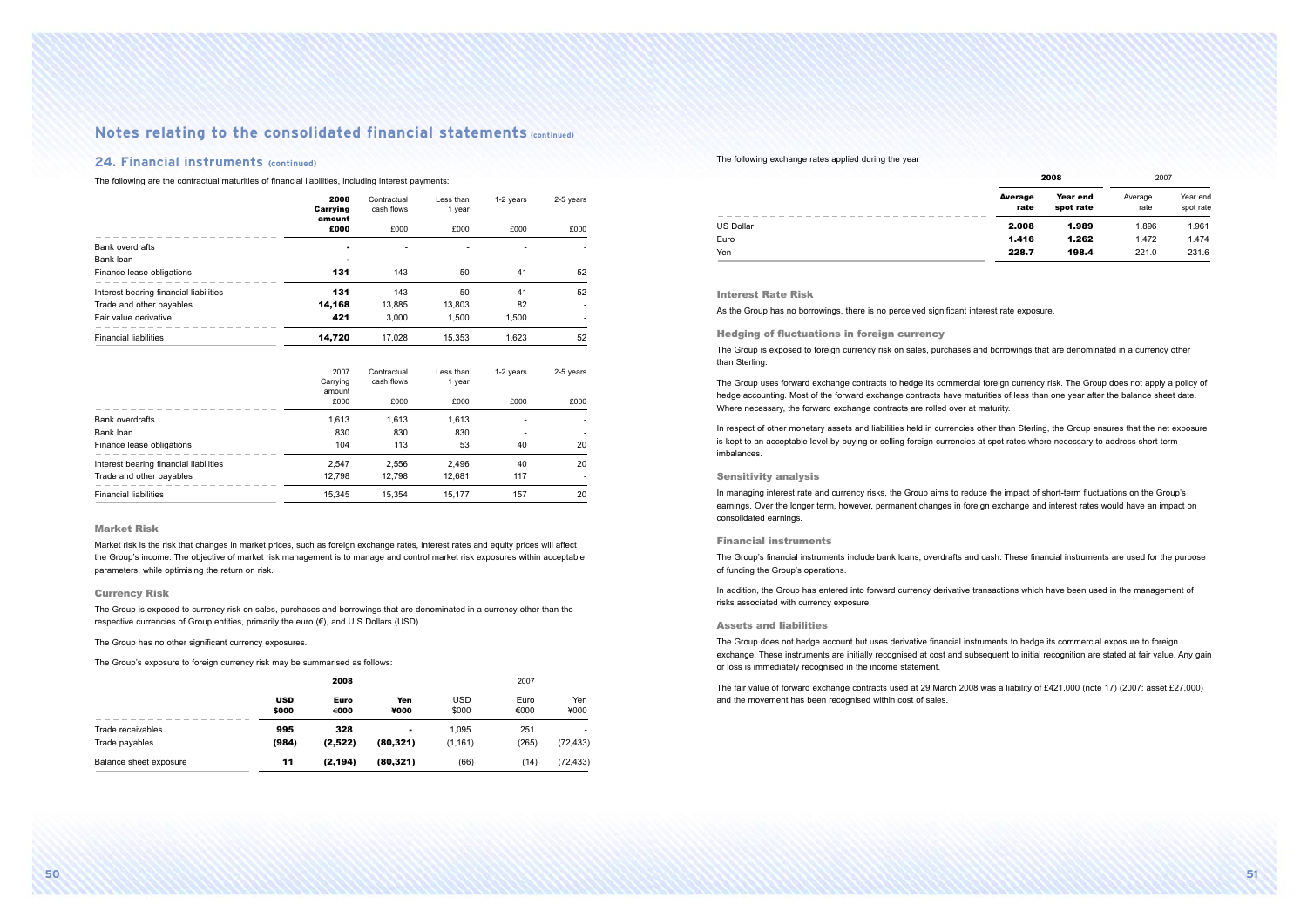### The following exchange rates applied during the year

| 2008                                            |       | 2007            |                       |
|-------------------------------------------------|-------|-----------------|-----------------------|
| Year end<br><b>Average</b><br>spot rate<br>rate |       | Average<br>rate | Year end<br>spot rate |
| 2.008                                           | 1.989 | 1.896           | 1.961                 |
| 1.416                                           | 1.262 | 1.472           | 1.474                 |
| 228.7                                           | 198.4 | 221.0           | 231.6                 |

|           | rate  | spot rate | rate  | spot rate |
|-----------|-------|-----------|-------|-----------|
| US Dollar | 2.008 | 1.989     | 1.896 | 1.961     |
| Euro      | 1.416 | 1.262     | 1.472 | 1.474     |
| Yen       | 228.7 | 198.4     | 221.0 | 231.6     |

### Interest Rate Risk

As the Group has no borrowings, there is no perceived significant interest rate exposure.

Hedging of fluctuations in foreign currency

The Group is exposed to foreign currency risk on sales, purchases and borrowings that are denominated in a currency other than Sterling.

The Group uses forward exchange contracts to hedge its commercial foreign currency risk. The Group does not apply a policy of hedge accounting. Most of the forward exchange contracts have maturities of less than one year after the balance sheet date. Where necessary, the forward exchange contracts are rolled over at maturity.

In respect of other monetary assets and liabilities held in currencies other than Sterling, the Group ensures that the net exposure is kept to an acceptable level by buying or selling foreign currencies at spot rates where necessary to address short-term imbalances.

#### Sensitivity analysis

In managing interest rate and currency risks, the Group aims to reduce the impact of short-term fluctuations on the Group's earnings. Over the longer term, however, permanent changes in foreign exchange and interest rates would have an impact on consolidated earnings.

#### Financial instruments

The Group's financial instruments include bank loans, overdrafts and cash. These financial instruments are used for the purpose of funding the Group's operations.

In addition, the Group has entered into forward currency derivative transactions which have been used in the management of risks associated with currency exposure.

### Assets and liabilities

The Group does not hedge account but uses derivative financial instruments to hedge its commercial exposure to foreign exchange. These instruments are initially recognised at cost and subsequent to initial recognition are stated at fair value. Any gain or loss is immediately recognised in the income statement.

The fair value of forward exchange contracts used at 29 March 2008 was a liability of £421,000 (note 17) (2007: asset £27,000) and the movement has been recognised within cost of sales.

# **Notes relating to the consolidated financial statements (continued)**

### **24. Financial instruments (continued)**

The following are the contractual maturities of financial liabilities, including interest payments:

|                                        | 2008<br>Carrying<br>amount<br>£000 | Contractual<br>cash flows | Less than<br>1 year |       | 2-5 years |
|----------------------------------------|------------------------------------|---------------------------|---------------------|-------|-----------|
|                                        |                                    | £000                      | £000                | £000  | £000      |
| <b>Bank overdrafts</b>                 |                                    |                           |                     |       |           |
| Bank loan                              |                                    |                           |                     |       |           |
| Finance lease obligations              | 131                                | 143                       | 50                  | 41    | 52        |
| Interest bearing financial liabilities | 131                                | 143                       | 50                  | 41    | 52        |
| Trade and other payables               | 14,168                             | 13,885                    | 13,803              | 82    |           |
| Fair value derivative                  | 421                                | 3.000                     | 1.500               | 1.500 |           |
| <b>Financial liabilities</b>           | 14,720                             | 17.028                    | 15.353              | 1.623 | 52        |

|                                        | 2007<br>Carrying<br>amount | Contractual<br>cash flows | Less than<br>1 year | 1-2 years | 2-5 years |
|----------------------------------------|----------------------------|---------------------------|---------------------|-----------|-----------|
|                                        | £000                       | £000                      | £000                | £000      | £000      |
| Bank overdrafts                        | 1,613                      | 1,613                     | 1,613               |           |           |
| Bank loan                              | 830                        | 830                       | 830                 | ۰         |           |
| Finance lease obligations              | 104                        | 113                       | 53                  | 40        | 20        |
| Interest bearing financial liabilities | 2.547                      | 2,556                     | 2.496               | 40        | 20        |
| Trade and other payables               | 12,798                     | 12,798                    | 12,681              | 117       |           |
| <b>Financial liabilities</b>           | 15,345                     | 15.354                    | 15.177              | 157       | 20        |

### Market Risk

Market risk is the risk that changes in market prices, such as foreign exchange rates, interest rates and equity prices will affect the Group's income. The objective of market risk management is to manage and control market risk exposures within acceptable parameters, while optimising the return on risk.

### Currency Risk

The Group is exposed to currency risk on sales, purchases and borrowings that are denominated in a currency other than the respective currencies of Group entities, primarily the euro (€), and U S Dollars (USD).

The Group has no other significant currency exposures.

The Group's exposure to foreign currency risk may be summarised as follows:

|                        |                     | 2008         |                |              | 2007         |                          |
|------------------------|---------------------|--------------|----------------|--------------|--------------|--------------------------|
|                        | <b>USD</b><br>\$000 | Euro<br>€000 | Yen<br>¥000    | USD<br>\$000 | Euro<br>€000 | Yen<br>¥000              |
| Trade receivables      | 995                 | 328          | $\blacksquare$ | 1.095        | 251          | $\overline{\phantom{a}}$ |
| Trade payables         | (984)               | (2,522)      | (80, 321)      | (1, 161)     | (265)        | (72, 433)                |
| Balance sheet exposure | 11                  | (2, 194)     | (80, 321)      | (66)         | (14)         | (72, 433)                |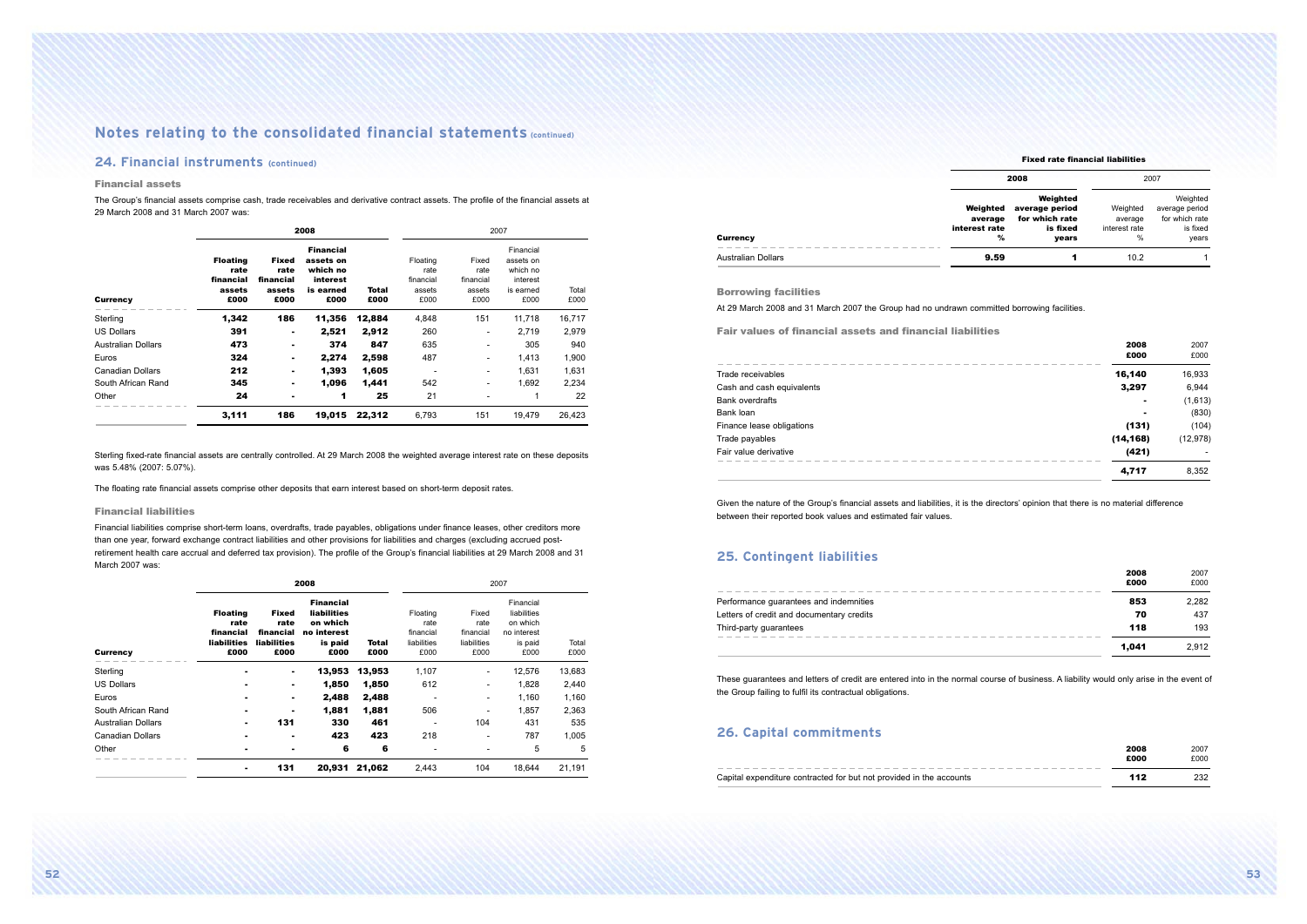### **24. Financial instruments (continued)**

### Financial assets

The Group's financial assets comprise cash, trade receivables and derivative contract assets. The profile of the financial assets at 29 March 2008 and 31 March 2007 was:

|                           | 2008              |                   |                               |              |                     | 2007                     |                        |        |
|---------------------------|-------------------|-------------------|-------------------------------|--------------|---------------------|--------------------------|------------------------|--------|
|                           | <b>Floating</b>   | <b>Fixed</b>      | <b>Financial</b><br>assets on |              | Floating            | Fixed                    | Financial<br>assets on |        |
|                           | rate<br>financial | rate<br>financial | which no                      |              | rate                | rate                     | which no               |        |
|                           | assets            | assets            | interest<br>is earned         | <b>Total</b> | financial<br>assets | financial<br>assets      | interest<br>is earned  | Total  |
| <b>Currency</b>           | £000              | £000              | £000                          | £000         | £000                | £000                     | £000                   | £000   |
| Sterling                  | 1,342             | 186               | 11,356                        | 12,884       | 4,848               | 151                      | 11,718                 | 16,717 |
| <b>US Dollars</b>         | 391               | ۰                 | 2,521                         | 2,912        | 260                 | $\overline{\phantom{a}}$ | 2,719                  | 2,979  |
| <b>Australian Dollars</b> | 473               | ۰                 | 374                           | 847          | 635                 | $\overline{\phantom{a}}$ | 305                    | 940    |
| Euros                     | 324               | ۰                 | 2,274                         | 2,598        | 487                 | $\overline{\phantom{a}}$ | 1,413                  | 1,900  |
| <b>Canadian Dollars</b>   | 212               | ٠                 | 1,393                         | 1,605        |                     | $\overline{\phantom{a}}$ | 1,631                  | 1,631  |
| South African Rand        | 345               | ٠                 | 1,096                         | 1,441        | 542                 | $\overline{\phantom{a}}$ | 1,692                  | 2,234  |
| Other                     | 24                |                   | 1                             | 25           | 21                  | $\overline{\phantom{0}}$ | 1                      | 22     |
|                           | 3,111             | 186               | 19,015                        | 22,312       | 6,793               | 151                      | 19,479                 | 26,423 |

Sterling fixed-rate financial assets are centrally controlled. At 29 March 2008 the weighted average interest rate on these deposits was 5.48% (2007: 5.07%).

The floating rate financial assets comprise other deposits that earn interest based on short-term deposit rates.

### Financial liabilities

Financial liabilities comprise short-term loans, overdrafts, trade payables, obligations under finance leases, other creditors more than one year, forward exchange contract liabilities and other provisions for liabilities and charges (excluding accrued postretirement health care accrual and deferred tax provision). The profile of the Group's financial liabilities at 29 March 2008 and 31 March 2007 was:

|                           | 2008                                                               |                                                          |                                                                                      |                      |                                                      | 2007                                              |                                                                        |               |
|---------------------------|--------------------------------------------------------------------|----------------------------------------------------------|--------------------------------------------------------------------------------------|----------------------|------------------------------------------------------|---------------------------------------------------|------------------------------------------------------------------------|---------------|
| <b>Currency</b>           | <b>Floating</b><br>rate<br>financial<br><b>liabilities</b><br>£000 | Fixed<br>rate<br>financial<br><b>liabilities</b><br>£000 | <b>Financial</b><br><b>liabilities</b><br>on which<br>no interest<br>is paid<br>£000 | <b>Total</b><br>£000 | Floating<br>rate<br>financial<br>liabilities<br>£000 | Fixed<br>rate<br>financial<br>liabilities<br>£000 | Financial<br>liabilities<br>on which<br>no interest<br>is paid<br>£000 | Total<br>£000 |
| Sterling                  |                                                                    | ۰.                                                       | 13,953                                                                               | 13,953               | 1,107                                                | -                                                 | 12,576                                                                 | 13,683        |
| <b>US Dollars</b>         |                                                                    | ٠                                                        | 1,850                                                                                | 1,850                | 612                                                  | -                                                 | 1,828                                                                  | 2,440         |
| Euros                     |                                                                    | ٠                                                        | 2,488                                                                                | 2,488                |                                                      | -                                                 | 1,160                                                                  | 1,160         |
| South African Rand        |                                                                    | ٠                                                        | 1,881                                                                                | 1,881                | 506                                                  |                                                   | 1,857                                                                  | 2,363         |
| <b>Australian Dollars</b> |                                                                    | 131                                                      | 330                                                                                  | 461                  |                                                      | 104                                               | 431                                                                    | 535           |
| <b>Canadian Dollars</b>   |                                                                    |                                                          | 423                                                                                  | 423                  | 218                                                  |                                                   | 787                                                                    | 1,005         |
| Other                     |                                                                    |                                                          | 6                                                                                    | 6                    |                                                      | -                                                 | 5                                                                      | 5             |
|                           |                                                                    | 131                                                      | 20,931                                                                               | 21,062               | 2,443                                                | 104                                               | 18.644                                                                 | 21,191        |

Fixed rate financial liabilities

| Weighted<br>Weighted<br>average period<br>for which rate<br>average<br>interest rate<br>is fixed<br>%<br><b>Currency</b><br>years<br>9.59 |                                           |                                                                   |
|-------------------------------------------------------------------------------------------------------------------------------------------|-------------------------------------------|-------------------------------------------------------------------|
| <b>Australian Dollars</b>                                                                                                                 | Weighted<br>average<br>interest rate<br>% | Weighted<br>average period<br>for which rate<br>is fixed<br>years |
|                                                                                                                                           | 10.2                                      | 1                                                                 |

At 29 March 2008 and 31 March 2007 the Group had no undrawn committed borrowing facilities.

Fair values of financial assets and financial liabilities

|                           | 2008      | 2007      |
|---------------------------|-----------|-----------|
|                           | £000      | £000      |
| Trade receivables         | 16,140    | 16,933    |
| Cash and cash equivalents | 3,297     | 6,944     |
| <b>Bank overdrafts</b>    | ۰         | (1,613)   |
| Bank loan                 | ۰         | (830)     |
| Finance lease obligations | (131)     | (104)     |
| Trade payables            | (14, 168) | (12, 978) |
| Fair value derivative     | (421)     |           |
|                           | 4.717     | 8.352     |

Given the nature of the Group's financial assets and liabilities, it is the directors' opinion that there is no material difference between their reported book values and estimated fair values.

### **25. Contingent liabilities**

|                                           | 2008<br>£000 | 2007<br>£000 |
|-------------------------------------------|--------------|--------------|
| Performance guarantees and indemnities    | 853          | 2.282        |
| Letters of credit and documentary credits | 70           | 437          |
| Third-party guarantees                    | 118          | 193          |
|                                           | 1.041        | 2.912        |

These guarantees and letters of credit are entered into in the normal course of business. A liability would only arise in the event of the Group failing to fulfil its contractual obligations.

### **26. Capital commitments**

Capital expenditure contracted for but not provided in the accounts

| 2008<br>£000 | 2007<br>£000 |
|--------------|--------------|
| 112          | 232          |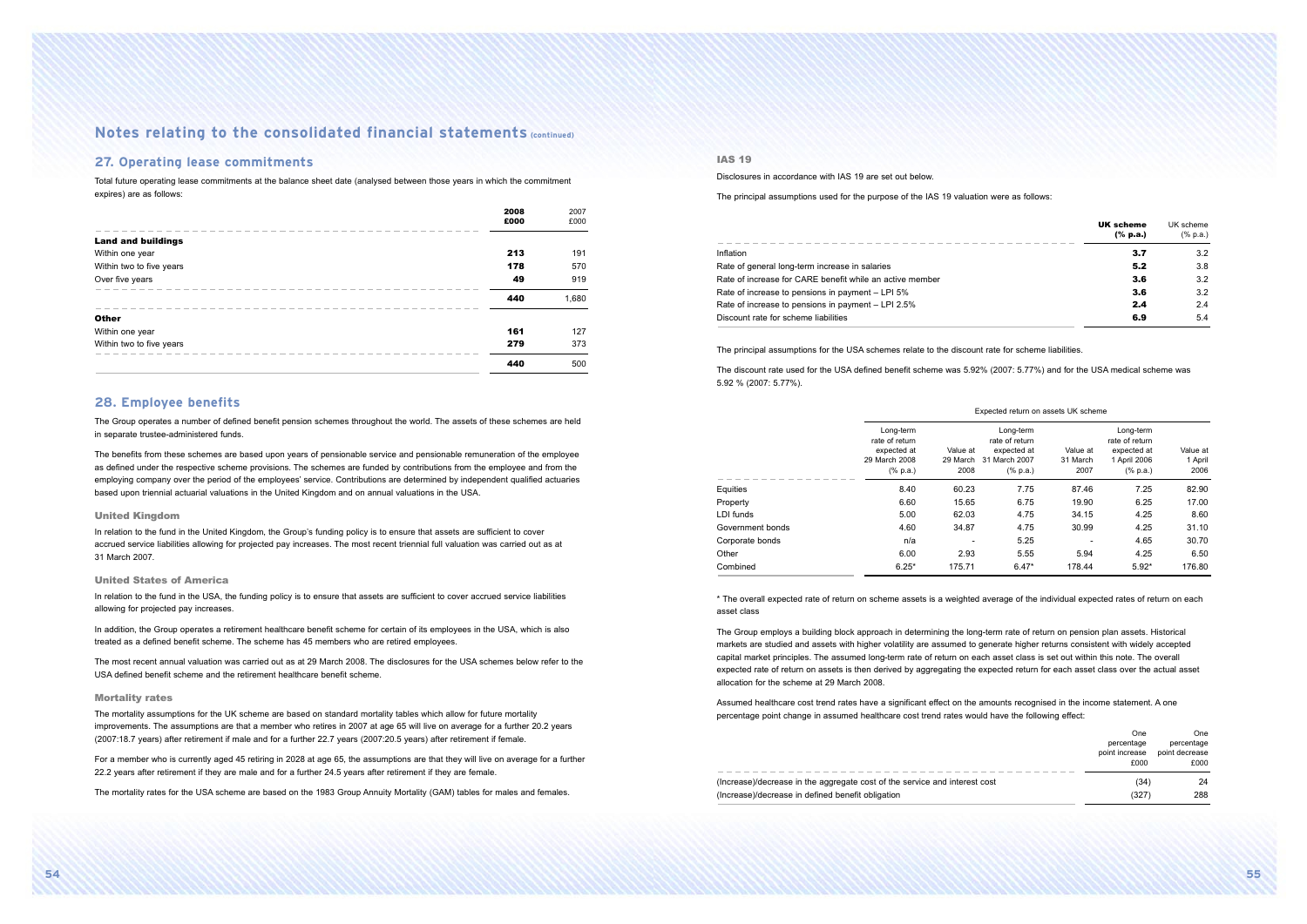

### **27. Operating lease commitments**

Total future operating lease commitments at the balance sheet date (analysed between those years in which the commitment expires) are as follows:

|                           | 2008 | 2007  |
|---------------------------|------|-------|
|                           | £000 | £000  |
| <b>Land and buildings</b> |      |       |
| Within one year           | 213  | 191   |
| Within two to five years  | 178  | 570   |
| Over five years           | 49   | 919   |
|                           | 440  | 1,680 |
| Other                     |      |       |
| Within one year           | 161  | 127   |
| Within two to five years  | 279  | 373   |
|                           |      | 500   |

### **28. Employee benefits**

The Group operates a number of defined benefit pension schemes throughout the world. The assets of these schemes are held in separate trustee-administered funds.

The benefits from these schemes are based upon years of pensionable service and pensionable remuneration of the employee as defined under the respective scheme provisions. The schemes are funded by contributions from the employee and from the employing company over the period of the employees' service. Contributions are determined by independent qualified actuaries based upon triennial actuarial valuations in the United Kingdom and on annual valuations in the USA.

### United Kingdom

In relation to the fund in the United Kingdom, the Group's funding policy is to ensure that assets are sufficient to cover accrued service liabilities allowing for projected pay increases. The most recent triennial full valuation was carried out as at 31 March 2007.

### United States of America

In relation to the fund in the USA, the funding policy is to ensure that assets are sufficient to cover accrued service liabilities allowing for projected pay increases.

In addition, the Group operates a retirement healthcare benefit scheme for certain of its employees in the USA, which is also treated as a defined benefit scheme. The scheme has 45 members who are retired employees.

The most recent annual valuation was carried out as at 29 March 2008. The disclosures for the USA schemes below refer to the USA defined benefit scheme and the retirement healthcare benefit scheme.

#### Mortality rates

The mortality assumptions for the UK scheme are based on standard mortality tables which allow for future mortality improvements. The assumptions are that a member who retires in 2007 at age 65 will live on average for a further 20.2 years (2007:18.7 years) after retirement if male and for a further 22.7 years (2007:20.5 years) after retirement if female.

For a member who is currently aged 45 retiring in 2028 at age 65, the assumptions are that they will live on average for a further 22.2 years after retirement if they are male and for a further 24.5 years after retirement if they are female.

The mortality rates for the USA scheme are based on the 1983 Group Annuity Mortality (GAM) tables for males and females.

### IAS 19

Disclosures in accordance with IAS 19 are set out below.

The principal assumptions used for the purpose of the IAS 19 valuation were as follows:

| <b>UK scheme</b><br>$(% \mathbf{a})$ (% p.a.) | UK scheme<br>$(% \mathbb{R}^2)$ (% p.a.) |
|-----------------------------------------------|------------------------------------------|
| 3.7                                           | 3.2                                      |
| 5.2                                           | 3.8                                      |
| 3.6                                           | 3.2                                      |
| 3.6                                           | 3.2                                      |
| 2.4                                           | 2.4                                      |
| 6.9                                           | 5.4                                      |
|                                               |                                          |

|                                                          | , , , , , , , , , | 1, 0, 0, 0, 0, 1 |
|----------------------------------------------------------|-------------------|------------------|
| Inflation                                                | 3.7               | 3.2              |
| Rate of general long-term increase in salaries           | 5.2               | 3.8              |
| Rate of increase for CARE benefit while an active member | 3.6               | 3.2              |
| Rate of increase to pensions in payment – LPI 5%         | 3.6               | 3.2              |
| Rate of increase to pensions in payment – LPI 2.5%       | 2.4               | 24               |
| Discount rate for scheme liabilities                     | 6.9               | 5.4              |

The principal assumptions for the USA schemes relate to the discount rate for scheme liabilities.

The discount rate used for the USA defined benefit scheme was 5.92% (2007: 5.77%) and for the USA medical scheme was 5.92 % (2007: 5.77%).

|                  |                                                                            | Expected return on assets UK scheme |                                                                            |                              |                                                                           |                             |  |
|------------------|----------------------------------------------------------------------------|-------------------------------------|----------------------------------------------------------------------------|------------------------------|---------------------------------------------------------------------------|-----------------------------|--|
|                  | Long-term<br>rate of return<br>expected at<br>29 March 2008<br>$(\%$ p.a.) | Value at<br>29 March<br>2008        | Long-term<br>rate of return<br>expected at<br>31 March 2007<br>$(\%$ p.a.) | Value at<br>31 March<br>2007 | Long-term<br>rate of return<br>expected at<br>1 April 2006<br>$(\%$ p.a.) | Value at<br>1 April<br>2006 |  |
| Equities         | 8.40                                                                       | 60.23                               | 7.75                                                                       | 87.46                        | 7.25                                                                      | 82.90                       |  |
| Property         | 6.60                                                                       | 15.65                               | 6.75                                                                       | 19.90                        | 6.25                                                                      | 17.00                       |  |
| LDI funds        | 5.00                                                                       | 62.03                               | 4.75                                                                       | 34.15                        | 4.25                                                                      | 8.60                        |  |
| Government bonds | 4.60                                                                       | 34.87                               | 4.75                                                                       | 30.99                        | 4.25                                                                      | 31.10                       |  |
| Corporate bonds  | n/a                                                                        |                                     | 5.25                                                                       |                              | 4.65                                                                      | 30.70                       |  |
| Other            | 6.00                                                                       | 2.93                                | 5.55                                                                       | 5.94                         | 4.25                                                                      | 6.50                        |  |
| Combined         | $6.25*$                                                                    | 175.71                              | $6.47*$                                                                    | 178.44                       | $5.92*$                                                                   | 176.80                      |  |

\* The overall expected rate of return on scheme assets is a weighted average of the individual expected rates of return on each asset class

The Group employs a building block approach in determining the long-term rate of return on pension plan assets. Historical markets are studied and assets with higher volatility are assumed to generate higher returns consistent with widely accepted capital market principles. The assumed long-term rate of return on each asset class is set out within this note. The overall expected rate of return on assets is then derived by aggregating the expected return for each asset class over the actual asset allocation for the scheme at 29 March 2008.

Assumed healthcare cost trend rates have a significant effect on the amounts recognised in the income statement. A one percentage point change in assumed healthcare cost trend rates would have the following effect:

(Increase)/decrease in the aggregate cost of the service and interest co (Increase)/decrease in defined benefit obligation

|     | One<br>percentage<br>point increase<br>£000 | One<br>percentage<br>point decrease<br>£000 |
|-----|---------------------------------------------|---------------------------------------------|
| วst | (34)<br>(327)                               | 24<br>288                                   |
|     |                                             |                                             |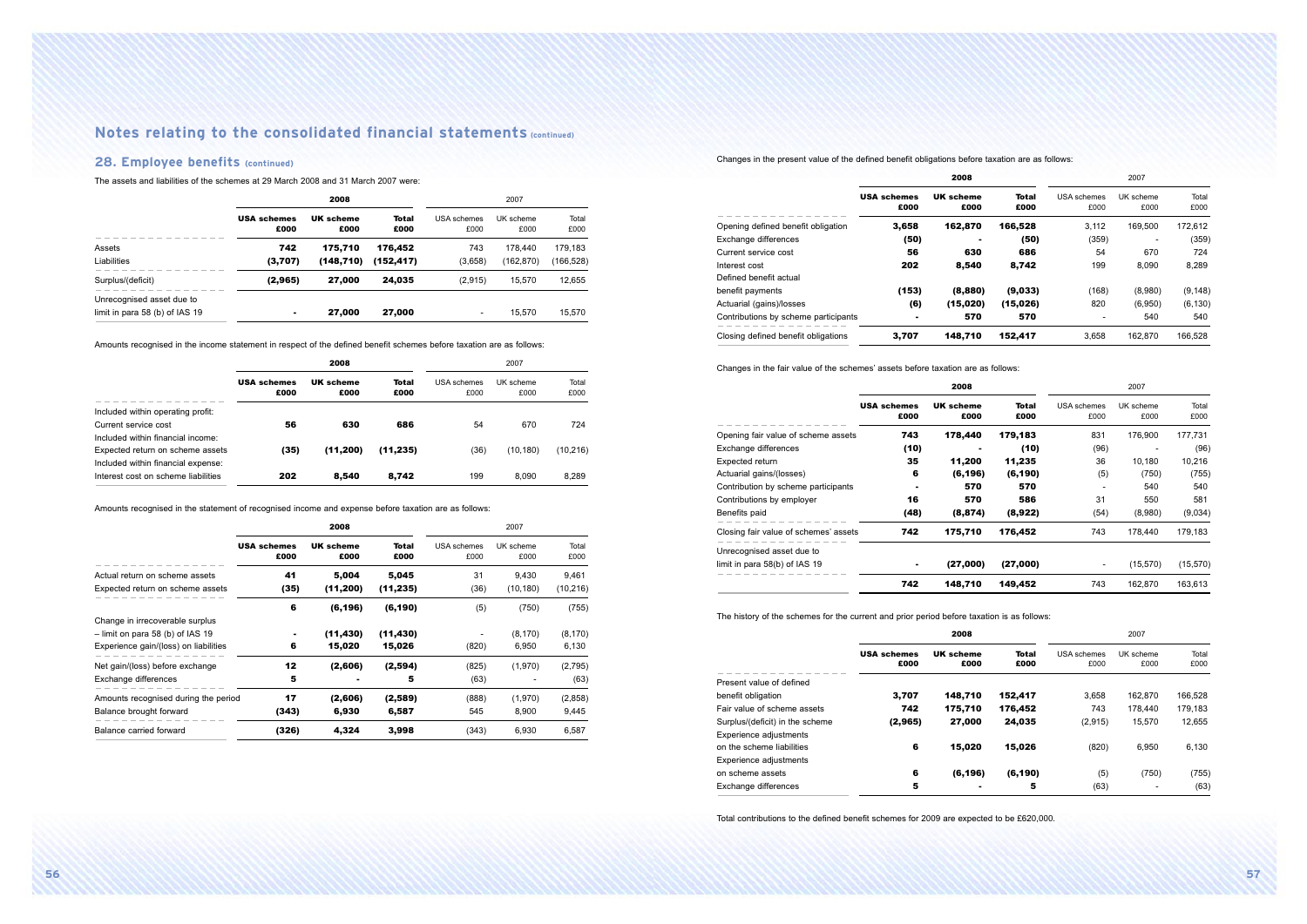Changes in the present value of the defined benefit obligations before taxation are as follows:

|                                      | 2008                       |                          |                      |                     |                   |               |
|--------------------------------------|----------------------------|--------------------------|----------------------|---------------------|-------------------|---------------|
|                                      | <b>USA schemes</b><br>£000 | <b>UK scheme</b><br>£000 | <b>Total</b><br>£000 | USA schemes<br>£000 | UK scheme<br>£000 | Total<br>£000 |
| Opening defined benefit obligation   | 3,658                      | 162,870                  | 166,528              | 3,112               | 169.500           | 172,612       |
| Exchange differences                 | (50)                       |                          | (50)                 | (359)               |                   | (359)         |
| Current service cost                 | 56                         | 630                      | 686                  | 54                  | 670               | 724           |
| Interest cost                        | 202                        | 8,540                    | 8,742                | 199                 | 8,090             | 8,289         |
| Defined benefit actual               |                            |                          |                      |                     |                   |               |
| benefit payments                     | (153)                      | (8,880)                  | (9,033)              | (168)               | (8,980)           | (9, 148)      |
| Actuarial (gains)/losses             | (6)                        | (15,020)                 | (15, 026)            | 820                 | (6,950)           | (6, 130)      |
| Contributions by scheme participants | ۰                          | 570                      | 570                  |                     | 540               | 540           |
| Closing defined benefit obligations  | 3,707                      | 148,710                  | 152,417              | 3,658               | 162.870           | 166,528       |

Changes in the fair value of the schemes' assets before taxation are as follows:

|                                       |                            | 2008              |               | 2007                |                   |               |
|---------------------------------------|----------------------------|-------------------|---------------|---------------------|-------------------|---------------|
|                                       | <b>USA</b> schemes<br>£000 | UK scheme<br>£000 | Total<br>£000 | USA schemes<br>£000 | UK scheme<br>£000 | Total<br>£000 |
| Opening fair value of scheme assets   | 743                        | 178,440           | 179,183       | 831                 | 176,900           | 177,731       |
| Exchange differences                  | (10)                       |                   | (10)          | (96)                |                   | (96)          |
| Expected return                       | 35                         | 11,200            | 11,235        | 36                  | 10,180            | 10,216        |
| Actuarial gains/(losses)              | 6                          | (6, 196)          | (6, 190)      | (5)                 | (750)             | (755)         |
| Contribution by scheme participants   |                            | 570               | 570           |                     | 540               | 540           |
| Contributions by employer             | 16                         | 570               | 586           | 31                  | 550               | 581           |
| Benefits paid                         | (48)                       | (8, 874)          | (8,922)       | (54)                | (8,980)           | (9,034)       |
| Closing fair value of schemes' assets | 742                        | 175,710           | 176,452       | 743                 | 178,440           | 179,183       |
| Unrecognised asset due to             |                            |                   |               |                     |                   |               |
| limit in para 58(b) of IAS 19         |                            | (27,000)          | (27,000)      |                     | (15, 570)         | (15, 570)     |
|                                       | 742                        | 148,710           | 149,452       | 743                 | 162,870           | 163,613       |
|                                       |                            |                   |               |                     |                   |               |

The history of the schemes for the current and prior period before taxation is as follows:

|                                 |                            | 2008              |               |                     | 2007              |               |
|---------------------------------|----------------------------|-------------------|---------------|---------------------|-------------------|---------------|
|                                 | <b>USA schemes</b><br>£000 | UK scheme<br>£000 | Total<br>£000 | USA schemes<br>£000 | UK scheme<br>£000 | Total<br>£000 |
| Present value of defined        |                            |                   |               |                     |                   |               |
| benefit obligation              | 3,707                      | 148,710           | 152,417       | 3,658               | 162.870           | 166,528       |
| Fair value of scheme assets     | 742                        | 175,710           | 176,452       | 743                 | 178.440           | 179,183       |
| Surplus/(deficit) in the scheme | (2,965)                    | 27,000            | 24,035        | (2,915)             | 15,570            | 12,655        |
| Experience adjustments          |                            |                   |               |                     |                   |               |
| on the scheme liabilities       | 6                          | 15,020            | 15,026        | (820)               | 6.950             | 6,130         |
| Experience adjustments          |                            |                   |               |                     |                   |               |
| on scheme assets                | 6                          | (6, 196)          | (6, 190)      | (5)                 | (750)             | (755)         |
| Exchange differences            | 5                          |                   | 5             | (63)                |                   | (63)          |

Total contributions to the defined benefit schemes for 2009 are expected to be £620,000.

# **Notes relating to the consolidated financial statements (continued)**

### **28. Employee benefits (continued)**

The assets and liabilities of the schemes at 29 March 2008 and 31 March 2007 were:

|                                                             |                            | 2008                     |                       | 2007                     |                       |                      |
|-------------------------------------------------------------|----------------------------|--------------------------|-----------------------|--------------------------|-----------------------|----------------------|
|                                                             | <b>USA schemes</b><br>£000 | <b>UK scheme</b><br>£000 | <b>Total</b><br>£000  | USA schemes<br>£000      | UK scheme<br>£000     | Total<br>£000        |
| Assets<br>Liabilities                                       | 742<br>(3,707)             | 175,710<br>(148, 710)    | 176,452<br>(152, 417) | 743<br>(3,658)           | 178.440<br>(162, 870) | 179,183<br>(166,528) |
| Surplus/(deficit)                                           | (2,965)                    | 27,000                   | 24,035                | (2,915)                  | 15.570                | 12,655               |
| Unrecognised asset due to<br>limit in para 58 (b) of IAS 19 | ۰                          | 27,000                   | 27,000                | $\overline{\phantom{a}}$ | 15.570                | 15,570               |

Amounts recognised in the income statement in respect of the defined benefit schemes before taxation are as follows:

|                                     | 2008                       |                          |                      |                     | 2007              |               |
|-------------------------------------|----------------------------|--------------------------|----------------------|---------------------|-------------------|---------------|
|                                     | <b>USA schemes</b><br>£000 | <b>UK scheme</b><br>£000 | <b>Total</b><br>£000 | USA schemes<br>£000 | UK scheme<br>£000 | Total<br>£000 |
| Included within operating profit:   |                            |                          |                      |                     |                   |               |
| Current service cost                | 56                         | 630                      | 686                  | 54                  | 670               | 724           |
| Included within financial income:   |                            |                          |                      |                     |                   |               |
| Expected return on scheme assets    | (35)                       | (11, 200)                | (11, 235)            | (36)                | (10, 180)         | (10, 216)     |
| Included within financial expense:  |                            |                          |                      |                     |                   |               |
| Interest cost on scheme liabilities | 202                        | 8,540                    | 8,742                | 199                 | 8,090             | 8,289         |

Amounts recognised in the statement of recognised income and expense before taxation are as follows:

|                                       |                            | 2008                     |               |                     | 2007              |               |
|---------------------------------------|----------------------------|--------------------------|---------------|---------------------|-------------------|---------------|
|                                       | <b>USA schemes</b><br>£000 | <b>UK scheme</b><br>£000 | Total<br>£000 | USA schemes<br>£000 | UK scheme<br>£000 | Total<br>£000 |
| Actual return on scheme assets        | 41                         | 5,004                    | 5,045         | 31                  | 9,430             | 9,461         |
| Expected return on scheme assets      | (35)                       | (11, 200)                | (11, 235)     | (36)                | (10, 180)         | (10, 216)     |
|                                       | 6                          | (6, 196)                 | (6, 190)      | (5)                 | (750)             | (755)         |
| Change in irrecoverable surplus       |                            |                          |               |                     |                   |               |
| - limit on para 58 (b) of IAS 19      |                            | (11, 430)                | (11, 430)     |                     | (8, 170)          | (8, 170)      |
| Experience gain/(loss) on liabilities | 6                          | 15,020                   | 15,026        | (820)               | 6,950             | 6,130         |
| Net gain/(loss) before exchange       | 12                         | (2,606)                  | (2, 594)      | (825)               | (1,970)           | (2,795)       |
| Exchange differences                  | 5                          |                          | 5             | (63)                |                   | (63)          |
| Amounts recognised during the period  | 17                         | (2,606)                  | (2,589)       | (888)               | (1,970)           | (2,858)       |
| Balance brought forward               | (343)                      | 6,930                    | 6,587         | 545                 | 8,900             | 9,445         |
| Balance carried forward               | (326)                      | 4,324                    | 3,998         | (343)               | 6,930             | 6,587         |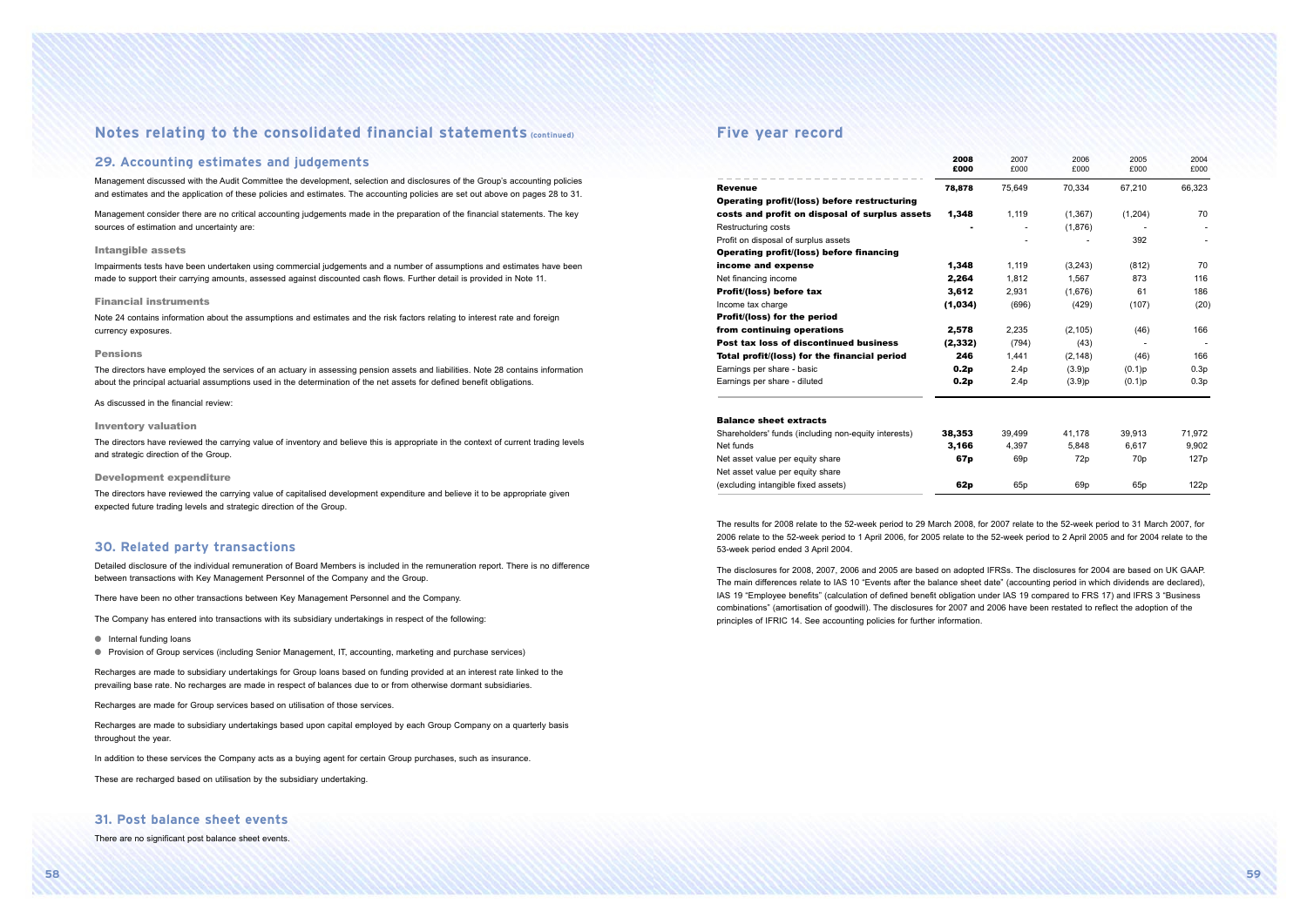### **29. Accounting estimates and judgements**

Management discussed with the Audit Committee the development, selection and disclosures of the Group's accounting policies and estimates and the application of these policies and estimates. The accounting policies are set out above on pages 28 to 31.

Management consider there are no critical accounting judgements made in the preparation of the financial statements. The key sources of estimation and uncertainty are:

#### Intangible assets

Impairments tests have been undertaken using commercial judgements and a number of assumptions and estimates have been made to support their carrying amounts, assessed against discounted cash flows. Further detail is provided in Note 11.

### Financial instruments

Note 24 contains information about the assumptions and estimates and the risk factors relating to interest rate and foreign currency exposures.

#### Pensions

The directors have employed the services of an actuary in assessing pension assets and liabilities. Note 28 contains information about the principal actuarial assumptions used in the determination of the net assets for defined benefit obligations.

### As discussed in the financial review:

### Inventory valuation

The directors have reviewed the carrying value of inventory and believe this is appropriate in the context of current trading levels and strategic direction of the Group.

### Development expenditure

The directors have reviewed the carrying value of capitalised development expenditure and believe it to be appropriate given expected future trading levels and strategic direction of the Group.

### **30. Related party transactions**

Detailed disclosure of the individual remuneration of Board Members is included in the remuneration report. There is no difference between transactions with Key Management Personnel of the Company and the Group.

There have been no other transactions between Key Management Personnel and the Company.

The Company has entered into transactions with its subsidiary undertakings in respect of the following:

#### ● Internal funding loans

● Provision of Group services (including Senior Management, IT, accounting, marketing and purchase services)

Recharges are made to subsidiary undertakings for Group loans based on funding provided at an interest rate linked to the prevailing base rate. No recharges are made in respect of balances due to or from otherwise dormant subsidiaries.

Recharges are made for Group services based on utilisation of those services.

Recharges are made to subsidiary undertakings based upon capital employed by each Group Company on a quarterly basis throughout the year.

In addition to these services the Company acts as a buying agent for certain Group purchases, such as insurance.

These are recharged based on utilisation by the subsidiary undertaking.

### **31. Post balance sheet events**

There are no significant post balance sheet events.

## **Notes relating to the consolidated financial statements (continued) Five year record**

| 2008            | 2007            | 2006     | 2005            | 2004   |
|-----------------|-----------------|----------|-----------------|--------|
| £000            | £000            | £000     | £000            | £000   |
| 8,878           | 75,649          | 70,334   | 67,210          | 66,323 |
| ,348            | 1,119           | (1, 367) | (1,204)         | 70     |
|                 |                 | (1,876)  |                 |        |
|                 |                 |          | 392             |        |
| ,348            | 1,119           | (3,243)  | (812)           | 70     |
| ,264            | 1,812           | 1,567    | 873             | 116    |
| ,612            | 2,931           | (1,676)  | 61              | 186    |
| ,034)           | (696)           | (429)    | (107)           | (20)   |
| ,578            | 2,235           | (2, 105) | (46)            | 166    |
| ,332)           | (794)           | (43)     |                 |        |
| 246             | 1,441           | (2, 148) | (46)            | 166    |
| 0.2p            | 2.4p            | (3.9)p   | (0.1)p          | 0.3p   |
| 0.2p            | 2.4p            | (3.9)p   | (0.1)p          | 0.3p   |
|                 |                 |          |                 |        |
| ,353            | 39,499          | 41,178   | 39,913          | 71,972 |
| ,166            | 4,397           | 5,848    | 6,617           | 9,902  |
| 67 <sub>p</sub> | 69p             | 72p      | 70 <sub>p</sub> | 127p   |
| 62p             | 65 <sub>p</sub> | 69p      | 65p             | 122p   |

|                                                | LUUU<br>£000 | zuu i<br>£000 | zuuu<br>£000 | ∠∪∪<br>£000 | 2004 -<br>£000           |
|------------------------------------------------|--------------|---------------|--------------|-------------|--------------------------|
| Revenue                                        | 78,878       | 75,649        | 70,334       | 67,210      | 66,323                   |
| Operating profit/(loss) before restructuring   |              |               |              |             |                          |
| costs and profit on disposal of surplus assets | 1,348        | 1,119         | (1, 367)     | (1,204)     | 70                       |
| Restructuring costs                            |              |               | (1,876)      |             | $\overline{\phantom{a}}$ |
| Profit on disposal of surplus assets           |              |               |              | 392         |                          |
| Operating profit/(loss) before financing       |              |               |              |             |                          |
| income and expense                             | 1,348        | 1,119         | (3,243)      | (812)       | 70                       |
| Net financing income                           | 2,264        | 1,812         | 1,567        | 873         | 116                      |
| Profit/(loss) before tax                       | 3,612        | 2,931         | (1,676)      | 61          | 186                      |
| Income tax charge                              | (1, 034)     | (696)         | (429)        | (107)       | (20)                     |
| Profit/(loss) for the period                   |              |               |              |             |                          |
| from continuing operations                     | 2,578        | 2,235         | (2, 105)     | (46)        | 166                      |
| Post tax loss of discontinued business         | (2, 332)     | (794)         | (43)         |             | $\overline{\phantom{a}}$ |
| Total profit/(loss) for the financial period   | 246          | 1,441         | (2, 148)     | (46)        | 166                      |
| Earnings per share - basic                     | 0.2p         | 2.4p          | (3.9)p       | (0.1)p      | 0.3p                     |
| Earnings per share - diluted                   | 0.2p         | 2.4p          | (3.9)p       | (0.1)p      | 0.3p                     |
|                                                |              |               |              |             |                          |

#### Balance sheet extracts

| Shareholders' funds (including non-equity interests) | 38.353          | 39.499          | 41.178          | 39.913          | 71.972 |
|------------------------------------------------------|-----------------|-----------------|-----------------|-----------------|--------|
| Net funds                                            | 3.166           | 4.397           | 5.848           | 6.617           | 9.902  |
| Net asset value per equity share                     | 67 <sub>p</sub> | 69 <sub>p</sub> | 72p             | 70p             | 127p   |
| Net asset value per equity share                     |                 |                 |                 |                 |        |
| (excluding intangible fixed assets)                  | 62 <sub>p</sub> | 65 <sub>p</sub> | 69 <sub>p</sub> | 65 <sub>p</sub> | 122p   |

The results for 2008 relate to the 52-week period to 29 March 2008, for 2007 relate to the 52-week period to 31 March 2007, for 2006 relate to the 52-week period to 1 April 2006, for 2005 relate to the 52-week period to 2 April 2005 and for 2004 relate to the 53-week period ended 3 April 2004.

The disclosures for 2008, 2007, 2006 and 2005 are based on adopted IFRSs. The disclosures for 2004 are based on UK GAAP. The main differences relate to IAS 10 "Events after the balance sheet date" (accounting period in which dividends are declared), IAS 19 "Employee benefits" (calculation of defined benefit obligation under IAS 19 compared to FRS 17) and IFRS 3 "Business combinations" (amortisation of goodwill). The disclosures for 2007 and 2006 have been restated to reflect the adoption of the principles of IFRIC 14. See accounting policies for further information.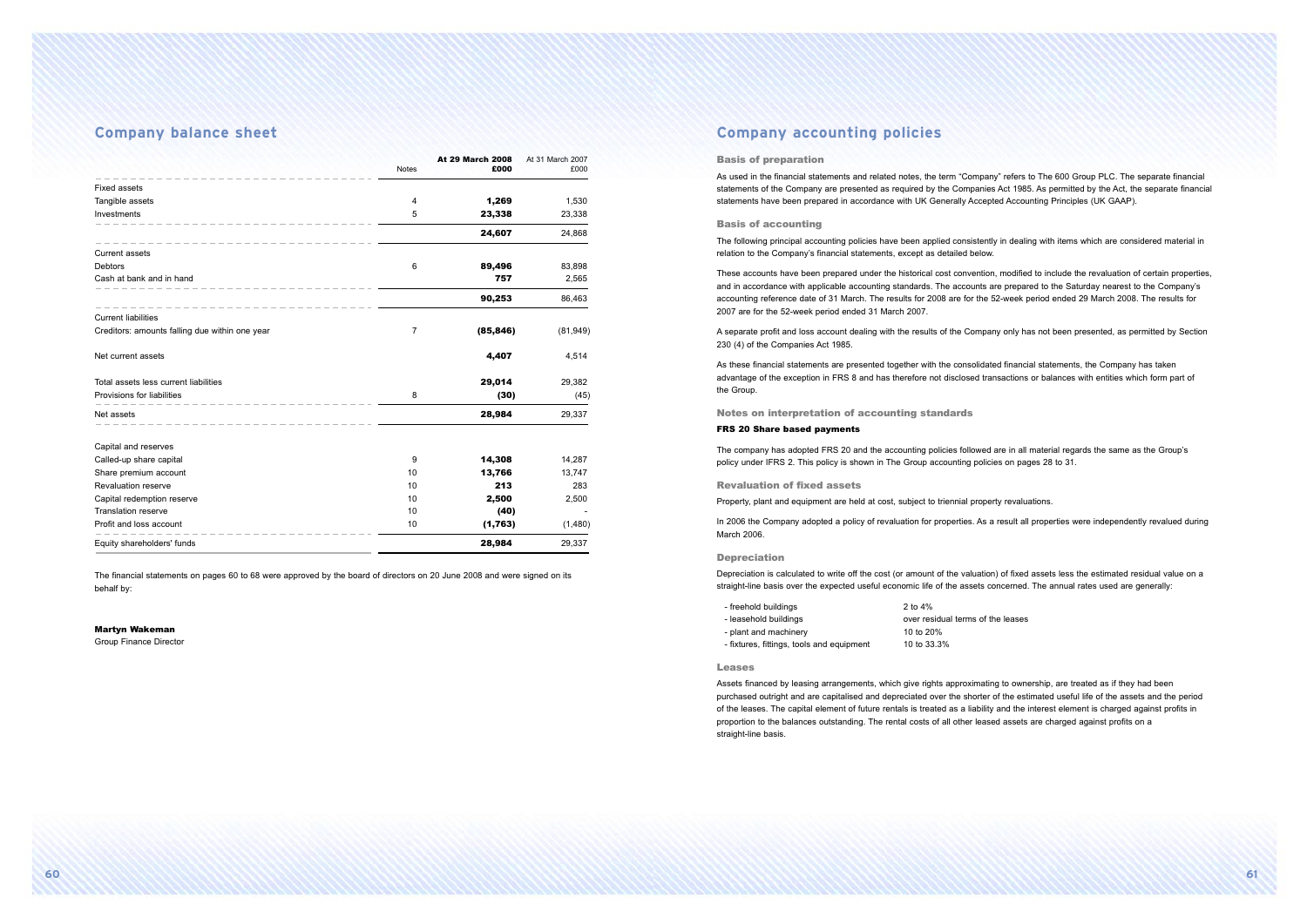of the leases

|                                                | <b>Notes</b> | <b>At 29 March 2008</b><br>£000 | At 31 March 2007<br>£000 |
|------------------------------------------------|--------------|---------------------------------|--------------------------|
| <b>Fixed assets</b>                            |              |                                 |                          |
| Tangible assets                                | 4            | 1,269                           | 1,530                    |
| Investments                                    | 5            | 23,338                          | 23,338                   |
|                                                |              |                                 |                          |
|                                                |              | 24,607                          | 24,868                   |
| <b>Current assets</b>                          |              |                                 |                          |
| <b>Debtors</b>                                 | 6            | 89,496                          | 83,898                   |
| Cash at bank and in hand                       |              | 757                             | 2,565                    |
|                                                |              | 90,253                          | 86,463                   |
| <b>Current liabilities</b>                     |              |                                 |                          |
| Creditors: amounts falling due within one year | 7            | (85, 846)                       | (81, 949)                |
| Net current assets                             |              | 4,407                           | 4,514                    |
| Total assets less current liabilities          |              | 29,014                          | 29,382                   |
| Provisions for liabilities                     | 8            | (30)                            | (45)                     |
| Net assets                                     |              | 28,984                          | 29,337                   |
| Capital and reserves                           |              |                                 |                          |
| Called-up share capital                        | 9            | 14,308                          | 14,287                   |
| Share premium account                          | 10           | 13,766                          | 13,747                   |
| Revaluation reserve                            | 10           | 213                             | 283                      |
| Capital redemption reserve                     | 10           | 2,500                           | 2,500                    |
| <b>Translation reserve</b>                     | 10           | (40)                            |                          |
| Profit and loss account                        | 10           | (1,763)                         | (1,480)                  |
| Equity shareholders' funds                     |              | 28,984                          | 29,337                   |

The financial statements on pages 60 to 68 were approved by the board of directors on 20 June 2008 and were signed on its behalf by:

### Martyn Wakeman

Group Finance Director

## **Company balance sheet Company accounting policies**

#### Basis of preparation

As used in the financial statements and related notes, the term "Company" refers to The 600 Group PLC. The separate financial statements of the Company are presented as required by the Companies Act 1985. As permitted by the Act, the separate financial statements have been prepared in accordance with UK Generally Accepted Accounting Principles (UK GAAP).

#### Basis of accounting

The following principal accounting policies have been applied consistently in dealing with items which are considered material in relation to the Company's financial statements, except as detailed below.

These accounts have been prepared under the historical cost convention, modified to include the revaluation of certain properties, and in accordance with applicable accounting standards. The accounts are prepared to the Saturday nearest to the Company's accounting reference date of 31 March. The results for 2008 are for the 52-week period ended 29 March 2008. The results for 2007 are for the 52-week period ended 31 March 2007.

A separate profit and loss account dealing with the results of the Company only has not been presented, as permitted by Section 230 (4) of the Companies Act 1985.

As these financial statements are presented together with the consolidated financial statements, the Company has taken advantage of the exception in FRS 8 and has therefore not disclosed transactions or balances with entities which form part of the Group.

Notes on interpretation of accounting standards

### FRS 20 Share based payments

The company has adopted FRS 20 and the accounting policies followed are in all material regards the same as the Group's policy under IFRS 2. This policy is shown in The Group accounting policies on pages 28 to 31.

Revaluation of fixed assets

Property, plant and equipment are held at cost, subject to triennial property revaluations.

In 2006 the Company adopted a policy of revaluation for properties. As a result all properties were independently revalued during March 2006.

### **Depreciation**

Depreciation is calculated to write off the cost (or amount of the valuation) of fixed assets less the estimated residual value on a straight-line basis over the expected useful economic life of the assets concerned. The annual rates used are generally:

| - freehold buildings                      | 2 to $4\%$            |
|-------------------------------------------|-----------------------|
| - leasehold buildings                     | over residual terms o |
| - plant and machinery                     | 10 to 20%             |
| - fixtures, fittings, tools and equipment | 10 to 33.3%           |

#### Leases

Assets financed by leasing arrangements, which give rights approximating to ownership, are treated as if they had been purchased outright and are capitalised and depreciated over the shorter of the estimated useful life of the assets and the period of the leases. The capital element of future rentals is treated as a liability and the interest element is charged against profits in proportion to the balances outstanding. The rental costs of all other leased assets are charged against profits on a straight-line basis.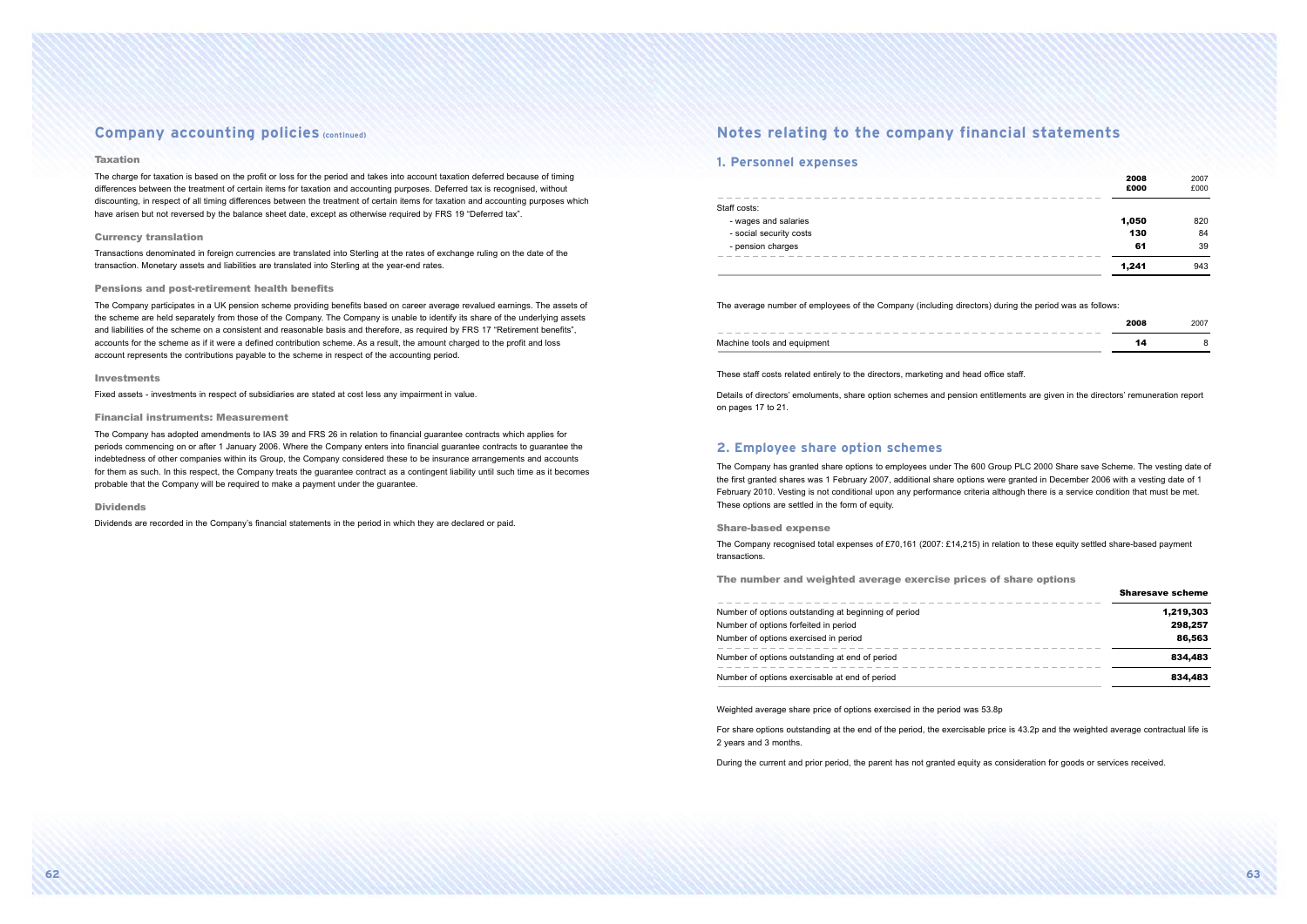### **Company accounting policies (continued)**

#### **Taxation**

The charge for taxation is based on the profit or loss for the period and takes into account taxation deferred because of timing differences between the treatment of certain items for taxation and accounting purposes. Deferred tax is recognised, without discounting, in respect of all timing differences between the treatment of certain items for taxation and accounting purposes which have arisen but not reversed by the balance sheet date, except as otherwise required by FRS 19 "Deferred tax".

#### Currency translation

Transactions denominated in foreign currencies are translated into Sterling at the rates of exchange ruling on the date of the transaction. Monetary assets and liabilities are translated into Sterling at the year-end rates.

### Pensions and post-retirement health benefits

The Company participates in a UK pension scheme providing benefits based on career average revalued earnings. The assets of the scheme are held separately from those of the Company. The Company is unable to identify its share of the underlying assets and liabilities of the scheme on a consistent and reasonable basis and therefore, as required by FRS 17 "Retirement benefits", accounts for the scheme as if it were a defined contribution scheme. As a result, the amount charged to the profit and loss account represents the contributions payable to the scheme in respect of the accounting period.

### Investments

Fixed assets - investments in respect of subsidiaries are stated at cost less any impairment in value.

#### Financial instruments: Measurement

The Company has adopted amendments to IAS 39 and FRS 26 in relation to financial guarantee contracts which applies for periods commencing on or after 1 January 2006. Where the Company enters into financial guarantee contracts to guarantee the indebtedness of other companies within its Group, the Company considered these to be insurance arrangements and accounts for them as such. In this respect, the Company treats the guarantee contract as a contingent liability until such time as it becomes probable that the Company will be required to make a payment under the guarantee.

#### Dividends

Dividends are recorded in the Company's financial statements in the period in which they are declared or paid.

### **Notes relating to the company financial statements**

### **1. Personnel expenses**

| 2008<br>£000 | 2007<br>£000 |
|--------------|--------------|
| 1,050        | 820          |
| 130<br>61    | 84<br>39     |
| 1,241        | 943          |

| Staff costs:            |       |     |
|-------------------------|-------|-----|
| - wages and salaries    | 1,050 | 820 |
| - social security costs | 130   | 84  |
| - pension charges       | 61    | 39  |
|                         | 1.241 | 943 |
|                         |       |     |

The average number of employees of the Company (including directors) during the period was as follows:

Machine tools and equipment

| 2008 |  |
|------|--|
| 14   |  |

These staff costs related entirely to the directors, marketing and head office staff.

Details of directors' emoluments, share option schemes and pension entitlements are given in the directors' remuneration report on pages 17 to 21.

### **2. Employee share option schemes**

The Company has granted share options to employees under The 600 Group PLC 2000 Share save Scheme. The vesting date of the first granted shares was 1 February 2007, additional share options were granted in December 2006 with a vesting date of 1 February 2010. Vesting is not conditional upon any performance criteria although there is a service condition that must be met. These options are settled in the form of equity.

Share-based expense

The Company recognised total expenses of £70,161 (2007: £14,215) in relation to these equity settled share-based payment transactions.

| The number and weighted average exercise prices of share options |                         |
|------------------------------------------------------------------|-------------------------|
|                                                                  | <b>Sharesave scheme</b> |
| Number of options outstanding at beginning of period             | 1,219,303               |
| Number of options forfeited in period                            | 298,257                 |
| Number of options exercised in period                            | 86.563                  |
| Number of options outstanding at end of period                   | 834,483                 |
| Number of options exercisable at end of period                   | 834.483                 |

Weighted average share price of options exercised in the period was 53.8p

For share options outstanding at the end of the period, the exercisable price is 43.2p and the weighted average contractual life is 2 years and 3 months.

During the current and prior period, the parent has not granted equity as consideration for goods or services received.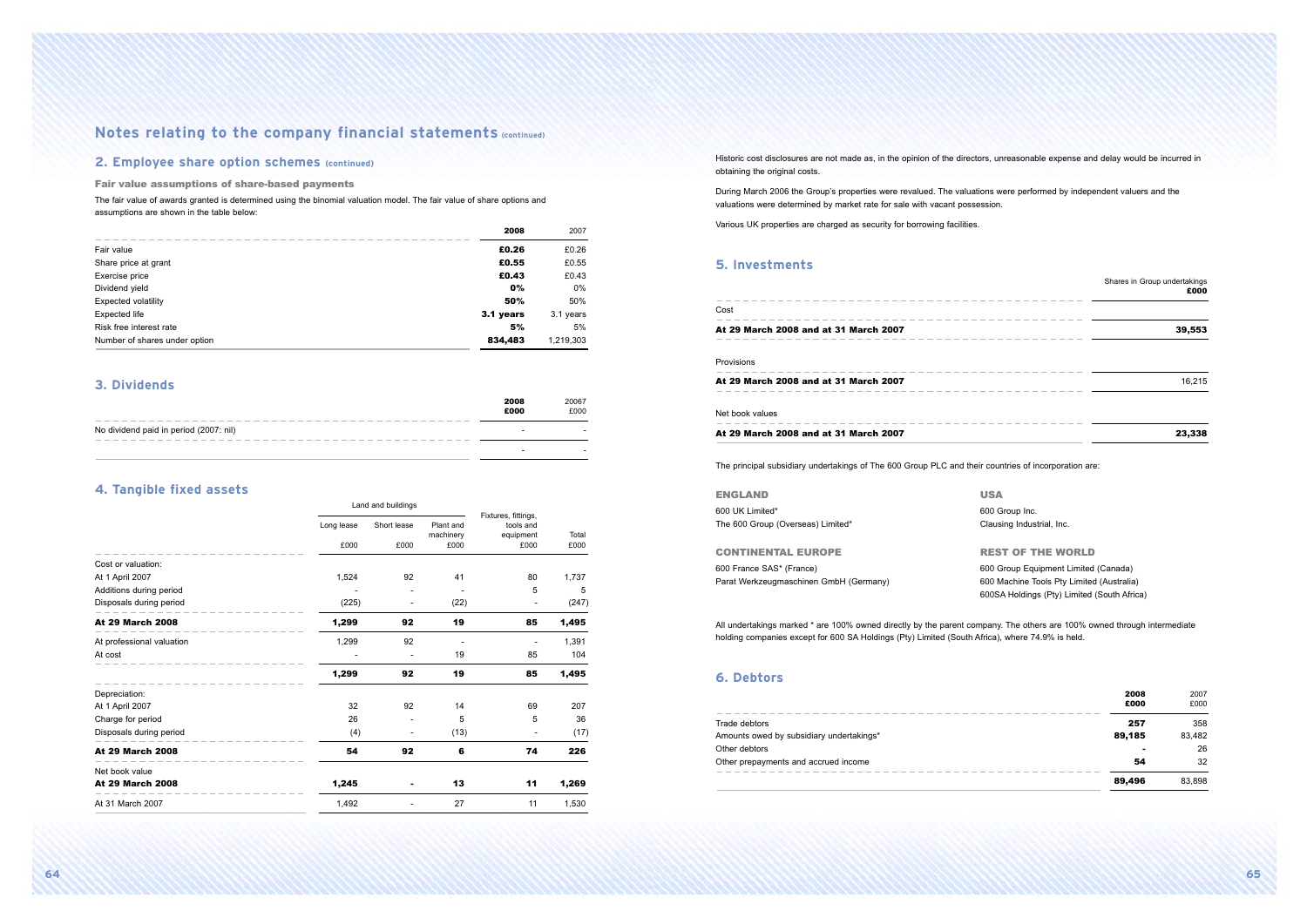Historic cost disclosures are not made as, in the opinion of the directors, unreasonable expense and delay would be incurred in obtaining the original costs.

During March 2006 the Group's properties were revalued. The valuations were performed by independent valuers and the valuations were determined by market rate for sale with vacant possession.

Various UK properties are charged as security for borrowing facilities.

### **5. Investments**

|                                       | Shares in Group undertakings<br>£000 |
|---------------------------------------|--------------------------------------|
| Cost                                  |                                      |
| At 29 March 2008 and at 31 March 2007 | 39,553                               |
| Provisions                            |                                      |
| At 29 March 2008 and at 31 March 2007 | 16,215                               |
| Net book values                       |                                      |
| At 29 March 2008 and at 31 March 2007 | 23,338                               |

The principal subsidiary undertakings of The 600 Group PLC and their countries of incorporation are:

All undertakings marked \* are 100% owned directly by the parent company. The others are 100% owned through intermediate holding companies except for 600 SA Holdings (Pty) Limited (South Africa), where 74.9% is held.

### **6. Debtors**

|                                          | 2008<br>£000 | 2007<br>£000 |
|------------------------------------------|--------------|--------------|
| Trade debtors                            | 257          | 358          |
| Amounts owed by subsidiary undertakings* | 89,185       | 83.482       |
| Other debtors                            |              | 26           |
| Other prepayments and accrued income     | 54           | 32           |
|                                          | 89,496       | 83.898       |

### **ISA**

00 Group Inc. lausing Industrial, Inc.

### **EST OF THE WORLD**

# **Notes relating to the company financial statements (continued)**

### **2. Employee share option schemes (continued)**

### Fair value assumptions of share-based payments

The fair value of awards granted is determined using the binomial valuation model. The fair value of share options and assumptions are shown in the table below:

> 00 Group Equipment Limited (Canada) 600 Machine Tools Pty Limited (Australia) 600SA Holdings (Pty) Limited (South Africa)

|                               | 2008      | 2007      |
|-------------------------------|-----------|-----------|
| Fair value                    | £0.26     | £0.26     |
| Share price at grant          | £0.55     | £0.55     |
| Exercise price                | £0.43     | £0.43     |
| Dividend yield                | 0%        | 0%        |
| <b>Expected volatility</b>    | 50%       | 50%       |
| Expected life                 | 3.1 years | 3.1 years |
| Risk free interest rate       | 5%        | 5%        |
| Number of shares under option | 834,483   | 1,219,303 |

### **3. Dividends**

|                                        | 2008<br>£000             | 20067<br>£000 |
|----------------------------------------|--------------------------|---------------|
| No dividend paid in period (2007: nil) | $\overline{\phantom{0}}$ | -             |
|                                        |                          |               |

### **4. Tangible fixed assets**

|                           | Land and buildings |                          |                                |                                                       |               |
|---------------------------|--------------------|--------------------------|--------------------------------|-------------------------------------------------------|---------------|
|                           | Long lease<br>£000 | Short lease<br>£000      | Plant and<br>machinery<br>£000 | Fixtures, fittings,<br>tools and<br>equipment<br>£000 | Total<br>£000 |
| Cost or valuation:        |                    |                          |                                |                                                       |               |
| At 1 April 2007           | 1,524              | 92                       | 41                             | 80                                                    | 1,737         |
| Additions during period   |                    |                          |                                | 5                                                     | 5             |
| Disposals during period   | (225)              | $\overline{\phantom{0}}$ | (22)                           |                                                       | (247)         |
| <b>At 29 March 2008</b>   | 1,299              | 92                       | 19                             | 85                                                    | 1,495         |
| At professional valuation | 1,299              | 92                       |                                |                                                       | 1,391         |
| At cost                   |                    |                          | 19                             | 85                                                    | 104           |
|                           | 1,299              | 92                       | 19                             | 85                                                    | 1,495         |
| Depreciation:             |                    |                          |                                |                                                       |               |
| At 1 April 2007           | 32                 | 92                       | 14                             | 69                                                    | 207           |
| Charge for period         | 26                 |                          | 5                              | 5                                                     | 36            |
| Disposals during period   | (4)                |                          | (13)                           |                                                       | (17)          |
| <b>At 29 March 2008</b>   | 54                 | 92                       | 6                              | 74                                                    | 226           |
| Net book value            |                    |                          |                                |                                                       |               |
| <b>At 29 March 2008</b>   | 1,245              |                          | 13                             | 11                                                    | 1,269         |
| At 31 March 2007          | 1,492              |                          | 27                             | 11                                                    | 1,530         |

| <b>ENGLAND</b>                         | U. |
|----------------------------------------|----|
| 600 UK Limited*                        | 60 |
| The 600 Group (Overseas) Limited*      | Сŀ |
| <b>CONTINENTAL EUROPE</b>              | RI |
| 600 France SAS* (France)               | 60 |
| Parat Werkzeugmaschinen GmbH (Germany) | 60 |
|                                        | G٨ |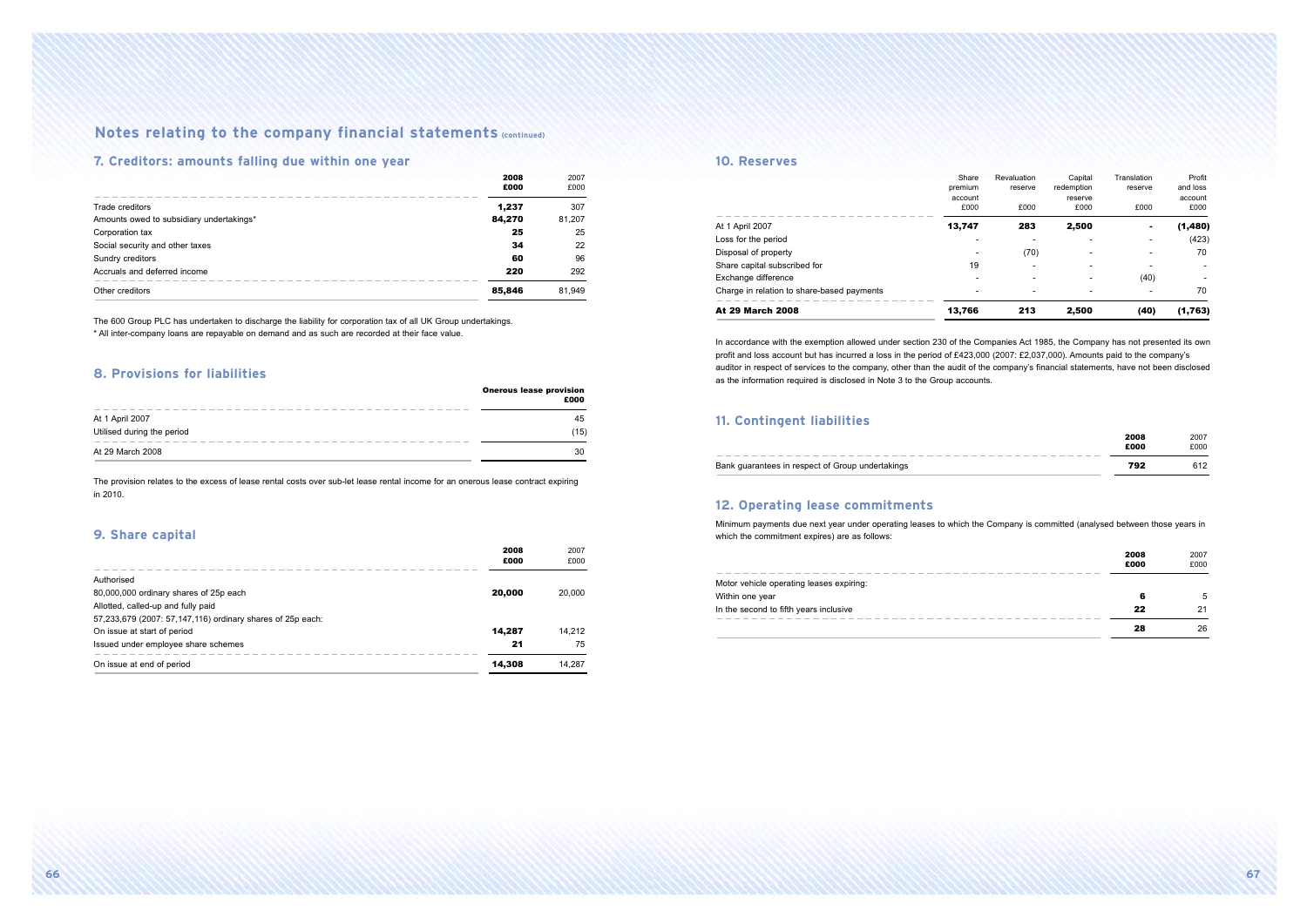# **Notes relating to the company financial statements (continued)**

### **7. Creditors: amounts falling due within one year**

|                                          | 2008   | 2007   |
|------------------------------------------|--------|--------|
|                                          | £000   | £000   |
| Trade creditors                          | 1,237  | 307    |
| Amounts owed to subsidiary undertakings* | 84,270 | 81,207 |
| Corporation tax                          | 25     | 25     |
| Social security and other taxes          | 34     | 22     |
| Sundry creditors                         | 60     | 96     |
| Accruals and deferred income             | 220    | 292    |
| Other creditors                          | 85,846 | 81,949 |

The 600 Group PLC has undertaken to discharge the liability for corporation tax of all UK Group undertakings. \* All inter-company loans are repayable on demand and as such are recorded at their face value.

### **8. Provisions for liabilities**

|                            | <b>Onerous lease provision</b><br>£000 |
|----------------------------|----------------------------------------|
| At 1 April 2007            | 45                                     |
| Utilised during the period | (15)                                   |
| At 29 March 2008           | 30                                     |

The provision relates to the excess of lease rental costs over sub-let lease rental income for an onerous lease contract expiring in 2010.

### **9. Share capital**

|                                                            | 2008   | 2007   |
|------------------------------------------------------------|--------|--------|
|                                                            | £000   | £000   |
| Authorised                                                 |        |        |
| 80,000,000 ordinary shares of 25p each                     | 20,000 | 20,000 |
| Allotted, called-up and fully paid                         |        |        |
| 57,233,679 (2007: 57,147,116) ordinary shares of 25p each: |        |        |
| On issue at start of period                                | 14,287 | 14.212 |
| Issued under employee share schemes                        | 21     | 75     |
| On issue at end of period                                  | 14.308 | 14.287 |

Minimum payments due next year under operating leases to which the Company is committed (analysed between those years in which the commitment expires) are as follows:

### **10. Reserves**

|                                            | Share<br>premium<br>account<br>£000 | Revaluation<br>reserve<br>£000 | Capital<br>redemption<br>reserve<br>£000 | Translation<br>reserve<br>£000 | Profit<br>and loss<br>account<br>£000 |
|--------------------------------------------|-------------------------------------|--------------------------------|------------------------------------------|--------------------------------|---------------------------------------|
| At 1 April 2007                            | 13,747                              | 283                            | 2,500                                    |                                | (1,480)                               |
| Loss for the period                        |                                     |                                |                                          |                                | (423)                                 |
| Disposal of property                       |                                     | (70)                           |                                          |                                | 70                                    |
| Share capital subscribed for               | 19                                  | $\overline{\phantom{0}}$       |                                          |                                |                                       |
| Exchange difference                        |                                     |                                |                                          | (40)                           |                                       |
| Charge in relation to share-based payments |                                     | $\overline{\phantom{0}}$       |                                          |                                | 70                                    |
| <b>At 29 March 2008</b>                    | 13,766                              | 213                            | 2,500                                    | (40)                           | (1,763)                               |

In accordance with the exemption allowed under section 230 of the Companies Act 1985, the Company has not presented its own profit and loss account but has incurred a loss in the period of £423,000 (2007: £2,037,000). Amounts paid to the company's auditor in respect of services to the company, other than the audit of the company's financial statements, have not been disclosed as the information required is disclosed in Note 3 to the Group accounts.

### **11. Contingent liabilities**

Bank guarantees in respect of Group undertakings

| 2008<br>£000 | 2007<br>£000 |
|--------------|--------------|
| 792          | 612          |



### **12. Operating lease commitments**

|                                          | 2008<br>£000 | 2007<br>£000 |
|------------------------------------------|--------------|--------------|
| Motor vehicle operating leases expiring: |              |              |
| Within one year                          | 6            | .5           |
| In the second to fifth years inclusive   | 22           | 21           |
|                                          | 28           | 26           |